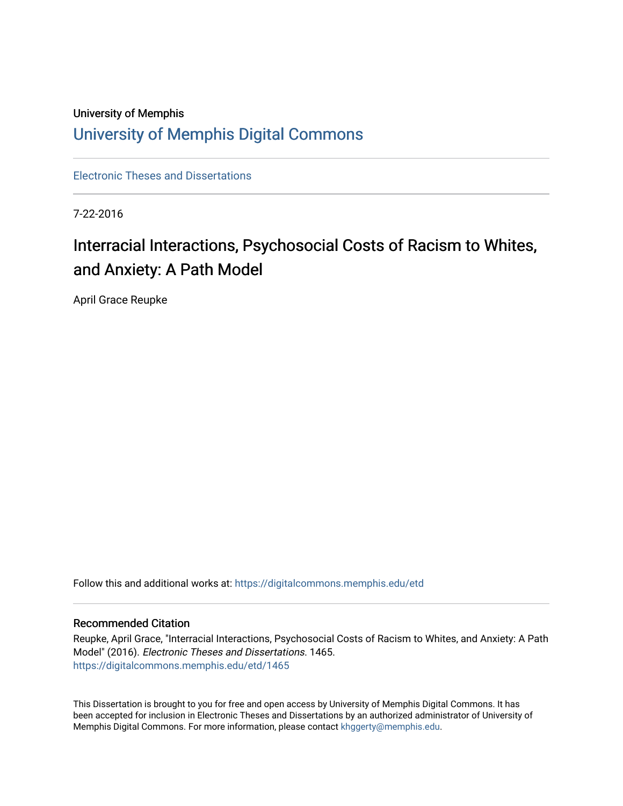## University of Memphis [University of Memphis Digital Commons](https://digitalcommons.memphis.edu/)

[Electronic Theses and Dissertations](https://digitalcommons.memphis.edu/etd)

7-22-2016

# Interracial Interactions, Psychosocial Costs of Racism to Whites, and Anxiety: A Path Model

April Grace Reupke

Follow this and additional works at: [https://digitalcommons.memphis.edu/etd](https://digitalcommons.memphis.edu/etd?utm_source=digitalcommons.memphis.edu%2Fetd%2F1465&utm_medium=PDF&utm_campaign=PDFCoverPages) 

### Recommended Citation

Reupke, April Grace, "Interracial Interactions, Psychosocial Costs of Racism to Whites, and Anxiety: A Path Model" (2016). Electronic Theses and Dissertations. 1465. [https://digitalcommons.memphis.edu/etd/1465](https://digitalcommons.memphis.edu/etd/1465?utm_source=digitalcommons.memphis.edu%2Fetd%2F1465&utm_medium=PDF&utm_campaign=PDFCoverPages) 

This Dissertation is brought to you for free and open access by University of Memphis Digital Commons. It has been accepted for inclusion in Electronic Theses and Dissertations by an authorized administrator of University of Memphis Digital Commons. For more information, please contact [khggerty@memphis.edu.](mailto:khggerty@memphis.edu)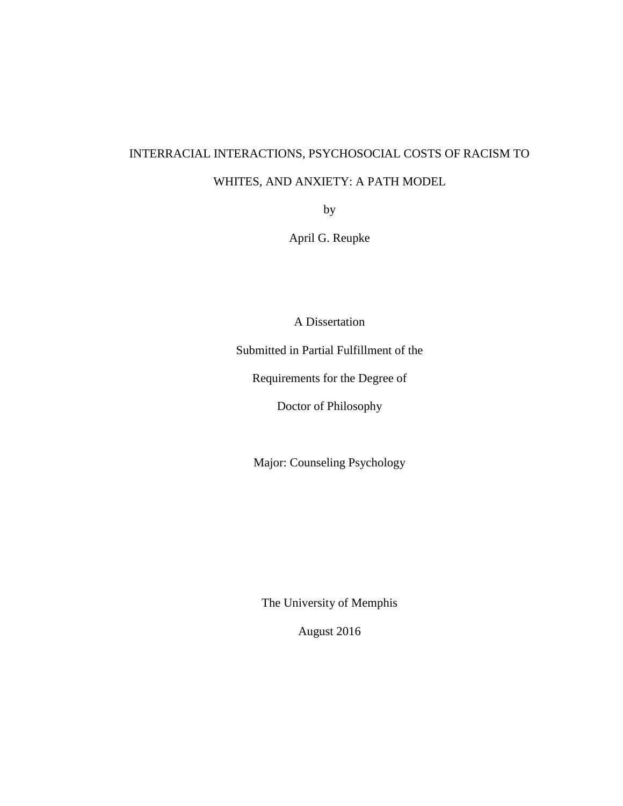# INTERRACIAL INTERACTIONS, PSYCHOSOCIAL COSTS OF RACISM TO

### WHITES, AND ANXIETY: A PATH MODEL

by

April G. Reupke

A Dissertation

Submitted in Partial Fulfillment of the

Requirements for the Degree of

Doctor of Philosophy

Major: Counseling Psychology

The University of Memphis

August 2016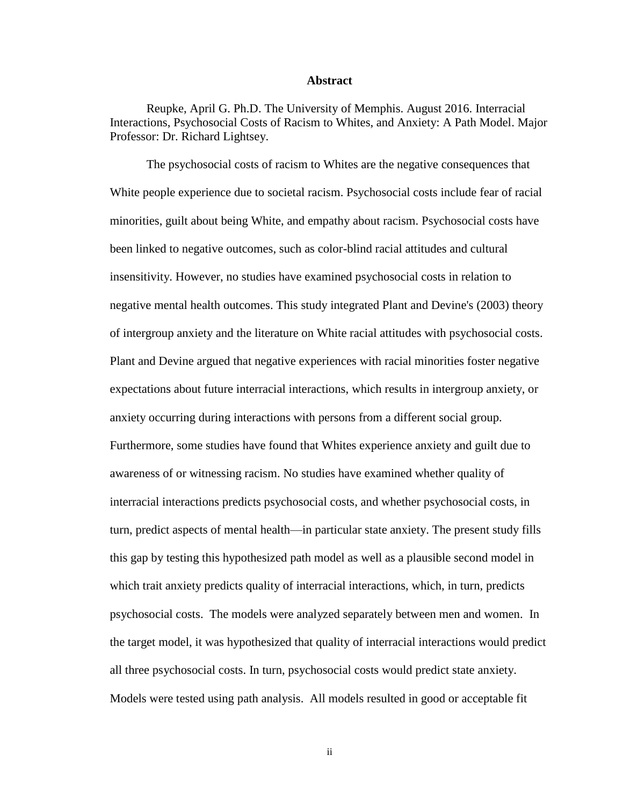### **Abstract**

Reupke, April G. Ph.D. The University of Memphis. August 2016. Interracial Interactions, Psychosocial Costs of Racism to Whites, and Anxiety: A Path Model. Major Professor: Dr. Richard Lightsey.

The psychosocial costs of racism to Whites are the negative consequences that White people experience due to societal racism. Psychosocial costs include fear of racial minorities, guilt about being White, and empathy about racism. Psychosocial costs have been linked to negative outcomes, such as color-blind racial attitudes and cultural insensitivity. However, no studies have examined psychosocial costs in relation to negative mental health outcomes. This study integrated Plant and Devine's (2003) theory of intergroup anxiety and the literature on White racial attitudes with psychosocial costs. Plant and Devine argued that negative experiences with racial minorities foster negative expectations about future interracial interactions, which results in intergroup anxiety, or anxiety occurring during interactions with persons from a different social group. Furthermore, some studies have found that Whites experience anxiety and guilt due to awareness of or witnessing racism. No studies have examined whether quality of interracial interactions predicts psychosocial costs, and whether psychosocial costs, in turn, predict aspects of mental health—in particular state anxiety. The present study fills this gap by testing this hypothesized path model as well as a plausible second model in which trait anxiety predicts quality of interracial interactions, which, in turn, predicts psychosocial costs. The models were analyzed separately between men and women. In the target model, it was hypothesized that quality of interracial interactions would predict all three psychosocial costs. In turn, psychosocial costs would predict state anxiety. Models were tested using path analysis. All models resulted in good or acceptable fit

ii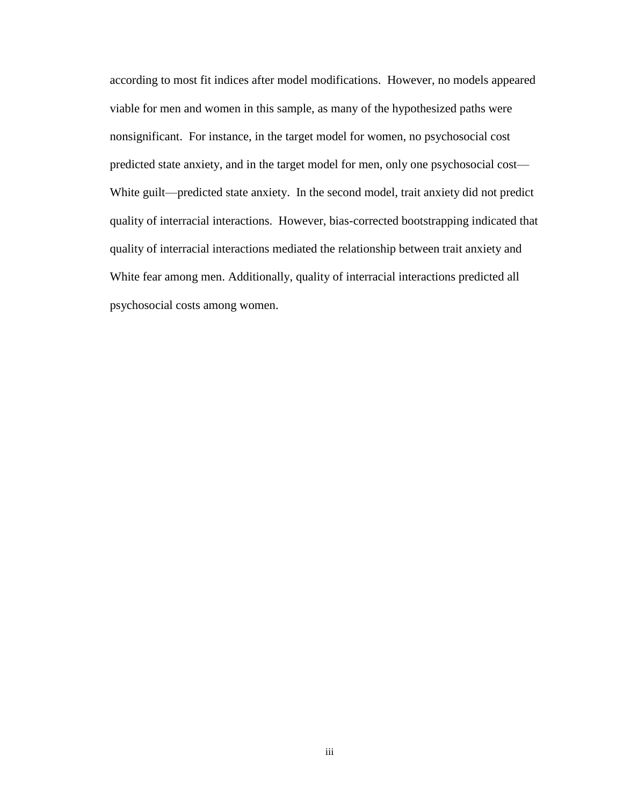according to most fit indices after model modifications. However, no models appeared viable for men and women in this sample, as many of the hypothesized paths were nonsignificant. For instance, in the target model for women, no psychosocial cost predicted state anxiety, and in the target model for men, only one psychosocial cost— White guilt—predicted state anxiety. In the second model, trait anxiety did not predict quality of interracial interactions. However, bias-corrected bootstrapping indicated that quality of interracial interactions mediated the relationship between trait anxiety and White fear among men. Additionally, quality of interracial interactions predicted all psychosocial costs among women.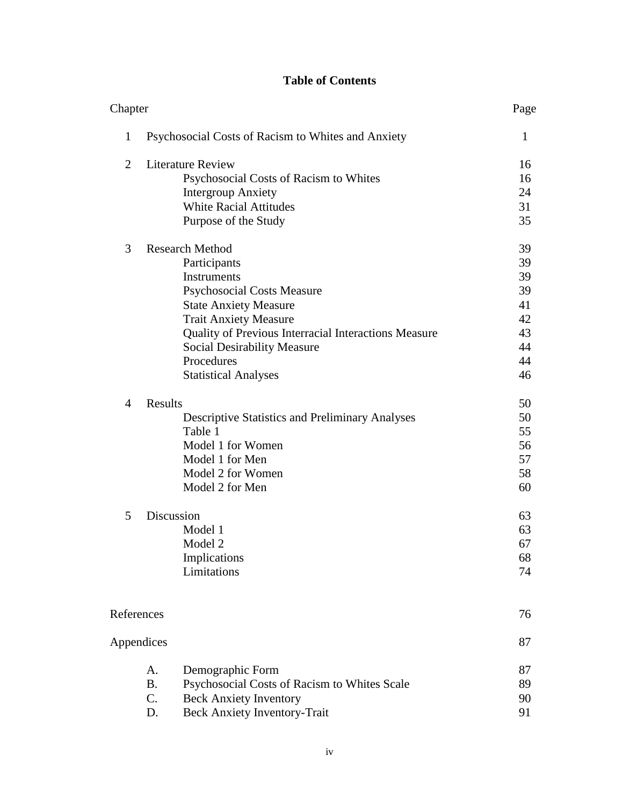### **Table of Contents**

| Chapter        |                                                                                                                                                                                                                                                                                                       | Page                                                     |
|----------------|-------------------------------------------------------------------------------------------------------------------------------------------------------------------------------------------------------------------------------------------------------------------------------------------------------|----------------------------------------------------------|
| $\mathbf{1}$   | Psychosocial Costs of Racism to Whites and Anxiety                                                                                                                                                                                                                                                    | 1                                                        |
| $\overline{2}$ | <b>Literature Review</b><br>Psychosocial Costs of Racism to Whites<br><b>Intergroup Anxiety</b>                                                                                                                                                                                                       | 16<br>16<br>24                                           |
|                | <b>White Racial Attitudes</b><br>Purpose of the Study                                                                                                                                                                                                                                                 | 31<br>35                                                 |
| 3              | <b>Research Method</b><br>Participants<br>Instruments<br><b>Psychosocial Costs Measure</b><br><b>State Anxiety Measure</b><br><b>Trait Anxiety Measure</b><br>Quality of Previous Interracial Interactions Measure<br><b>Social Desirability Measure</b><br>Procedures<br><b>Statistical Analyses</b> | 39<br>39<br>39<br>39<br>41<br>42<br>43<br>44<br>44<br>46 |
| $\overline{4}$ | Results<br><b>Descriptive Statistics and Preliminary Analyses</b><br>Table 1<br>Model 1 for Women<br>Model 1 for Men<br>Model 2 for Women<br>Model 2 for Men                                                                                                                                          | 50<br>50<br>55<br>56<br>57<br>58<br>60                   |
| 5              | Discussion<br>Model 1<br>Model 2<br>Implications<br>Limitations                                                                                                                                                                                                                                       | 63<br>63<br>67<br>68<br>74                               |
| References     |                                                                                                                                                                                                                                                                                                       | 76                                                       |
| Appendices     |                                                                                                                                                                                                                                                                                                       | 87                                                       |
|                | A.<br>Demographic Form<br><b>B.</b><br>Psychosocial Costs of Racism to Whites Scale<br>C.<br><b>Beck Anxiety Inventory</b><br><b>Beck Anxiety Inventory-Trait</b><br>D.                                                                                                                               | 87<br>89<br>90<br>91                                     |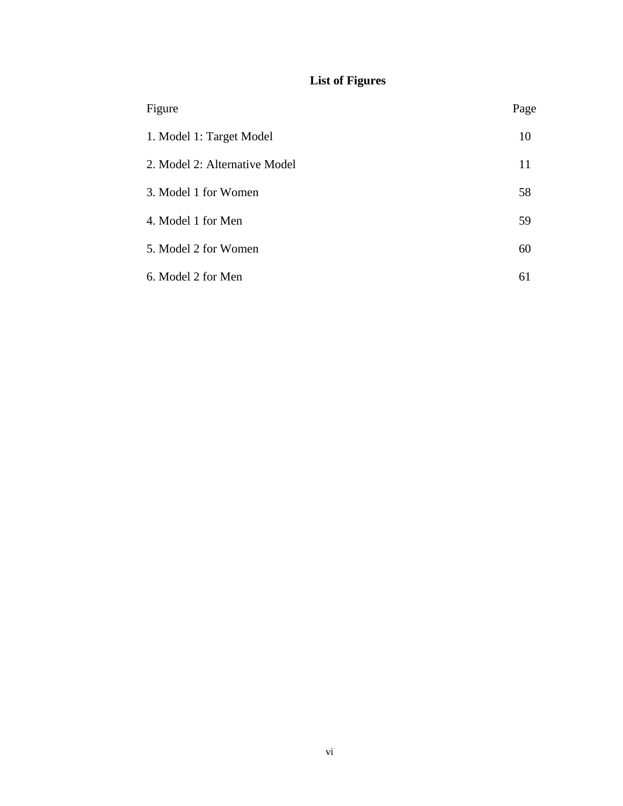### **List of Figures**

| Figure                        | Page |
|-------------------------------|------|
| 1. Model 1: Target Model      | 10   |
| 2. Model 2: Alternative Model | 11   |
| 3. Model 1 for Women          | 58   |
| 4. Model 1 for Men            | 59   |
| 5. Model 2 for Women          | 60   |
| 6. Model 2 for Men            | 61   |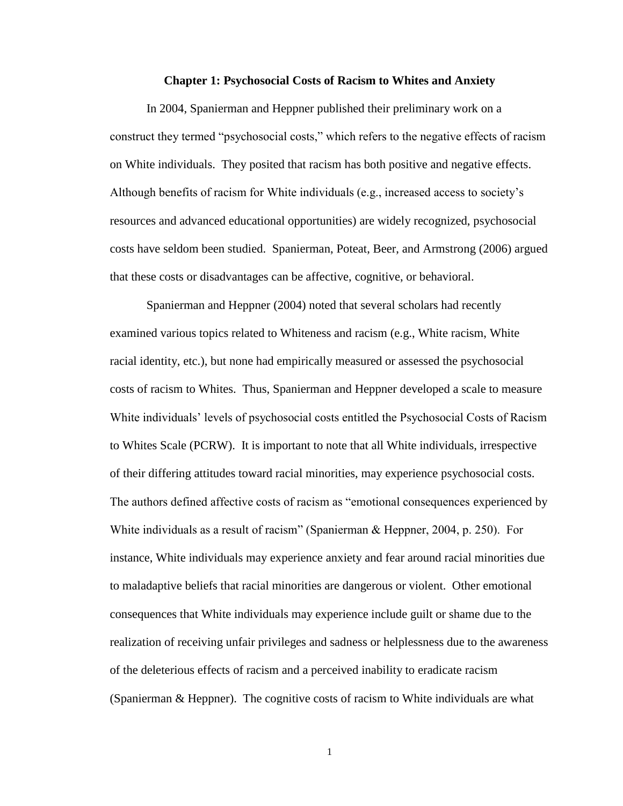### **Chapter 1: Psychosocial Costs of Racism to Whites and Anxiety**

In 2004, Spanierman and Heppner published their preliminary work on a construct they termed "psychosocial costs," which refers to the negative effects of racism on White individuals. They posited that racism has both positive and negative effects. Although benefits of racism for White individuals (e.g., increased access to society's resources and advanced educational opportunities) are widely recognized, psychosocial costs have seldom been studied. Spanierman, Poteat, Beer, and Armstrong (2006) argued that these costs or disadvantages can be affective, cognitive, or behavioral.

Spanierman and Heppner (2004) noted that several scholars had recently examined various topics related to Whiteness and racism (e.g., White racism, White racial identity, etc.), but none had empirically measured or assessed the psychosocial costs of racism to Whites. Thus, Spanierman and Heppner developed a scale to measure White individuals' levels of psychosocial costs entitled the Psychosocial Costs of Racism to Whites Scale (PCRW). It is important to note that all White individuals, irrespective of their differing attitudes toward racial minorities, may experience psychosocial costs. The authors defined affective costs of racism as "emotional consequences experienced by White individuals as a result of racism" (Spanierman & Heppner, 2004, p. 250). For instance, White individuals may experience anxiety and fear around racial minorities due to maladaptive beliefs that racial minorities are dangerous or violent. Other emotional consequences that White individuals may experience include guilt or shame due to the realization of receiving unfair privileges and sadness or helplessness due to the awareness of the deleterious effects of racism and a perceived inability to eradicate racism (Spanierman & Heppner). The cognitive costs of racism to White individuals are what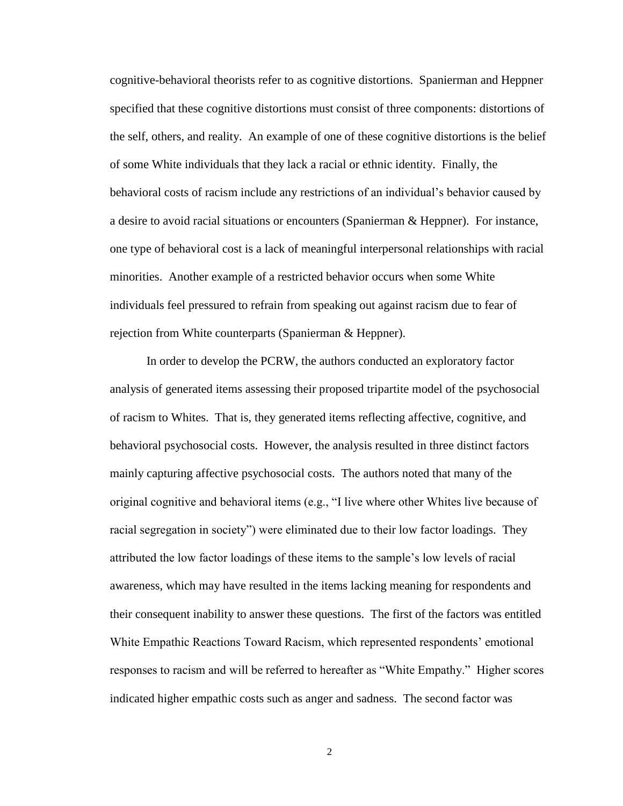cognitive-behavioral theorists refer to as cognitive distortions. Spanierman and Heppner specified that these cognitive distortions must consist of three components: distortions of the self, others, and reality. An example of one of these cognitive distortions is the belief of some White individuals that they lack a racial or ethnic identity. Finally, the behavioral costs of racism include any restrictions of an individual's behavior caused by a desire to avoid racial situations or encounters (Spanierman & Heppner). For instance, one type of behavioral cost is a lack of meaningful interpersonal relationships with racial minorities. Another example of a restricted behavior occurs when some White individuals feel pressured to refrain from speaking out against racism due to fear of rejection from White counterparts (Spanierman & Heppner).

In order to develop the PCRW, the authors conducted an exploratory factor analysis of generated items assessing their proposed tripartite model of the psychosocial of racism to Whites. That is, they generated items reflecting affective, cognitive, and behavioral psychosocial costs. However, the analysis resulted in three distinct factors mainly capturing affective psychosocial costs. The authors noted that many of the original cognitive and behavioral items (e.g., "I live where other Whites live because of racial segregation in society") were eliminated due to their low factor loadings. They attributed the low factor loadings of these items to the sample's low levels of racial awareness, which may have resulted in the items lacking meaning for respondents and their consequent inability to answer these questions. The first of the factors was entitled White Empathic Reactions Toward Racism, which represented respondents' emotional responses to racism and will be referred to hereafter as "White Empathy." Higher scores indicated higher empathic costs such as anger and sadness. The second factor was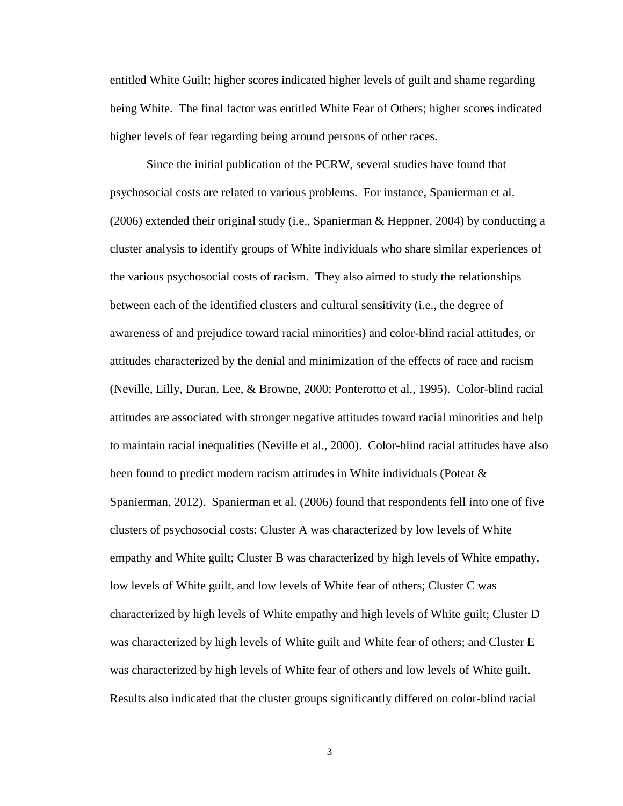entitled White Guilt; higher scores indicated higher levels of guilt and shame regarding being White. The final factor was entitled White Fear of Others; higher scores indicated higher levels of fear regarding being around persons of other races.

Since the initial publication of the PCRW, several studies have found that psychosocial costs are related to various problems. For instance, Spanierman et al. (2006) extended their original study (i.e., Spanierman & Heppner, 2004) by conducting a cluster analysis to identify groups of White individuals who share similar experiences of the various psychosocial costs of racism. They also aimed to study the relationships between each of the identified clusters and cultural sensitivity (i.e., the degree of awareness of and prejudice toward racial minorities) and color-blind racial attitudes, or attitudes characterized by the denial and minimization of the effects of race and racism (Neville, Lilly, Duran, Lee, & Browne, 2000; Ponterotto et al., 1995). Color-blind racial attitudes are associated with stronger negative attitudes toward racial minorities and help to maintain racial inequalities (Neville et al., 2000). Color-blind racial attitudes have also been found to predict modern racism attitudes in White individuals (Poteat & Spanierman, 2012). Spanierman et al. (2006) found that respondents fell into one of five clusters of psychosocial costs: Cluster A was characterized by low levels of White empathy and White guilt; Cluster B was characterized by high levels of White empathy, low levels of White guilt, and low levels of White fear of others; Cluster C was characterized by high levels of White empathy and high levels of White guilt; Cluster D was characterized by high levels of White guilt and White fear of others; and Cluster E was characterized by high levels of White fear of others and low levels of White guilt. Results also indicated that the cluster groups significantly differed on color-blind racial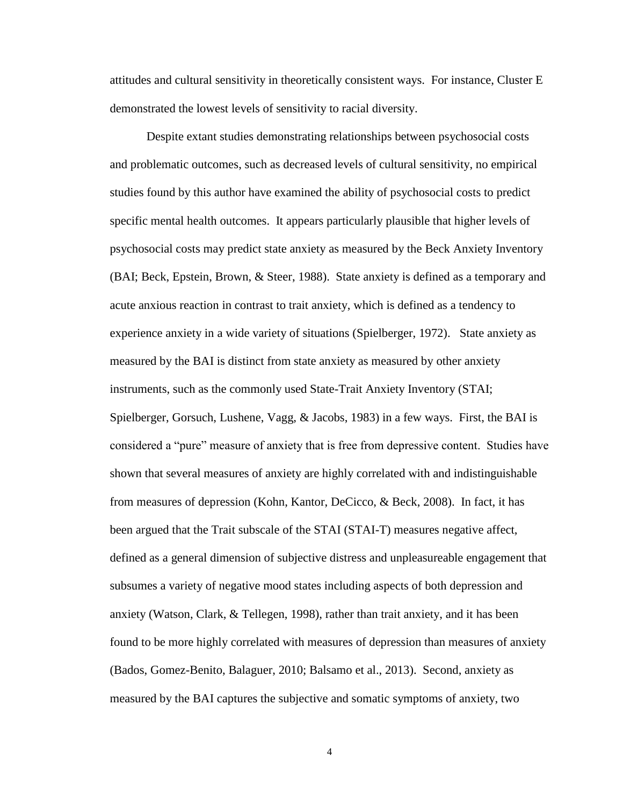attitudes and cultural sensitivity in theoretically consistent ways. For instance, Cluster E demonstrated the lowest levels of sensitivity to racial diversity.

Despite extant studies demonstrating relationships between psychosocial costs and problematic outcomes, such as decreased levels of cultural sensitivity, no empirical studies found by this author have examined the ability of psychosocial costs to predict specific mental health outcomes. It appears particularly plausible that higher levels of psychosocial costs may predict state anxiety as measured by the Beck Anxiety Inventory (BAI; Beck, Epstein, Brown, & Steer, 1988). State anxiety is defined as a temporary and acute anxious reaction in contrast to trait anxiety, which is defined as a tendency to experience anxiety in a wide variety of situations (Spielberger, 1972). State anxiety as measured by the BAI is distinct from state anxiety as measured by other anxiety instruments, such as the commonly used State-Trait Anxiety Inventory (STAI; Spielberger, Gorsuch, Lushene, Vagg, & Jacobs, 1983) in a few ways. First, the BAI is considered a "pure" measure of anxiety that is free from depressive content. Studies have shown that several measures of anxiety are highly correlated with and indistinguishable from measures of depression (Kohn, Kantor, DeCicco, & Beck, 2008). In fact, it has been argued that the Trait subscale of the STAI (STAI-T) measures negative affect, defined as a general dimension of subjective distress and unpleasureable engagement that subsumes a variety of negative mood states including aspects of both depression and anxiety (Watson, Clark, & Tellegen, 1998), rather than trait anxiety, and it has been found to be more highly correlated with measures of depression than measures of anxiety (Bados, Gomez-Benito, Balaguer, 2010; Balsamo et al., 2013). Second, anxiety as measured by the BAI captures the subjective and somatic symptoms of anxiety, two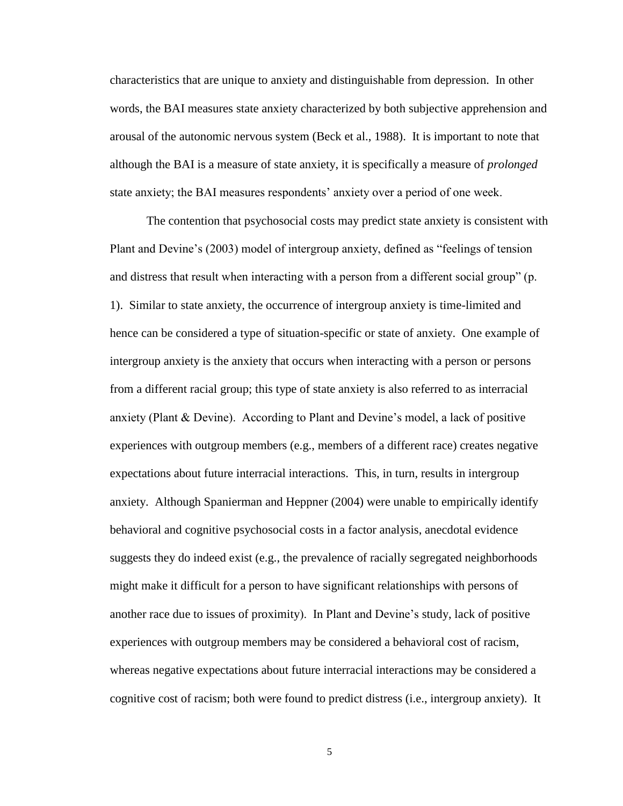characteristics that are unique to anxiety and distinguishable from depression. In other words, the BAI measures state anxiety characterized by both subjective apprehension and arousal of the autonomic nervous system (Beck et al., 1988). It is important to note that although the BAI is a measure of state anxiety, it is specifically a measure of *prolonged*  state anxiety; the BAI measures respondents' anxiety over a period of one week.

The contention that psychosocial costs may predict state anxiety is consistent with Plant and Devine's (2003) model of intergroup anxiety, defined as "feelings of tension and distress that result when interacting with a person from a different social group" (p. 1). Similar to state anxiety, the occurrence of intergroup anxiety is time-limited and hence can be considered a type of situation-specific or state of anxiety. One example of intergroup anxiety is the anxiety that occurs when interacting with a person or persons from a different racial group; this type of state anxiety is also referred to as interracial anxiety (Plant & Devine). According to Plant and Devine's model, a lack of positive experiences with outgroup members (e.g., members of a different race) creates negative expectations about future interracial interactions. This, in turn, results in intergroup anxiety. Although Spanierman and Heppner (2004) were unable to empirically identify behavioral and cognitive psychosocial costs in a factor analysis, anecdotal evidence suggests they do indeed exist (e.g., the prevalence of racially segregated neighborhoods might make it difficult for a person to have significant relationships with persons of another race due to issues of proximity). In Plant and Devine's study, lack of positive experiences with outgroup members may be considered a behavioral cost of racism, whereas negative expectations about future interracial interactions may be considered a cognitive cost of racism; both were found to predict distress (i.e., intergroup anxiety). It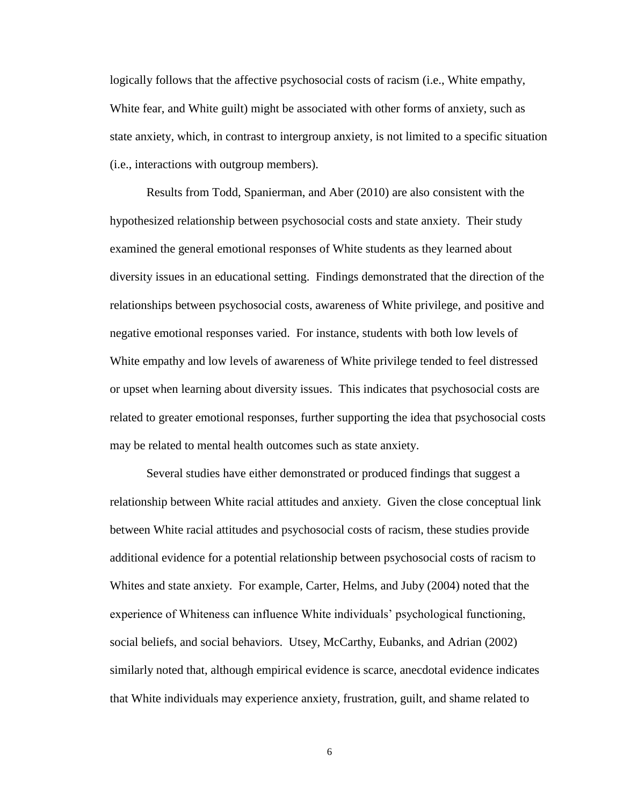logically follows that the affective psychosocial costs of racism (i.e., White empathy, White fear, and White guilt) might be associated with other forms of anxiety, such as state anxiety, which, in contrast to intergroup anxiety, is not limited to a specific situation (i.e., interactions with outgroup members).

Results from Todd, Spanierman, and Aber (2010) are also consistent with the hypothesized relationship between psychosocial costs and state anxiety. Their study examined the general emotional responses of White students as they learned about diversity issues in an educational setting. Findings demonstrated that the direction of the relationships between psychosocial costs, awareness of White privilege, and positive and negative emotional responses varied. For instance, students with both low levels of White empathy and low levels of awareness of White privilege tended to feel distressed or upset when learning about diversity issues. This indicates that psychosocial costs are related to greater emotional responses, further supporting the idea that psychosocial costs may be related to mental health outcomes such as state anxiety.

Several studies have either demonstrated or produced findings that suggest a relationship between White racial attitudes and anxiety. Given the close conceptual link between White racial attitudes and psychosocial costs of racism, these studies provide additional evidence for a potential relationship between psychosocial costs of racism to Whites and state anxiety. For example, Carter, Helms, and Juby (2004) noted that the experience of Whiteness can influence White individuals' psychological functioning, social beliefs, and social behaviors. Utsey, McCarthy, Eubanks, and Adrian (2002) similarly noted that, although empirical evidence is scarce, anecdotal evidence indicates that White individuals may experience anxiety, frustration, guilt, and shame related to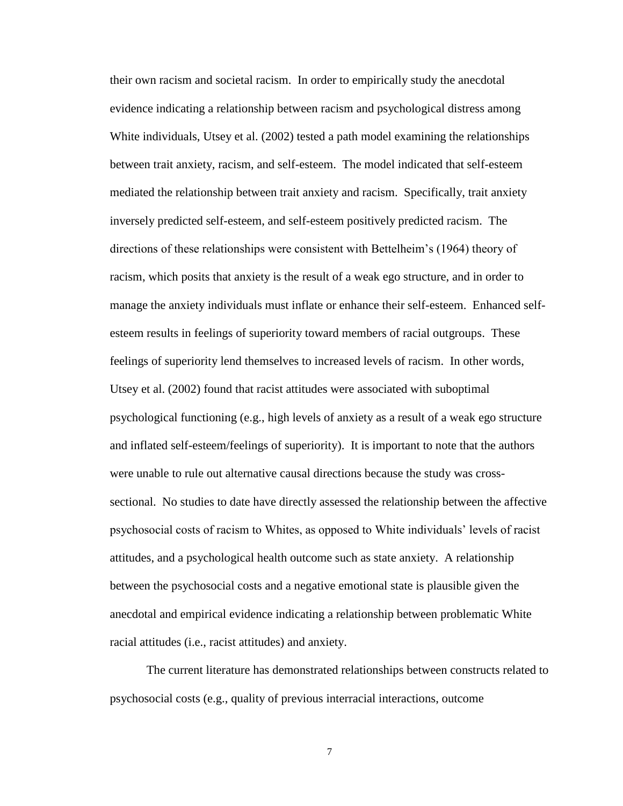their own racism and societal racism. In order to empirically study the anecdotal evidence indicating a relationship between racism and psychological distress among White individuals, Utsey et al. (2002) tested a path model examining the relationships between trait anxiety, racism, and self-esteem. The model indicated that self-esteem mediated the relationship between trait anxiety and racism. Specifically, trait anxiety inversely predicted self-esteem, and self-esteem positively predicted racism. The directions of these relationships were consistent with Bettelheim's (1964) theory of racism, which posits that anxiety is the result of a weak ego structure, and in order to manage the anxiety individuals must inflate or enhance their self-esteem. Enhanced selfesteem results in feelings of superiority toward members of racial outgroups. These feelings of superiority lend themselves to increased levels of racism. In other words, Utsey et al. (2002) found that racist attitudes were associated with suboptimal psychological functioning (e.g., high levels of anxiety as a result of a weak ego structure and inflated self-esteem/feelings of superiority). It is important to note that the authors were unable to rule out alternative causal directions because the study was crosssectional. No studies to date have directly assessed the relationship between the affective psychosocial costs of racism to Whites, as opposed to White individuals' levels of racist attitudes, and a psychological health outcome such as state anxiety. A relationship between the psychosocial costs and a negative emotional state is plausible given the anecdotal and empirical evidence indicating a relationship between problematic White racial attitudes (i.e., racist attitudes) and anxiety.

The current literature has demonstrated relationships between constructs related to psychosocial costs (e.g., quality of previous interracial interactions, outcome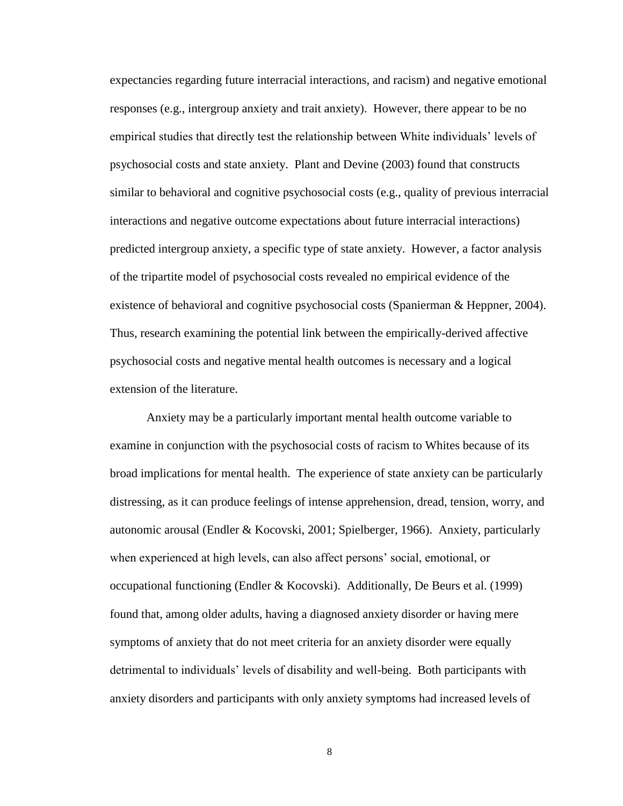expectancies regarding future interracial interactions, and racism) and negative emotional responses (e.g., intergroup anxiety and trait anxiety). However, there appear to be no empirical studies that directly test the relationship between White individuals' levels of psychosocial costs and state anxiety. Plant and Devine (2003) found that constructs similar to behavioral and cognitive psychosocial costs (e.g., quality of previous interracial interactions and negative outcome expectations about future interracial interactions) predicted intergroup anxiety, a specific type of state anxiety. However, a factor analysis of the tripartite model of psychosocial costs revealed no empirical evidence of the existence of behavioral and cognitive psychosocial costs (Spanierman & Heppner, 2004). Thus, research examining the potential link between the empirically-derived affective psychosocial costs and negative mental health outcomes is necessary and a logical extension of the literature.

Anxiety may be a particularly important mental health outcome variable to examine in conjunction with the psychosocial costs of racism to Whites because of its broad implications for mental health. The experience of state anxiety can be particularly distressing, as it can produce feelings of intense apprehension, dread, tension, worry, and autonomic arousal (Endler & Kocovski, 2001; Spielberger, 1966). Anxiety, particularly when experienced at high levels, can also affect persons' social, emotional, or occupational functioning (Endler & Kocovski). Additionally, De Beurs et al. (1999) found that, among older adults, having a diagnosed anxiety disorder or having mere symptoms of anxiety that do not meet criteria for an anxiety disorder were equally detrimental to individuals' levels of disability and well-being. Both participants with anxiety disorders and participants with only anxiety symptoms had increased levels of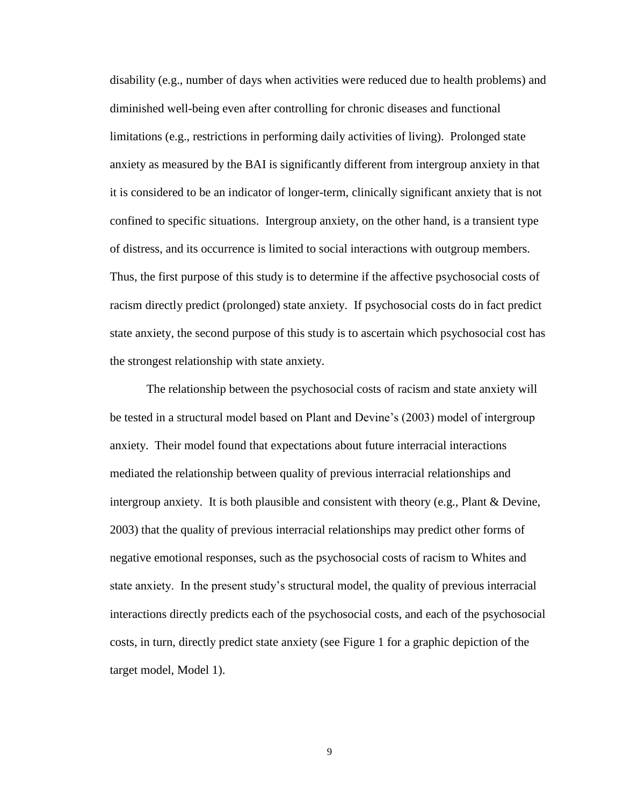disability (e.g., number of days when activities were reduced due to health problems) and diminished well-being even after controlling for chronic diseases and functional limitations (e.g., restrictions in performing daily activities of living). Prolonged state anxiety as measured by the BAI is significantly different from intergroup anxiety in that it is considered to be an indicator of longer-term, clinically significant anxiety that is not confined to specific situations. Intergroup anxiety, on the other hand, is a transient type of distress, and its occurrence is limited to social interactions with outgroup members. Thus, the first purpose of this study is to determine if the affective psychosocial costs of racism directly predict (prolonged) state anxiety. If psychosocial costs do in fact predict state anxiety, the second purpose of this study is to ascertain which psychosocial cost has the strongest relationship with state anxiety.

The relationship between the psychosocial costs of racism and state anxiety will be tested in a structural model based on Plant and Devine's (2003) model of intergroup anxiety. Their model found that expectations about future interracial interactions mediated the relationship between quality of previous interracial relationships and intergroup anxiety. It is both plausible and consistent with theory (e.g., Plant & Devine, 2003) that the quality of previous interracial relationships may predict other forms of negative emotional responses, such as the psychosocial costs of racism to Whites and state anxiety. In the present study's structural model, the quality of previous interracial interactions directly predicts each of the psychosocial costs, and each of the psychosocial costs, in turn, directly predict state anxiety (see Figure 1 for a graphic depiction of the target model, Model 1).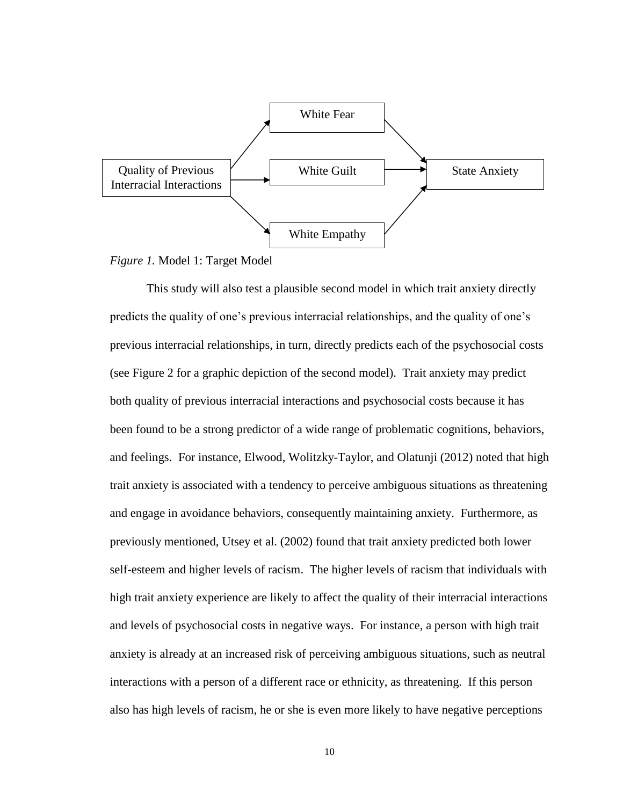

*Figure 1.* Model 1: Target Model

This study will also test a plausible second model in which trait anxiety directly predicts the quality of one's previous interracial relationships, and the quality of one's previous interracial relationships, in turn, directly predicts each of the psychosocial costs (see Figure 2 for a graphic depiction of the second model). Trait anxiety may predict both quality of previous interracial interactions and psychosocial costs because it has been found to be a strong predictor of a wide range of problematic cognitions, behaviors, and feelings. For instance, Elwood, Wolitzky-Taylor, and Olatunji (2012) noted that high trait anxiety is associated with a tendency to perceive ambiguous situations as threatening and engage in avoidance behaviors, consequently maintaining anxiety. Furthermore, as previously mentioned, Utsey et al. (2002) found that trait anxiety predicted both lower self-esteem and higher levels of racism. The higher levels of racism that individuals with high trait anxiety experience are likely to affect the quality of their interracial interactions and levels of psychosocial costs in negative ways. For instance, a person with high trait anxiety is already at an increased risk of perceiving ambiguous situations, such as neutral interactions with a person of a different race or ethnicity, as threatening. If this person also has high levels of racism, he or she is even more likely to have negative perceptions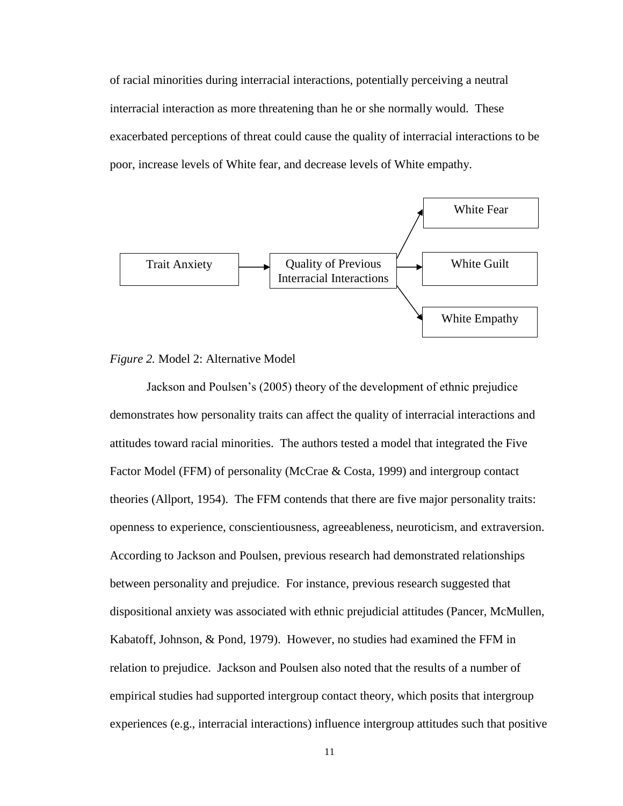of racial minorities during interracial interactions, potentially perceiving a neutral interracial interaction as more threatening than he or she normally would. These exacerbated perceptions of threat could cause the quality of interracial interactions to be poor, increase levels of White fear, and decrease levels of White empathy.



### *Figure 2.* Model 2: Alternative Model

Jackson and Poulsen's (2005) theory of the development of ethnic prejudice demonstrates how personality traits can affect the quality of interracial interactions and attitudes toward racial minorities. The authors tested a model that integrated the Five Factor Model (FFM) of personality (McCrae & Costa, 1999) and intergroup contact theories (Allport, 1954). The FFM contends that there are five major personality traits: openness to experience, conscientiousness, agreeableness, neuroticism, and extraversion. According to Jackson and Poulsen, previous research had demonstrated relationships between personality and prejudice. For instance, previous research suggested that dispositional anxiety was associated with ethnic prejudicial attitudes (Pancer, McMullen, Kabatoff, Johnson, & Pond, 1979). However, no studies had examined the FFM in relation to prejudice. Jackson and Poulsen also noted that the results of a number of empirical studies had supported intergroup contact theory, which posits that intergroup experiences (e.g., interracial interactions) influence intergroup attitudes such that positive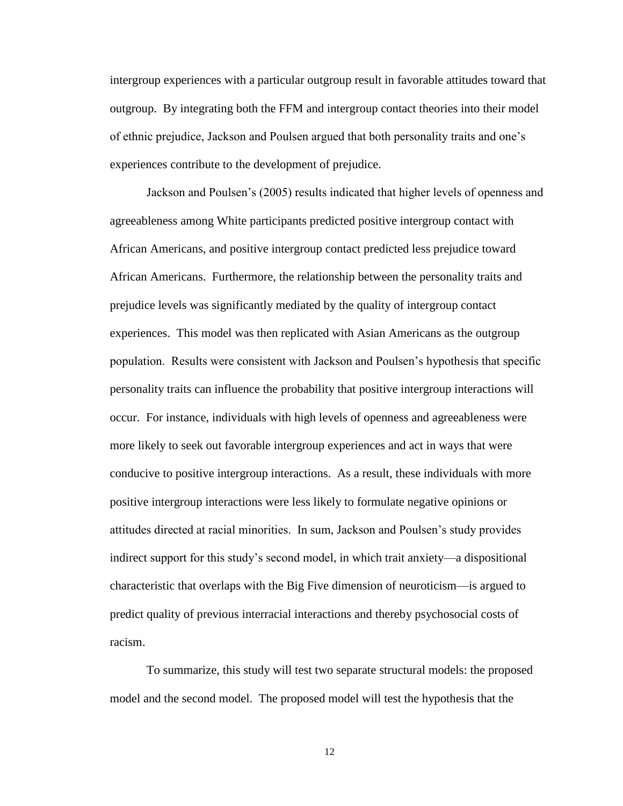intergroup experiences with a particular outgroup result in favorable attitudes toward that outgroup. By integrating both the FFM and intergroup contact theories into their model of ethnic prejudice, Jackson and Poulsen argued that both personality traits and one's experiences contribute to the development of prejudice.

Jackson and Poulsen's (2005) results indicated that higher levels of openness and agreeableness among White participants predicted positive intergroup contact with African Americans, and positive intergroup contact predicted less prejudice toward African Americans. Furthermore, the relationship between the personality traits and prejudice levels was significantly mediated by the quality of intergroup contact experiences. This model was then replicated with Asian Americans as the outgroup population. Results were consistent with Jackson and Poulsen's hypothesis that specific personality traits can influence the probability that positive intergroup interactions will occur. For instance, individuals with high levels of openness and agreeableness were more likely to seek out favorable intergroup experiences and act in ways that were conducive to positive intergroup interactions. As a result, these individuals with more positive intergroup interactions were less likely to formulate negative opinions or attitudes directed at racial minorities. In sum, Jackson and Poulsen's study provides indirect support for this study's second model, in which trait anxiety—a dispositional characteristic that overlaps with the Big Five dimension of neuroticism—is argued to predict quality of previous interracial interactions and thereby psychosocial costs of racism.

To summarize, this study will test two separate structural models: the proposed model and the second model. The proposed model will test the hypothesis that the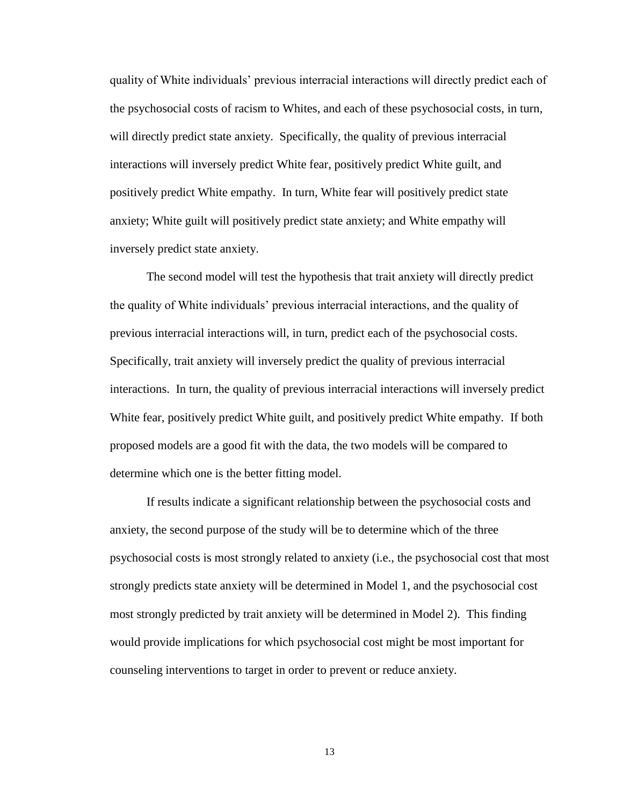quality of White individuals' previous interracial interactions will directly predict each of the psychosocial costs of racism to Whites, and each of these psychosocial costs, in turn, will directly predict state anxiety. Specifically, the quality of previous interracial interactions will inversely predict White fear, positively predict White guilt, and positively predict White empathy. In turn, White fear will positively predict state anxiety; White guilt will positively predict state anxiety; and White empathy will inversely predict state anxiety.

The second model will test the hypothesis that trait anxiety will directly predict the quality of White individuals' previous interracial interactions, and the quality of previous interracial interactions will, in turn, predict each of the psychosocial costs. Specifically, trait anxiety will inversely predict the quality of previous interracial interactions. In turn, the quality of previous interracial interactions will inversely predict White fear, positively predict White guilt, and positively predict White empathy. If both proposed models are a good fit with the data, the two models will be compared to determine which one is the better fitting model.

If results indicate a significant relationship between the psychosocial costs and anxiety, the second purpose of the study will be to determine which of the three psychosocial costs is most strongly related to anxiety (i.e., the psychosocial cost that most strongly predicts state anxiety will be determined in Model 1, and the psychosocial cost most strongly predicted by trait anxiety will be determined in Model 2). This finding would provide implications for which psychosocial cost might be most important for counseling interventions to target in order to prevent or reduce anxiety.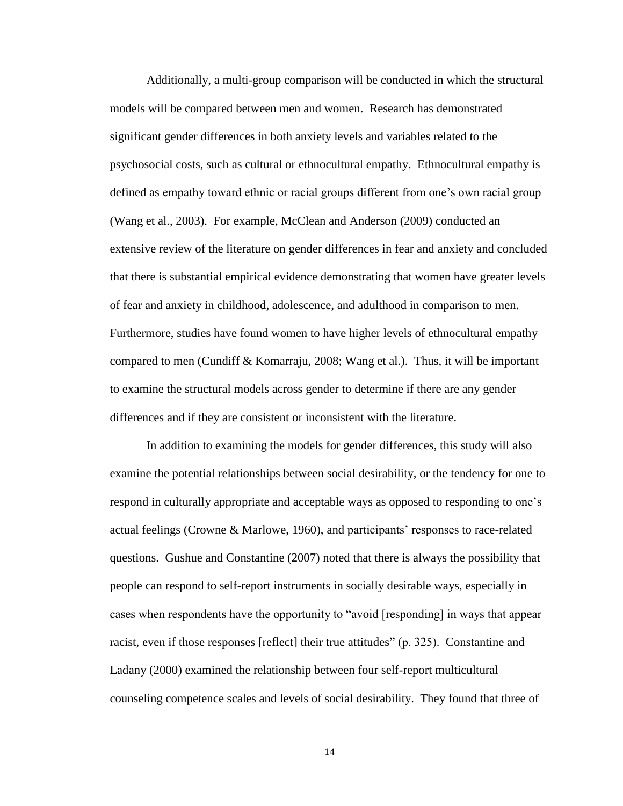Additionally, a multi-group comparison will be conducted in which the structural models will be compared between men and women. Research has demonstrated significant gender differences in both anxiety levels and variables related to the psychosocial costs, such as cultural or ethnocultural empathy. Ethnocultural empathy is defined as empathy toward ethnic or racial groups different from one's own racial group (Wang et al., 2003). For example, McClean and Anderson (2009) conducted an extensive review of the literature on gender differences in fear and anxiety and concluded that there is substantial empirical evidence demonstrating that women have greater levels of fear and anxiety in childhood, adolescence, and adulthood in comparison to men. Furthermore, studies have found women to have higher levels of ethnocultural empathy compared to men (Cundiff & Komarraju, 2008; Wang et al.). Thus, it will be important to examine the structural models across gender to determine if there are any gender differences and if they are consistent or inconsistent with the literature.

In addition to examining the models for gender differences, this study will also examine the potential relationships between social desirability, or the tendency for one to respond in culturally appropriate and acceptable ways as opposed to responding to one's actual feelings (Crowne & Marlowe, 1960), and participants' responses to race-related questions. Gushue and Constantine (2007) noted that there is always the possibility that people can respond to self-report instruments in socially desirable ways, especially in cases when respondents have the opportunity to "avoid [responding] in ways that appear racist, even if those responses [reflect] their true attitudes" (p. 325). Constantine and Ladany (2000) examined the relationship between four self-report multicultural counseling competence scales and levels of social desirability. They found that three of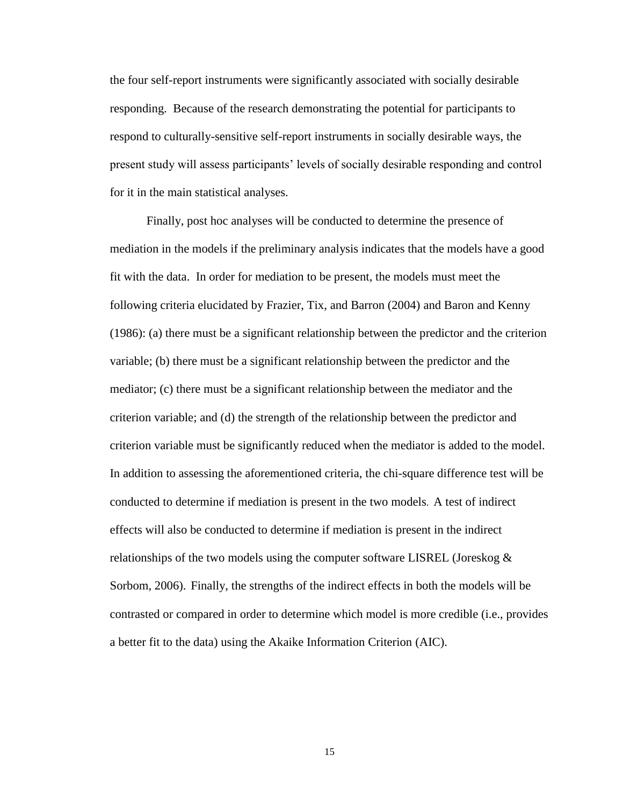the four self-report instruments were significantly associated with socially desirable responding. Because of the research demonstrating the potential for participants to respond to culturally-sensitive self-report instruments in socially desirable ways, the present study will assess participants' levels of socially desirable responding and control for it in the main statistical analyses.

Finally, post hoc analyses will be conducted to determine the presence of mediation in the models if the preliminary analysis indicates that the models have a good fit with the data. In order for mediation to be present, the models must meet the following criteria elucidated by Frazier, Tix, and Barron (2004) and Baron and Kenny (1986): (a) there must be a significant relationship between the predictor and the criterion variable; (b) there must be a significant relationship between the predictor and the mediator; (c) there must be a significant relationship between the mediator and the criterion variable; and (d) the strength of the relationship between the predictor and criterion variable must be significantly reduced when the mediator is added to the model. In addition to assessing the aforementioned criteria, the chi-square difference test will be conducted to determine if mediation is present in the two models. A test of indirect effects will also be conducted to determine if mediation is present in the indirect relationships of the two models using the computer software LISREL (Joreskog & Sorbom, 2006). Finally, the strengths of the indirect effects in both the models will be contrasted or compared in order to determine which model is more credible (i.e., provides a better fit to the data) using the Akaike Information Criterion (AIC).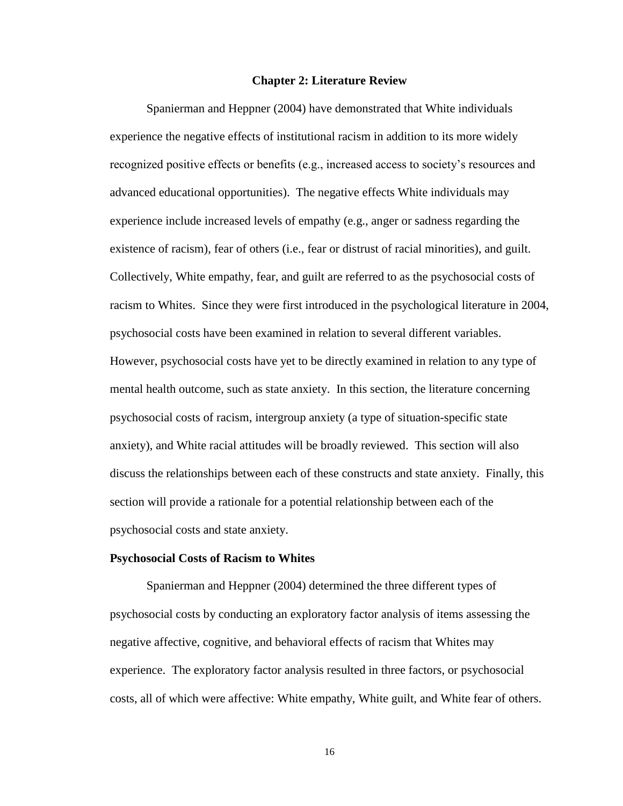#### **Chapter 2: Literature Review**

Spanierman and Heppner (2004) have demonstrated that White individuals experience the negative effects of institutional racism in addition to its more widely recognized positive effects or benefits (e.g., increased access to society's resources and advanced educational opportunities). The negative effects White individuals may experience include increased levels of empathy (e.g., anger or sadness regarding the existence of racism), fear of others (i.e., fear or distrust of racial minorities), and guilt. Collectively, White empathy, fear, and guilt are referred to as the psychosocial costs of racism to Whites. Since they were first introduced in the psychological literature in 2004, psychosocial costs have been examined in relation to several different variables. However, psychosocial costs have yet to be directly examined in relation to any type of mental health outcome, such as state anxiety. In this section, the literature concerning psychosocial costs of racism, intergroup anxiety (a type of situation-specific state anxiety), and White racial attitudes will be broadly reviewed. This section will also discuss the relationships between each of these constructs and state anxiety. Finally, this section will provide a rationale for a potential relationship between each of the psychosocial costs and state anxiety.

#### **Psychosocial Costs of Racism to Whites**

Spanierman and Heppner (2004) determined the three different types of psychosocial costs by conducting an exploratory factor analysis of items assessing the negative affective, cognitive, and behavioral effects of racism that Whites may experience. The exploratory factor analysis resulted in three factors, or psychosocial costs, all of which were affective: White empathy, White guilt, and White fear of others.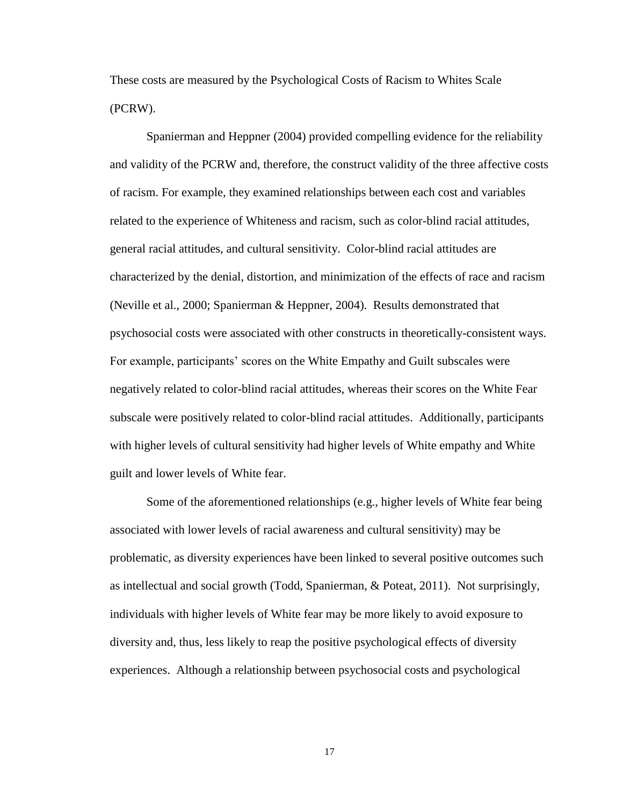These costs are measured by the Psychological Costs of Racism to Whites Scale (PCRW).

Spanierman and Heppner (2004) provided compelling evidence for the reliability and validity of the PCRW and, therefore, the construct validity of the three affective costs of racism. For example, they examined relationships between each cost and variables related to the experience of Whiteness and racism, such as color-blind racial attitudes, general racial attitudes, and cultural sensitivity. Color-blind racial attitudes are characterized by the denial, distortion, and minimization of the effects of race and racism (Neville et al., 2000; Spanierman & Heppner, 2004). Results demonstrated that psychosocial costs were associated with other constructs in theoretically-consistent ways. For example, participants' scores on the White Empathy and Guilt subscales were negatively related to color-blind racial attitudes, whereas their scores on the White Fear subscale were positively related to color-blind racial attitudes. Additionally, participants with higher levels of cultural sensitivity had higher levels of White empathy and White guilt and lower levels of White fear.

Some of the aforementioned relationships (e.g., higher levels of White fear being associated with lower levels of racial awareness and cultural sensitivity) may be problematic, as diversity experiences have been linked to several positive outcomes such as intellectual and social growth (Todd, Spanierman, & Poteat, 2011). Not surprisingly, individuals with higher levels of White fear may be more likely to avoid exposure to diversity and, thus, less likely to reap the positive psychological effects of diversity experiences. Although a relationship between psychosocial costs and psychological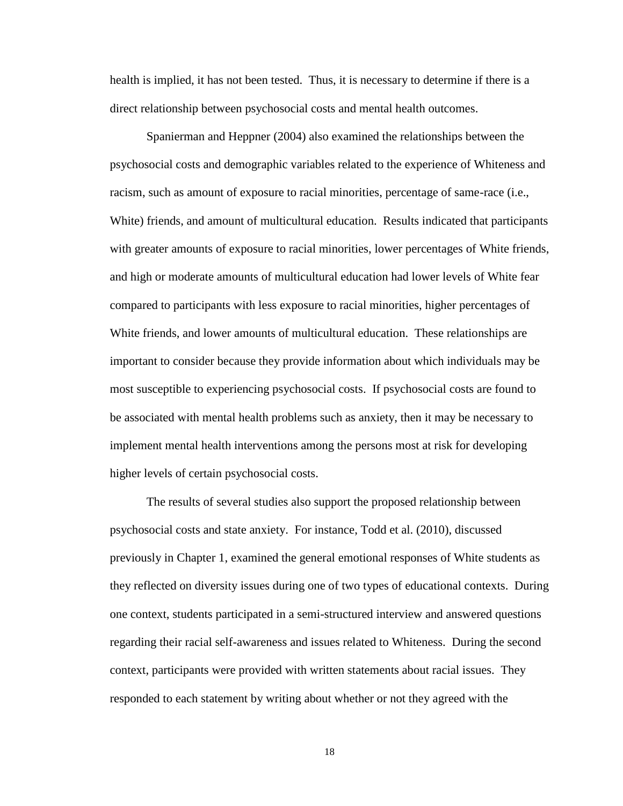health is implied, it has not been tested. Thus, it is necessary to determine if there is a direct relationship between psychosocial costs and mental health outcomes.

Spanierman and Heppner (2004) also examined the relationships between the psychosocial costs and demographic variables related to the experience of Whiteness and racism, such as amount of exposure to racial minorities, percentage of same-race (i.e., White) friends, and amount of multicultural education. Results indicated that participants with greater amounts of exposure to racial minorities, lower percentages of White friends, and high or moderate amounts of multicultural education had lower levels of White fear compared to participants with less exposure to racial minorities, higher percentages of White friends, and lower amounts of multicultural education. These relationships are important to consider because they provide information about which individuals may be most susceptible to experiencing psychosocial costs. If psychosocial costs are found to be associated with mental health problems such as anxiety, then it may be necessary to implement mental health interventions among the persons most at risk for developing higher levels of certain psychosocial costs.

The results of several studies also support the proposed relationship between psychosocial costs and state anxiety. For instance, Todd et al. (2010), discussed previously in Chapter 1, examined the general emotional responses of White students as they reflected on diversity issues during one of two types of educational contexts. During one context, students participated in a semi-structured interview and answered questions regarding their racial self-awareness and issues related to Whiteness. During the second context, participants were provided with written statements about racial issues. They responded to each statement by writing about whether or not they agreed with the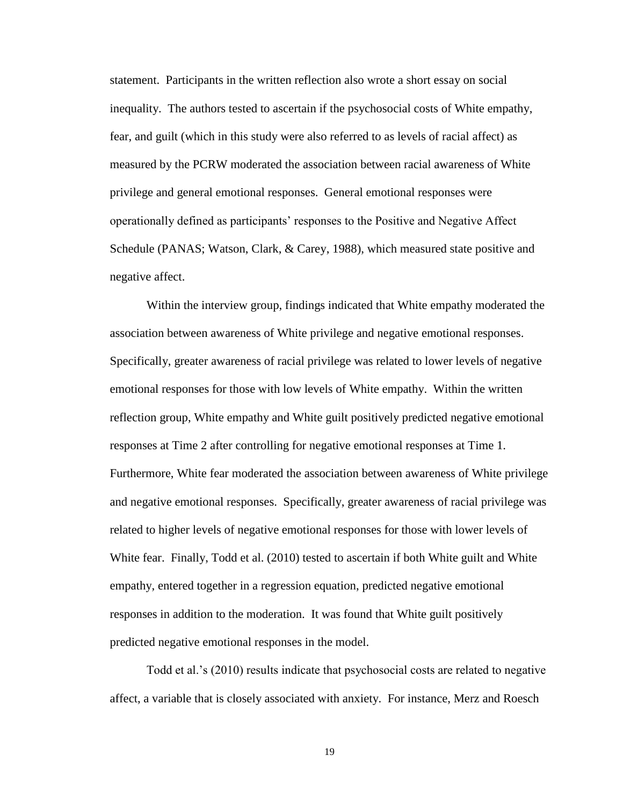statement. Participants in the written reflection also wrote a short essay on social inequality. The authors tested to ascertain if the psychosocial costs of White empathy, fear, and guilt (which in this study were also referred to as levels of racial affect) as measured by the PCRW moderated the association between racial awareness of White privilege and general emotional responses. General emotional responses were operationally defined as participants' responses to the Positive and Negative Affect Schedule (PANAS; Watson, Clark, & Carey, 1988), which measured state positive and negative affect.

Within the interview group, findings indicated that White empathy moderated the association between awareness of White privilege and negative emotional responses. Specifically, greater awareness of racial privilege was related to lower levels of negative emotional responses for those with low levels of White empathy. Within the written reflection group, White empathy and White guilt positively predicted negative emotional responses at Time 2 after controlling for negative emotional responses at Time 1. Furthermore, White fear moderated the association between awareness of White privilege and negative emotional responses. Specifically, greater awareness of racial privilege was related to higher levels of negative emotional responses for those with lower levels of White fear. Finally, Todd et al. (2010) tested to ascertain if both White guilt and White empathy, entered together in a regression equation, predicted negative emotional responses in addition to the moderation. It was found that White guilt positively predicted negative emotional responses in the model.

Todd et al.'s (2010) results indicate that psychosocial costs are related to negative affect, a variable that is closely associated with anxiety. For instance, Merz and Roesch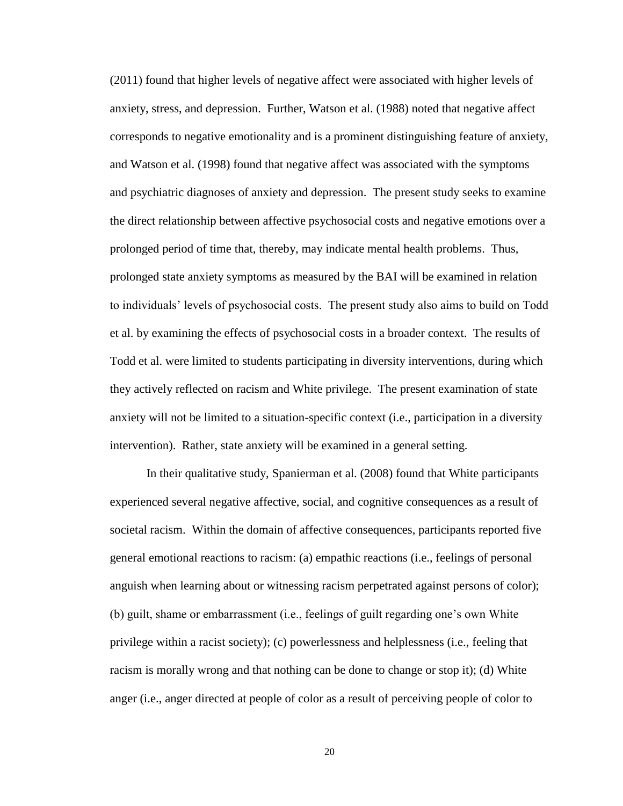(2011) found that higher levels of negative affect were associated with higher levels of anxiety, stress, and depression. Further, Watson et al. (1988) noted that negative affect corresponds to negative emotionality and is a prominent distinguishing feature of anxiety, and Watson et al. (1998) found that negative affect was associated with the symptoms and psychiatric diagnoses of anxiety and depression. The present study seeks to examine the direct relationship between affective psychosocial costs and negative emotions over a prolonged period of time that, thereby, may indicate mental health problems. Thus, prolonged state anxiety symptoms as measured by the BAI will be examined in relation to individuals' levels of psychosocial costs. The present study also aims to build on Todd et al. by examining the effects of psychosocial costs in a broader context. The results of Todd et al. were limited to students participating in diversity interventions, during which they actively reflected on racism and White privilege. The present examination of state anxiety will not be limited to a situation-specific context (i.e., participation in a diversity intervention). Rather, state anxiety will be examined in a general setting.

In their qualitative study, Spanierman et al. (2008) found that White participants experienced several negative affective, social, and cognitive consequences as a result of societal racism. Within the domain of affective consequences, participants reported five general emotional reactions to racism: (a) empathic reactions (i.e., feelings of personal anguish when learning about or witnessing racism perpetrated against persons of color); (b) guilt, shame or embarrassment (i.e., feelings of guilt regarding one's own White privilege within a racist society); (c) powerlessness and helplessness (i.e., feeling that racism is morally wrong and that nothing can be done to change or stop it); (d) White anger (i.e., anger directed at people of color as a result of perceiving people of color to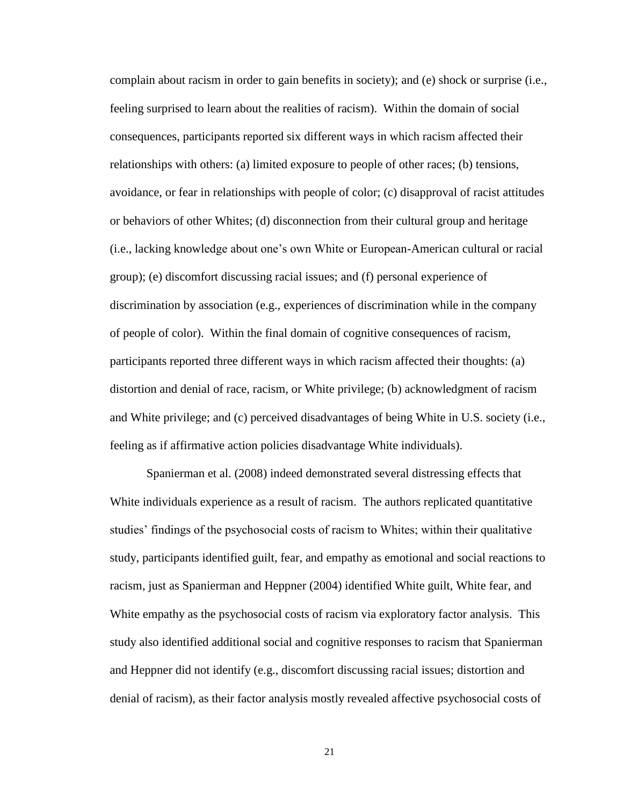complain about racism in order to gain benefits in society); and (e) shock or surprise (i.e., feeling surprised to learn about the realities of racism). Within the domain of social consequences, participants reported six different ways in which racism affected their relationships with others: (a) limited exposure to people of other races; (b) tensions, avoidance, or fear in relationships with people of color; (c) disapproval of racist attitudes or behaviors of other Whites; (d) disconnection from their cultural group and heritage (i.e., lacking knowledge about one's own White or European-American cultural or racial group); (e) discomfort discussing racial issues; and (f) personal experience of discrimination by association (e.g., experiences of discrimination while in the company of people of color). Within the final domain of cognitive consequences of racism, participants reported three different ways in which racism affected their thoughts: (a) distortion and denial of race, racism, or White privilege; (b) acknowledgment of racism and White privilege; and (c) perceived disadvantages of being White in U.S. society (i.e., feeling as if affirmative action policies disadvantage White individuals).

Spanierman et al. (2008) indeed demonstrated several distressing effects that White individuals experience as a result of racism. The authors replicated quantitative studies' findings of the psychosocial costs of racism to Whites; within their qualitative study, participants identified guilt, fear, and empathy as emotional and social reactions to racism, just as Spanierman and Heppner (2004) identified White guilt, White fear, and White empathy as the psychosocial costs of racism via exploratory factor analysis. This study also identified additional social and cognitive responses to racism that Spanierman and Heppner did not identify (e.g., discomfort discussing racial issues; distortion and denial of racism), as their factor analysis mostly revealed affective psychosocial costs of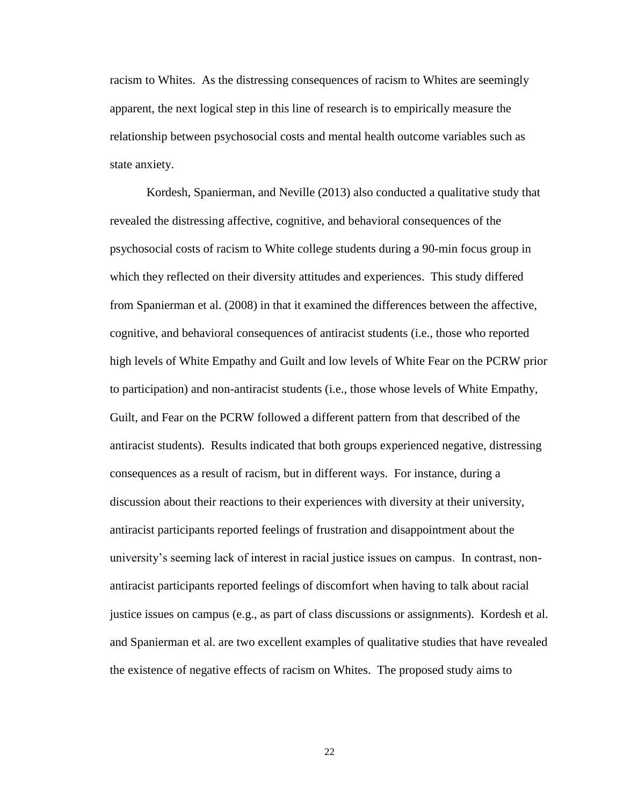racism to Whites. As the distressing consequences of racism to Whites are seemingly apparent, the next logical step in this line of research is to empirically measure the relationship between psychosocial costs and mental health outcome variables such as state anxiety.

Kordesh, Spanierman, and Neville (2013) also conducted a qualitative study that revealed the distressing affective, cognitive, and behavioral consequences of the psychosocial costs of racism to White college students during a 90-min focus group in which they reflected on their diversity attitudes and experiences. This study differed from Spanierman et al. (2008) in that it examined the differences between the affective, cognitive, and behavioral consequences of antiracist students (i.e., those who reported high levels of White Empathy and Guilt and low levels of White Fear on the PCRW prior to participation) and non-antiracist students (i.e., those whose levels of White Empathy, Guilt, and Fear on the PCRW followed a different pattern from that described of the antiracist students). Results indicated that both groups experienced negative, distressing consequences as a result of racism, but in different ways. For instance, during a discussion about their reactions to their experiences with diversity at their university, antiracist participants reported feelings of frustration and disappointment about the university's seeming lack of interest in racial justice issues on campus. In contrast, nonantiracist participants reported feelings of discomfort when having to talk about racial justice issues on campus (e.g., as part of class discussions or assignments). Kordesh et al. and Spanierman et al. are two excellent examples of qualitative studies that have revealed the existence of negative effects of racism on Whites. The proposed study aims to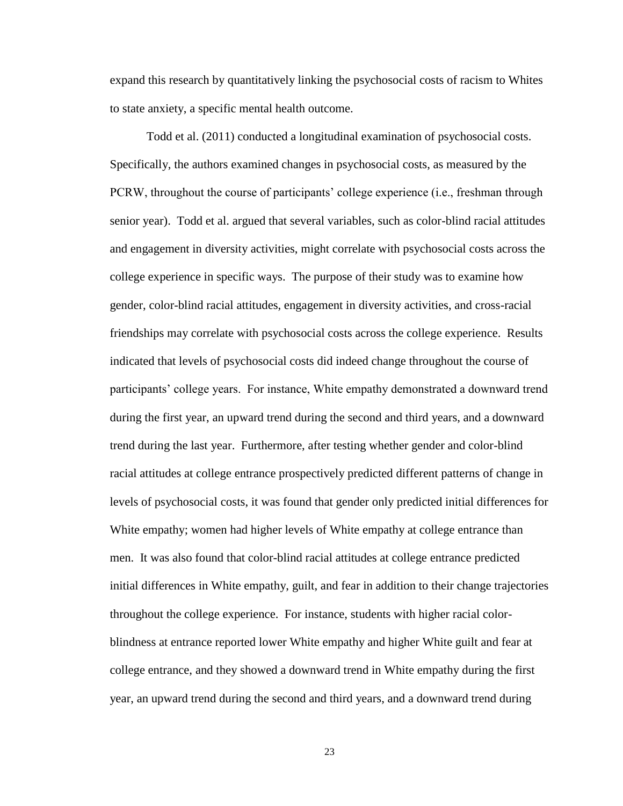expand this research by quantitatively linking the psychosocial costs of racism to Whites to state anxiety, a specific mental health outcome.

Todd et al. (2011) conducted a longitudinal examination of psychosocial costs. Specifically, the authors examined changes in psychosocial costs, as measured by the PCRW, throughout the course of participants' college experience (i.e., freshman through senior year). Todd et al. argued that several variables, such as color-blind racial attitudes and engagement in diversity activities, might correlate with psychosocial costs across the college experience in specific ways. The purpose of their study was to examine how gender, color-blind racial attitudes, engagement in diversity activities, and cross-racial friendships may correlate with psychosocial costs across the college experience. Results indicated that levels of psychosocial costs did indeed change throughout the course of participants' college years. For instance, White empathy demonstrated a downward trend during the first year, an upward trend during the second and third years, and a downward trend during the last year. Furthermore, after testing whether gender and color-blind racial attitudes at college entrance prospectively predicted different patterns of change in levels of psychosocial costs, it was found that gender only predicted initial differences for White empathy; women had higher levels of White empathy at college entrance than men. It was also found that color-blind racial attitudes at college entrance predicted initial differences in White empathy, guilt, and fear in addition to their change trajectories throughout the college experience. For instance, students with higher racial colorblindness at entrance reported lower White empathy and higher White guilt and fear at college entrance, and they showed a downward trend in White empathy during the first year, an upward trend during the second and third years, and a downward trend during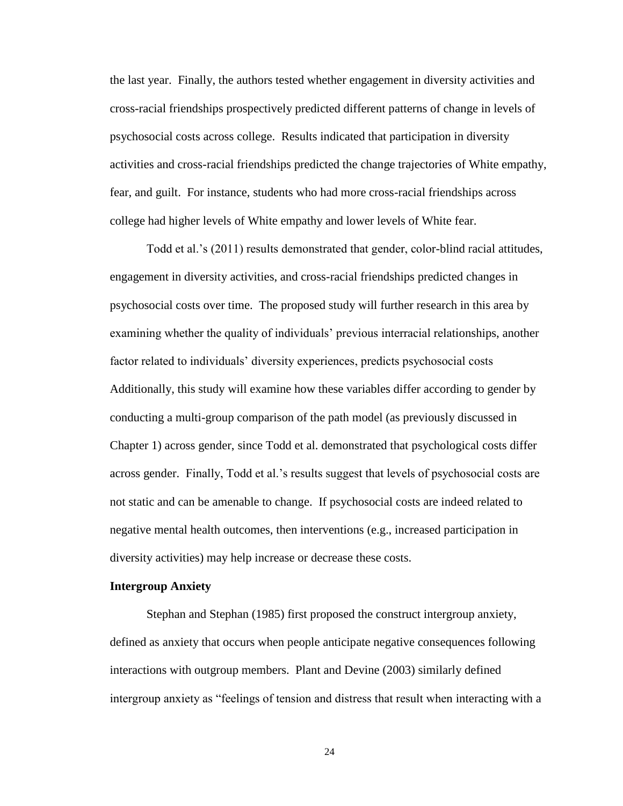the last year. Finally, the authors tested whether engagement in diversity activities and cross-racial friendships prospectively predicted different patterns of change in levels of psychosocial costs across college. Results indicated that participation in diversity activities and cross-racial friendships predicted the change trajectories of White empathy, fear, and guilt. For instance, students who had more cross-racial friendships across college had higher levels of White empathy and lower levels of White fear.

Todd et al.'s (2011) results demonstrated that gender, color-blind racial attitudes, engagement in diversity activities, and cross-racial friendships predicted changes in psychosocial costs over time. The proposed study will further research in this area by examining whether the quality of individuals' previous interracial relationships, another factor related to individuals' diversity experiences, predicts psychosocial costs Additionally, this study will examine how these variables differ according to gender by conducting a multi-group comparison of the path model (as previously discussed in Chapter 1) across gender, since Todd et al. demonstrated that psychological costs differ across gender. Finally, Todd et al.'s results suggest that levels of psychosocial costs are not static and can be amenable to change. If psychosocial costs are indeed related to negative mental health outcomes, then interventions (e.g., increased participation in diversity activities) may help increase or decrease these costs.

### **Intergroup Anxiety**

Stephan and Stephan (1985) first proposed the construct intergroup anxiety, defined as anxiety that occurs when people anticipate negative consequences following interactions with outgroup members. Plant and Devine (2003) similarly defined intergroup anxiety as "feelings of tension and distress that result when interacting with a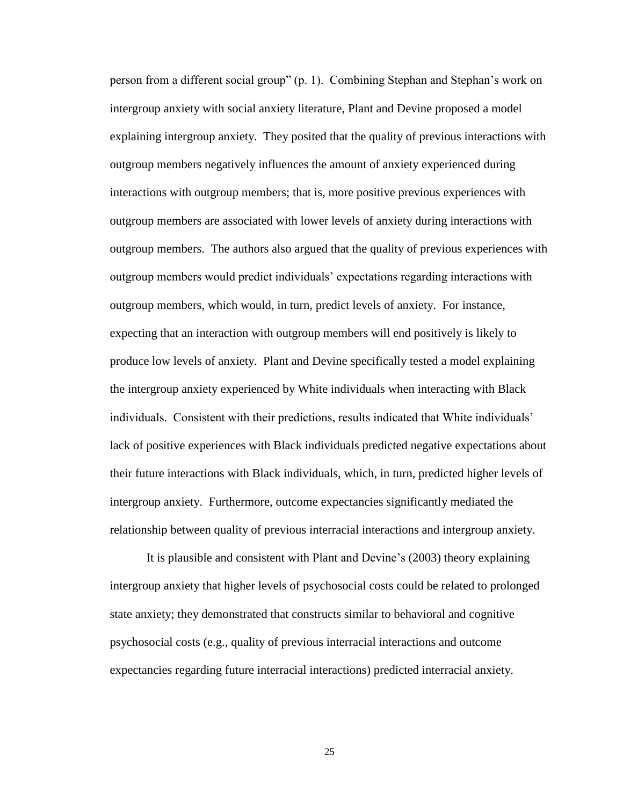person from a different social group" (p. 1). Combining Stephan and Stephan's work on intergroup anxiety with social anxiety literature, Plant and Devine proposed a model explaining intergroup anxiety. They posited that the quality of previous interactions with outgroup members negatively influences the amount of anxiety experienced during interactions with outgroup members; that is, more positive previous experiences with outgroup members are associated with lower levels of anxiety during interactions with outgroup members. The authors also argued that the quality of previous experiences with outgroup members would predict individuals' expectations regarding interactions with outgroup members, which would, in turn, predict levels of anxiety. For instance, expecting that an interaction with outgroup members will end positively is likely to produce low levels of anxiety. Plant and Devine specifically tested a model explaining the intergroup anxiety experienced by White individuals when interacting with Black individuals. Consistent with their predictions, results indicated that White individuals' lack of positive experiences with Black individuals predicted negative expectations about their future interactions with Black individuals, which, in turn, predicted higher levels of intergroup anxiety. Furthermore, outcome expectancies significantly mediated the relationship between quality of previous interracial interactions and intergroup anxiety.

It is plausible and consistent with Plant and Devine's (2003) theory explaining intergroup anxiety that higher levels of psychosocial costs could be related to prolonged state anxiety; they demonstrated that constructs similar to behavioral and cognitive psychosocial costs (e.g., quality of previous interracial interactions and outcome expectancies regarding future interracial interactions) predicted interracial anxiety.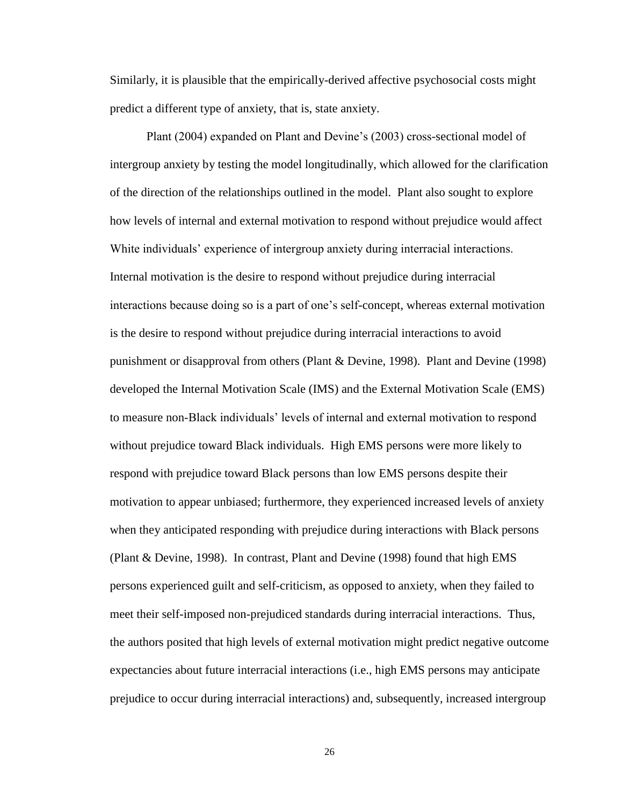Similarly, it is plausible that the empirically-derived affective psychosocial costs might predict a different type of anxiety, that is, state anxiety.

Plant (2004) expanded on Plant and Devine's (2003) cross-sectional model of intergroup anxiety by testing the model longitudinally, which allowed for the clarification of the direction of the relationships outlined in the model. Plant also sought to explore how levels of internal and external motivation to respond without prejudice would affect White individuals' experience of intergroup anxiety during interracial interactions. Internal motivation is the desire to respond without prejudice during interracial interactions because doing so is a part of one's self-concept, whereas external motivation is the desire to respond without prejudice during interracial interactions to avoid punishment or disapproval from others (Plant & Devine, 1998). Plant and Devine (1998) developed the Internal Motivation Scale (IMS) and the External Motivation Scale (EMS) to measure non-Black individuals' levels of internal and external motivation to respond without prejudice toward Black individuals. High EMS persons were more likely to respond with prejudice toward Black persons than low EMS persons despite their motivation to appear unbiased; furthermore, they experienced increased levels of anxiety when they anticipated responding with prejudice during interactions with Black persons (Plant & Devine, 1998). In contrast, Plant and Devine (1998) found that high EMS persons experienced guilt and self-criticism, as opposed to anxiety, when they failed to meet their self-imposed non-prejudiced standards during interracial interactions. Thus, the authors posited that high levels of external motivation might predict negative outcome expectancies about future interracial interactions (i.e., high EMS persons may anticipate prejudice to occur during interracial interactions) and, subsequently, increased intergroup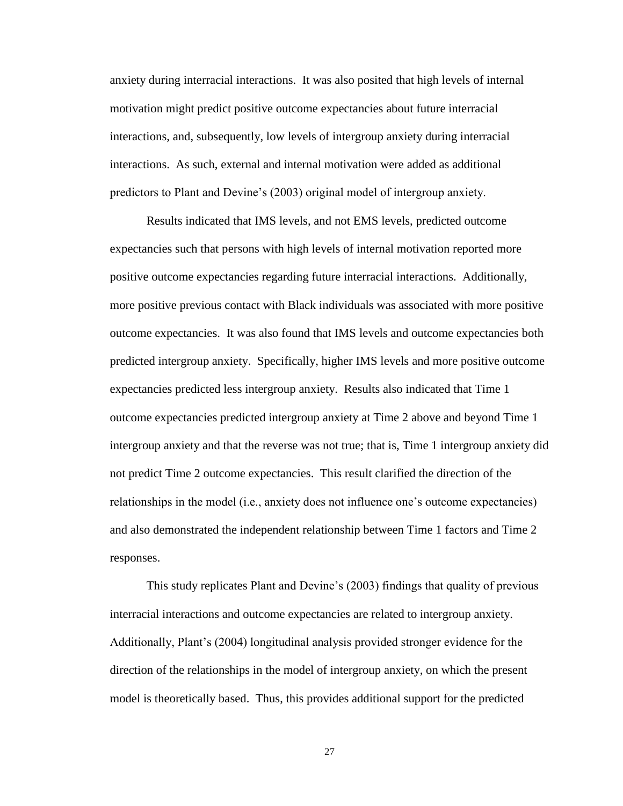anxiety during interracial interactions. It was also posited that high levels of internal motivation might predict positive outcome expectancies about future interracial interactions, and, subsequently, low levels of intergroup anxiety during interracial interactions. As such, external and internal motivation were added as additional predictors to Plant and Devine's (2003) original model of intergroup anxiety.

Results indicated that IMS levels, and not EMS levels, predicted outcome expectancies such that persons with high levels of internal motivation reported more positive outcome expectancies regarding future interracial interactions. Additionally, more positive previous contact with Black individuals was associated with more positive outcome expectancies. It was also found that IMS levels and outcome expectancies both predicted intergroup anxiety. Specifically, higher IMS levels and more positive outcome expectancies predicted less intergroup anxiety. Results also indicated that Time 1 outcome expectancies predicted intergroup anxiety at Time 2 above and beyond Time 1 intergroup anxiety and that the reverse was not true; that is, Time 1 intergroup anxiety did not predict Time 2 outcome expectancies. This result clarified the direction of the relationships in the model (i.e., anxiety does not influence one's outcome expectancies) and also demonstrated the independent relationship between Time 1 factors and Time 2 responses.

This study replicates Plant and Devine's (2003) findings that quality of previous interracial interactions and outcome expectancies are related to intergroup anxiety. Additionally, Plant's (2004) longitudinal analysis provided stronger evidence for the direction of the relationships in the model of intergroup anxiety, on which the present model is theoretically based. Thus, this provides additional support for the predicted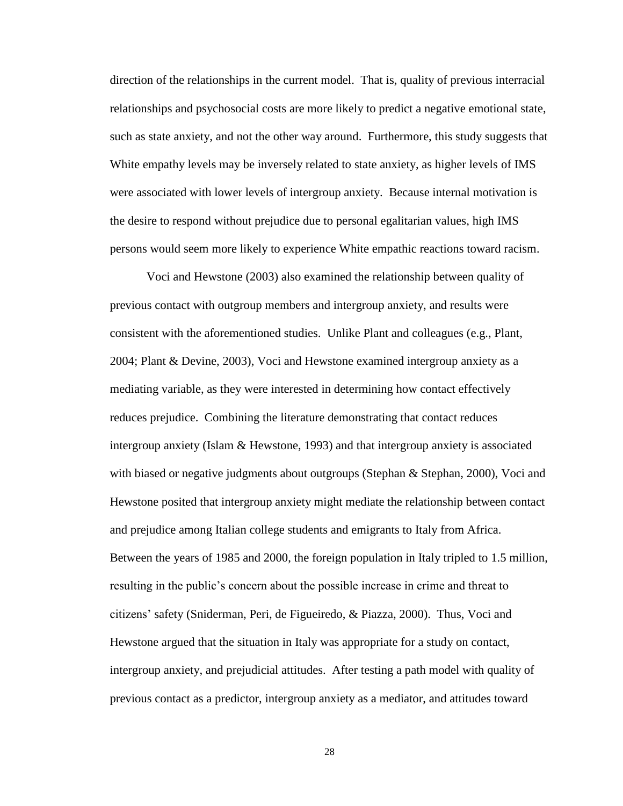direction of the relationships in the current model. That is, quality of previous interracial relationships and psychosocial costs are more likely to predict a negative emotional state, such as state anxiety, and not the other way around. Furthermore, this study suggests that White empathy levels may be inversely related to state anxiety, as higher levels of IMS were associated with lower levels of intergroup anxiety. Because internal motivation is the desire to respond without prejudice due to personal egalitarian values, high IMS persons would seem more likely to experience White empathic reactions toward racism.

Voci and Hewstone (2003) also examined the relationship between quality of previous contact with outgroup members and intergroup anxiety, and results were consistent with the aforementioned studies. Unlike Plant and colleagues (e.g., Plant, 2004; Plant & Devine, 2003), Voci and Hewstone examined intergroup anxiety as a mediating variable, as they were interested in determining how contact effectively reduces prejudice. Combining the literature demonstrating that contact reduces intergroup anxiety (Islam & Hewstone, 1993) and that intergroup anxiety is associated with biased or negative judgments about outgroups (Stephan & Stephan, 2000), Voci and Hewstone posited that intergroup anxiety might mediate the relationship between contact and prejudice among Italian college students and emigrants to Italy from Africa. Between the years of 1985 and 2000, the foreign population in Italy tripled to 1.5 million, resulting in the public's concern about the possible increase in crime and threat to citizens' safety (Sniderman, Peri, de Figueiredo, & Piazza, 2000). Thus, Voci and Hewstone argued that the situation in Italy was appropriate for a study on contact, intergroup anxiety, and prejudicial attitudes. After testing a path model with quality of previous contact as a predictor, intergroup anxiety as a mediator, and attitudes toward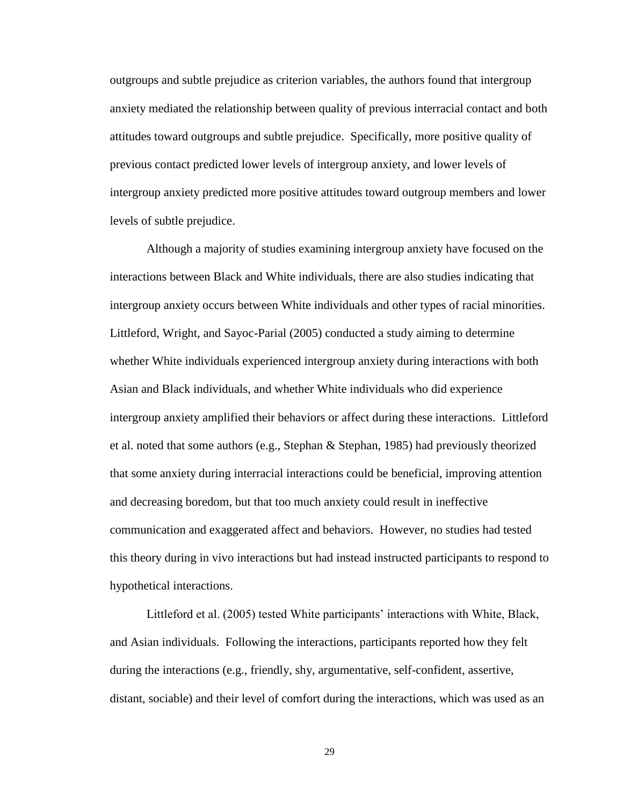outgroups and subtle prejudice as criterion variables, the authors found that intergroup anxiety mediated the relationship between quality of previous interracial contact and both attitudes toward outgroups and subtle prejudice. Specifically, more positive quality of previous contact predicted lower levels of intergroup anxiety, and lower levels of intergroup anxiety predicted more positive attitudes toward outgroup members and lower levels of subtle prejudice.

Although a majority of studies examining intergroup anxiety have focused on the interactions between Black and White individuals, there are also studies indicating that intergroup anxiety occurs between White individuals and other types of racial minorities. Littleford, Wright, and Sayoc-Parial (2005) conducted a study aiming to determine whether White individuals experienced intergroup anxiety during interactions with both Asian and Black individuals, and whether White individuals who did experience intergroup anxiety amplified their behaviors or affect during these interactions. Littleford et al. noted that some authors (e.g., Stephan & Stephan, 1985) had previously theorized that some anxiety during interracial interactions could be beneficial, improving attention and decreasing boredom, but that too much anxiety could result in ineffective communication and exaggerated affect and behaviors. However, no studies had tested this theory during in vivo interactions but had instead instructed participants to respond to hypothetical interactions.

Littleford et al. (2005) tested White participants' interactions with White, Black, and Asian individuals. Following the interactions, participants reported how they felt during the interactions (e.g., friendly, shy, argumentative, self-confident, assertive, distant, sociable) and their level of comfort during the interactions, which was used as an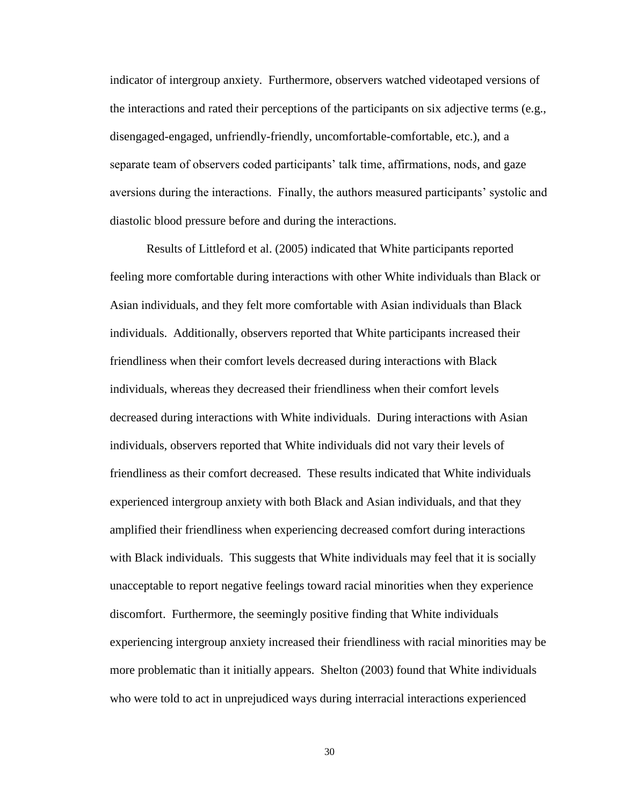indicator of intergroup anxiety. Furthermore, observers watched videotaped versions of the interactions and rated their perceptions of the participants on six adjective terms (e.g., disengaged-engaged, unfriendly-friendly, uncomfortable-comfortable, etc.), and a separate team of observers coded participants' talk time, affirmations, nods, and gaze aversions during the interactions. Finally, the authors measured participants' systolic and diastolic blood pressure before and during the interactions.

Results of Littleford et al. (2005) indicated that White participants reported feeling more comfortable during interactions with other White individuals than Black or Asian individuals, and they felt more comfortable with Asian individuals than Black individuals. Additionally, observers reported that White participants increased their friendliness when their comfort levels decreased during interactions with Black individuals, whereas they decreased their friendliness when their comfort levels decreased during interactions with White individuals. During interactions with Asian individuals, observers reported that White individuals did not vary their levels of friendliness as their comfort decreased. These results indicated that White individuals experienced intergroup anxiety with both Black and Asian individuals, and that they amplified their friendliness when experiencing decreased comfort during interactions with Black individuals. This suggests that White individuals may feel that it is socially unacceptable to report negative feelings toward racial minorities when they experience discomfort. Furthermore, the seemingly positive finding that White individuals experiencing intergroup anxiety increased their friendliness with racial minorities may be more problematic than it initially appears. Shelton (2003) found that White individuals who were told to act in unprejudiced ways during interracial interactions experienced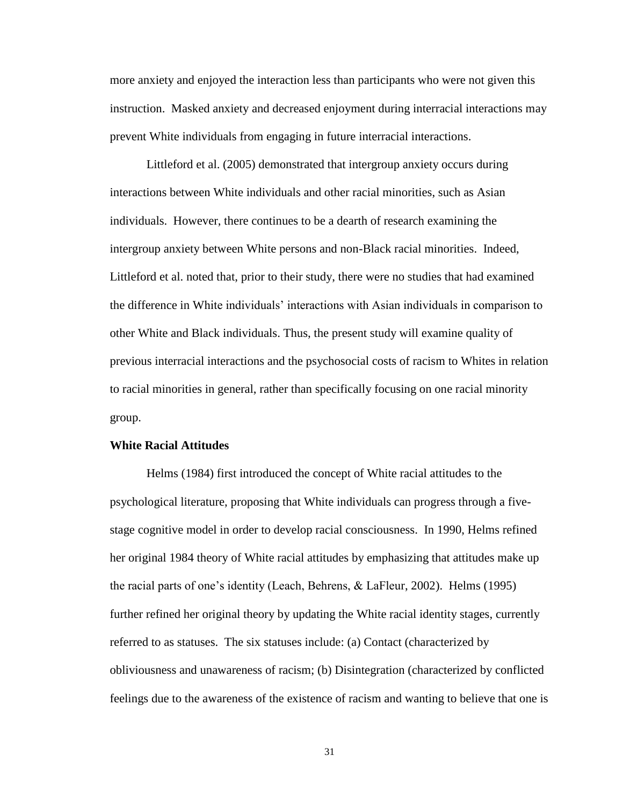more anxiety and enjoyed the interaction less than participants who were not given this instruction. Masked anxiety and decreased enjoyment during interracial interactions may prevent White individuals from engaging in future interracial interactions.

Littleford et al. (2005) demonstrated that intergroup anxiety occurs during interactions between White individuals and other racial minorities, such as Asian individuals. However, there continues to be a dearth of research examining the intergroup anxiety between White persons and non-Black racial minorities. Indeed, Littleford et al. noted that, prior to their study, there were no studies that had examined the difference in White individuals' interactions with Asian individuals in comparison to other White and Black individuals. Thus, the present study will examine quality of previous interracial interactions and the psychosocial costs of racism to Whites in relation to racial minorities in general, rather than specifically focusing on one racial minority group.

## **White Racial Attitudes**

Helms (1984) first introduced the concept of White racial attitudes to the psychological literature, proposing that White individuals can progress through a fivestage cognitive model in order to develop racial consciousness. In 1990, Helms refined her original 1984 theory of White racial attitudes by emphasizing that attitudes make up the racial parts of one's identity (Leach, Behrens, & LaFleur, 2002). Helms (1995) further refined her original theory by updating the White racial identity stages, currently referred to as statuses. The six statuses include: (a) Contact (characterized by obliviousness and unawareness of racism; (b) Disintegration (characterized by conflicted feelings due to the awareness of the existence of racism and wanting to believe that one is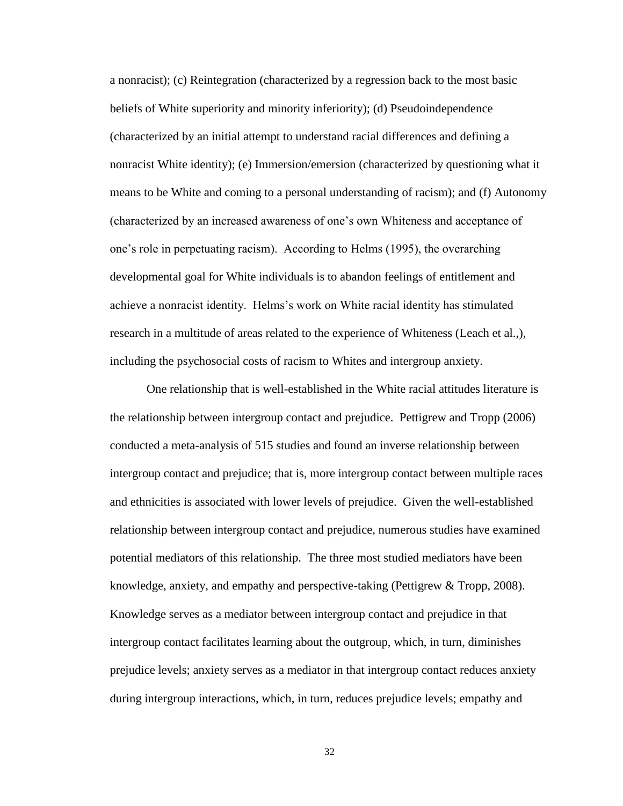a nonracist); (c) Reintegration (characterized by a regression back to the most basic beliefs of White superiority and minority inferiority); (d) Pseudoindependence (characterized by an initial attempt to understand racial differences and defining a nonracist White identity); (e) Immersion/emersion (characterized by questioning what it means to be White and coming to a personal understanding of racism); and (f) Autonomy (characterized by an increased awareness of one's own Whiteness and acceptance of one's role in perpetuating racism). According to Helms (1995), the overarching developmental goal for White individuals is to abandon feelings of entitlement and achieve a nonracist identity. Helms's work on White racial identity has stimulated research in a multitude of areas related to the experience of Whiteness (Leach et al.,), including the psychosocial costs of racism to Whites and intergroup anxiety.

One relationship that is well-established in the White racial attitudes literature is the relationship between intergroup contact and prejudice. Pettigrew and Tropp (2006) conducted a meta-analysis of 515 studies and found an inverse relationship between intergroup contact and prejudice; that is, more intergroup contact between multiple races and ethnicities is associated with lower levels of prejudice. Given the well-established relationship between intergroup contact and prejudice, numerous studies have examined potential mediators of this relationship. The three most studied mediators have been knowledge, anxiety, and empathy and perspective-taking (Pettigrew & Tropp, 2008). Knowledge serves as a mediator between intergroup contact and prejudice in that intergroup contact facilitates learning about the outgroup, which, in turn, diminishes prejudice levels; anxiety serves as a mediator in that intergroup contact reduces anxiety during intergroup interactions, which, in turn, reduces prejudice levels; empathy and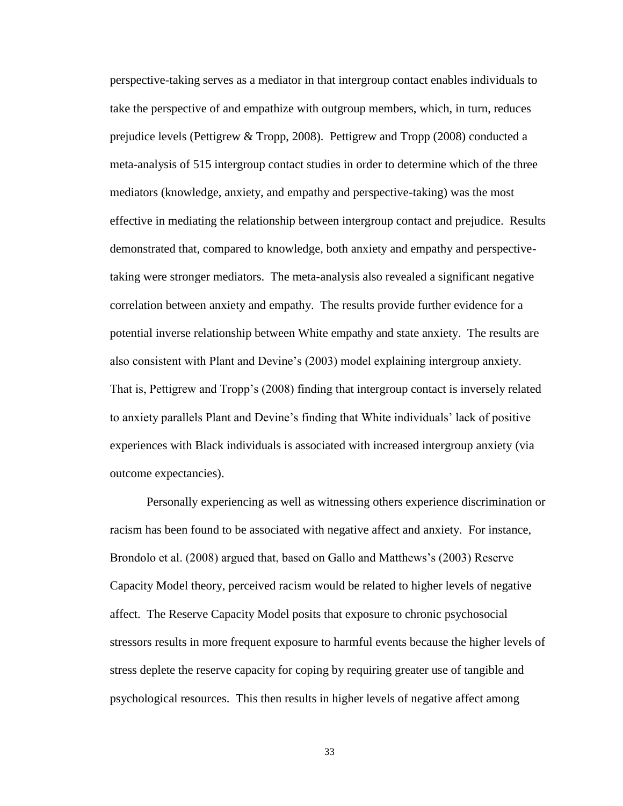perspective-taking serves as a mediator in that intergroup contact enables individuals to take the perspective of and empathize with outgroup members, which, in turn, reduces prejudice levels (Pettigrew & Tropp, 2008). Pettigrew and Tropp (2008) conducted a meta-analysis of 515 intergroup contact studies in order to determine which of the three mediators (knowledge, anxiety, and empathy and perspective-taking) was the most effective in mediating the relationship between intergroup contact and prejudice. Results demonstrated that, compared to knowledge, both anxiety and empathy and perspectivetaking were stronger mediators. The meta-analysis also revealed a significant negative correlation between anxiety and empathy. The results provide further evidence for a potential inverse relationship between White empathy and state anxiety. The results are also consistent with Plant and Devine's (2003) model explaining intergroup anxiety. That is, Pettigrew and Tropp's (2008) finding that intergroup contact is inversely related to anxiety parallels Plant and Devine's finding that White individuals' lack of positive experiences with Black individuals is associated with increased intergroup anxiety (via outcome expectancies).

Personally experiencing as well as witnessing others experience discrimination or racism has been found to be associated with negative affect and anxiety. For instance, Brondolo et al. (2008) argued that, based on Gallo and Matthews's (2003) Reserve Capacity Model theory, perceived racism would be related to higher levels of negative affect. The Reserve Capacity Model posits that exposure to chronic psychosocial stressors results in more frequent exposure to harmful events because the higher levels of stress deplete the reserve capacity for coping by requiring greater use of tangible and psychological resources. This then results in higher levels of negative affect among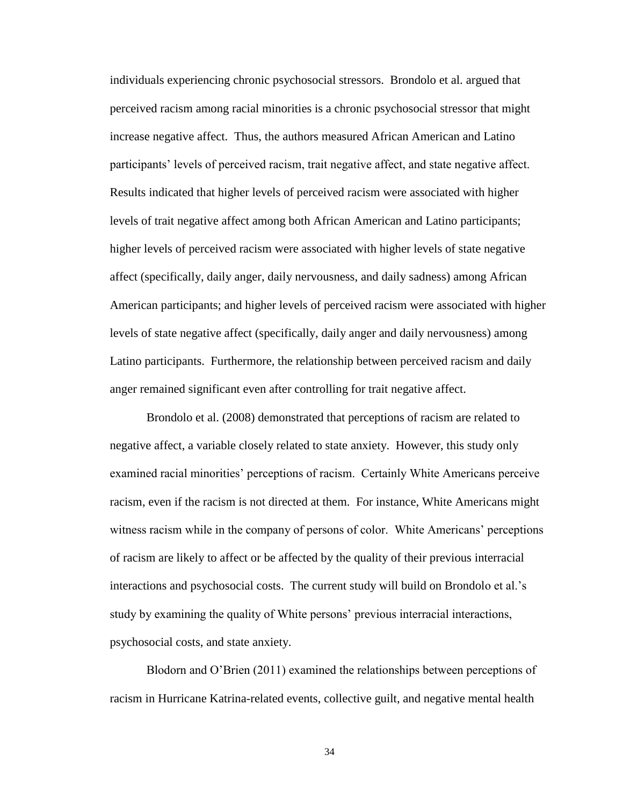individuals experiencing chronic psychosocial stressors. Brondolo et al. argued that perceived racism among racial minorities is a chronic psychosocial stressor that might increase negative affect. Thus, the authors measured African American and Latino participants' levels of perceived racism, trait negative affect, and state negative affect. Results indicated that higher levels of perceived racism were associated with higher levels of trait negative affect among both African American and Latino participants; higher levels of perceived racism were associated with higher levels of state negative affect (specifically, daily anger, daily nervousness, and daily sadness) among African American participants; and higher levels of perceived racism were associated with higher levels of state negative affect (specifically, daily anger and daily nervousness) among Latino participants. Furthermore, the relationship between perceived racism and daily anger remained significant even after controlling for trait negative affect.

Brondolo et al. (2008) demonstrated that perceptions of racism are related to negative affect, a variable closely related to state anxiety. However, this study only examined racial minorities' perceptions of racism. Certainly White Americans perceive racism, even if the racism is not directed at them. For instance, White Americans might witness racism while in the company of persons of color. White Americans' perceptions of racism are likely to affect or be affected by the quality of their previous interracial interactions and psychosocial costs. The current study will build on Brondolo et al.'s study by examining the quality of White persons' previous interracial interactions, psychosocial costs, and state anxiety.

Blodorn and O'Brien (2011) examined the relationships between perceptions of racism in Hurricane Katrina-related events, collective guilt, and negative mental health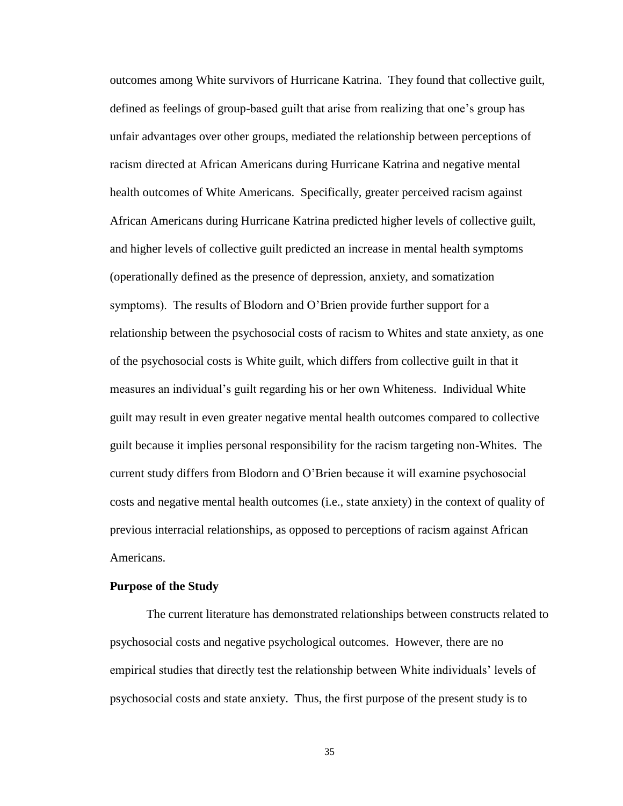outcomes among White survivors of Hurricane Katrina. They found that collective guilt, defined as feelings of group-based guilt that arise from realizing that one's group has unfair advantages over other groups, mediated the relationship between perceptions of racism directed at African Americans during Hurricane Katrina and negative mental health outcomes of White Americans. Specifically, greater perceived racism against African Americans during Hurricane Katrina predicted higher levels of collective guilt, and higher levels of collective guilt predicted an increase in mental health symptoms (operationally defined as the presence of depression, anxiety, and somatization symptoms). The results of Blodorn and O'Brien provide further support for a relationship between the psychosocial costs of racism to Whites and state anxiety, as one of the psychosocial costs is White guilt, which differs from collective guilt in that it measures an individual's guilt regarding his or her own Whiteness. Individual White guilt may result in even greater negative mental health outcomes compared to collective guilt because it implies personal responsibility for the racism targeting non-Whites. The current study differs from Blodorn and O'Brien because it will examine psychosocial costs and negative mental health outcomes (i.e., state anxiety) in the context of quality of previous interracial relationships, as opposed to perceptions of racism against African Americans.

### **Purpose of the Study**

The current literature has demonstrated relationships between constructs related to psychosocial costs and negative psychological outcomes. However, there are no empirical studies that directly test the relationship between White individuals' levels of psychosocial costs and state anxiety. Thus, the first purpose of the present study is to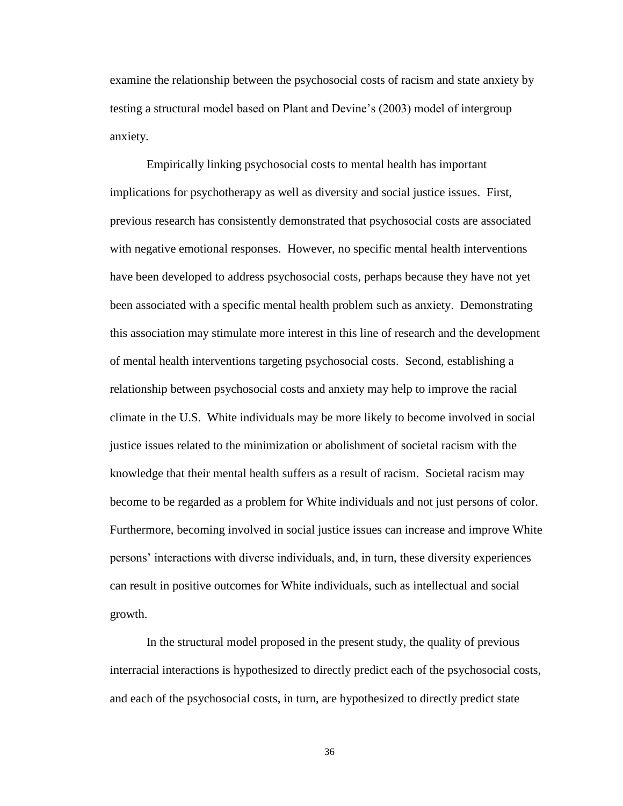examine the relationship between the psychosocial costs of racism and state anxiety by testing a structural model based on Plant and Devine's (2003) model of intergroup anxiety.

Empirically linking psychosocial costs to mental health has important implications for psychotherapy as well as diversity and social justice issues. First, previous research has consistently demonstrated that psychosocial costs are associated with negative emotional responses. However, no specific mental health interventions have been developed to address psychosocial costs, perhaps because they have not yet been associated with a specific mental health problem such as anxiety. Demonstrating this association may stimulate more interest in this line of research and the development of mental health interventions targeting psychosocial costs. Second, establishing a relationship between psychosocial costs and anxiety may help to improve the racial climate in the U.S. White individuals may be more likely to become involved in social justice issues related to the minimization or abolishment of societal racism with the knowledge that their mental health suffers as a result of racism. Societal racism may become to be regarded as a problem for White individuals and not just persons of color. Furthermore, becoming involved in social justice issues can increase and improve White persons' interactions with diverse individuals, and, in turn, these diversity experiences can result in positive outcomes for White individuals, such as intellectual and social growth.

In the structural model proposed in the present study, the quality of previous interracial interactions is hypothesized to directly predict each of the psychosocial costs, and each of the psychosocial costs, in turn, are hypothesized to directly predict state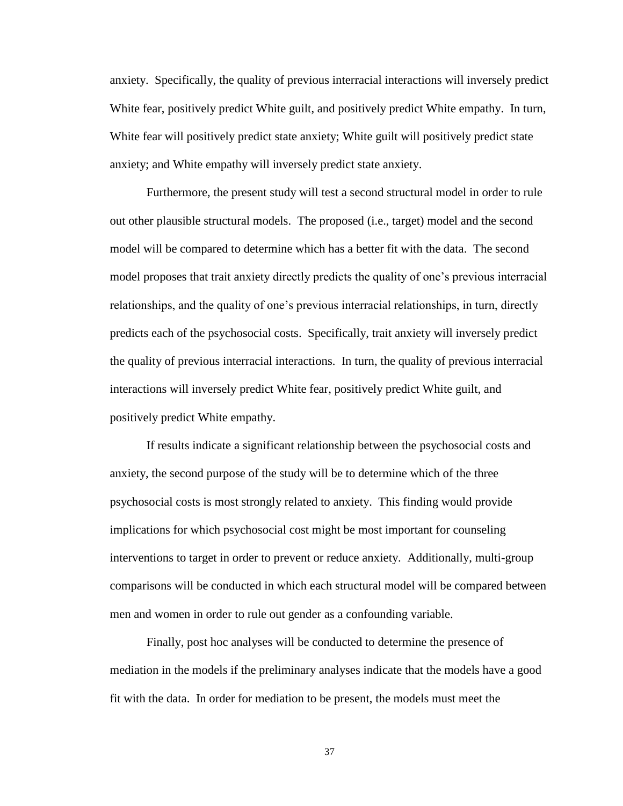anxiety. Specifically, the quality of previous interracial interactions will inversely predict White fear, positively predict White guilt, and positively predict White empathy. In turn, White fear will positively predict state anxiety; White guilt will positively predict state anxiety; and White empathy will inversely predict state anxiety.

Furthermore, the present study will test a second structural model in order to rule out other plausible structural models. The proposed (i.e., target) model and the second model will be compared to determine which has a better fit with the data. The second model proposes that trait anxiety directly predicts the quality of one's previous interracial relationships, and the quality of one's previous interracial relationships, in turn, directly predicts each of the psychosocial costs. Specifically, trait anxiety will inversely predict the quality of previous interracial interactions. In turn, the quality of previous interracial interactions will inversely predict White fear, positively predict White guilt, and positively predict White empathy.

If results indicate a significant relationship between the psychosocial costs and anxiety, the second purpose of the study will be to determine which of the three psychosocial costs is most strongly related to anxiety. This finding would provide implications for which psychosocial cost might be most important for counseling interventions to target in order to prevent or reduce anxiety. Additionally, multi-group comparisons will be conducted in which each structural model will be compared between men and women in order to rule out gender as a confounding variable.

Finally, post hoc analyses will be conducted to determine the presence of mediation in the models if the preliminary analyses indicate that the models have a good fit with the data. In order for mediation to be present, the models must meet the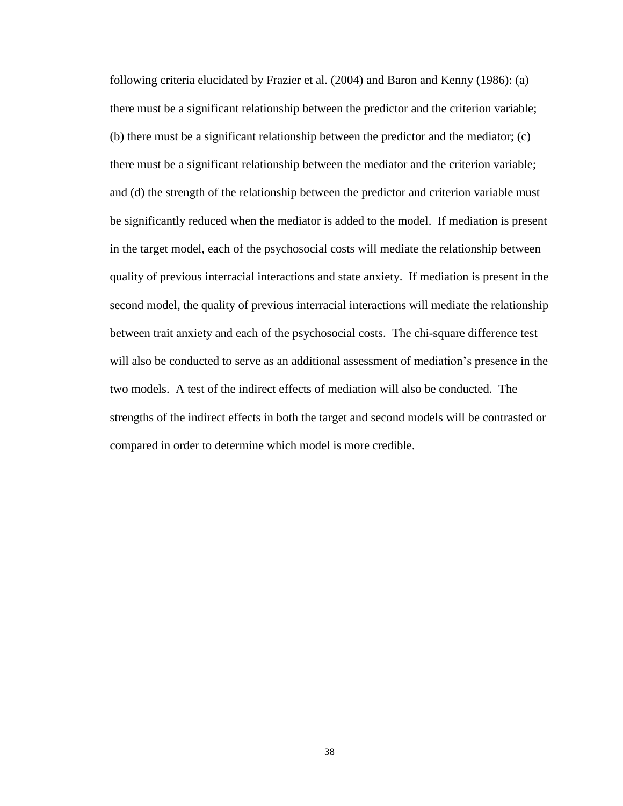following criteria elucidated by Frazier et al. (2004) and Baron and Kenny (1986): (a) there must be a significant relationship between the predictor and the criterion variable; (b) there must be a significant relationship between the predictor and the mediator; (c) there must be a significant relationship between the mediator and the criterion variable; and (d) the strength of the relationship between the predictor and criterion variable must be significantly reduced when the mediator is added to the model. If mediation is present in the target model, each of the psychosocial costs will mediate the relationship between quality of previous interracial interactions and state anxiety. If mediation is present in the second model, the quality of previous interracial interactions will mediate the relationship between trait anxiety and each of the psychosocial costs. The chi-square difference test will also be conducted to serve as an additional assessment of mediation's presence in the two models. A test of the indirect effects of mediation will also be conducted. The strengths of the indirect effects in both the target and second models will be contrasted or compared in order to determine which model is more credible.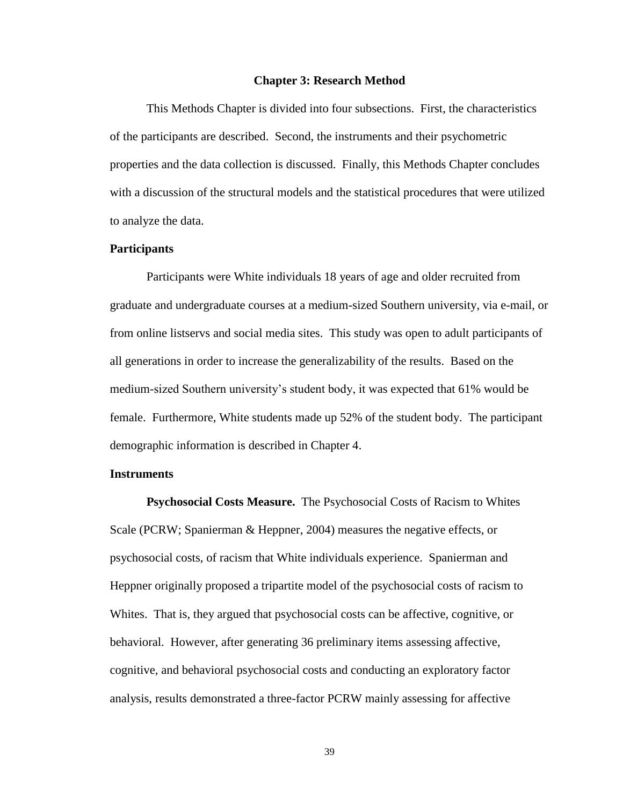### **Chapter 3: Research Method**

This Methods Chapter is divided into four subsections. First, the characteristics of the participants are described. Second, the instruments and their psychometric properties and the data collection is discussed. Finally, this Methods Chapter concludes with a discussion of the structural models and the statistical procedures that were utilized to analyze the data.

### **Participants**

Participants were White individuals 18 years of age and older recruited from graduate and undergraduate courses at a medium-sized Southern university, via e-mail, or from online listservs and social media sites. This study was open to adult participants of all generations in order to increase the generalizability of the results. Based on the medium-sized Southern university's student body, it was expected that 61% would be female. Furthermore, White students made up 52% of the student body. The participant demographic information is described in Chapter 4.

## **Instruments**

**Psychosocial Costs Measure.** The Psychosocial Costs of Racism to Whites Scale (PCRW; Spanierman & Heppner, 2004) measures the negative effects, or psychosocial costs, of racism that White individuals experience. Spanierman and Heppner originally proposed a tripartite model of the psychosocial costs of racism to Whites. That is, they argued that psychosocial costs can be affective, cognitive, or behavioral. However, after generating 36 preliminary items assessing affective, cognitive, and behavioral psychosocial costs and conducting an exploratory factor analysis, results demonstrated a three-factor PCRW mainly assessing for affective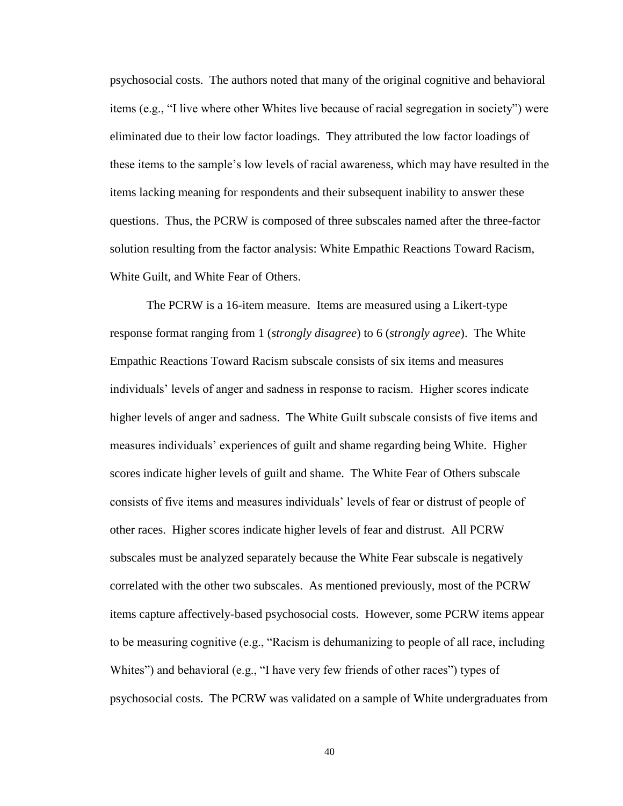psychosocial costs. The authors noted that many of the original cognitive and behavioral items (e.g., "I live where other Whites live because of racial segregation in society") were eliminated due to their low factor loadings. They attributed the low factor loadings of these items to the sample's low levels of racial awareness, which may have resulted in the items lacking meaning for respondents and their subsequent inability to answer these questions. Thus, the PCRW is composed of three subscales named after the three-factor solution resulting from the factor analysis: White Empathic Reactions Toward Racism, White Guilt, and White Fear of Others.

The PCRW is a 16-item measure. Items are measured using a Likert-type response format ranging from 1 (*strongly disagree*) to 6 (*strongly agree*). The White Empathic Reactions Toward Racism subscale consists of six items and measures individuals' levels of anger and sadness in response to racism. Higher scores indicate higher levels of anger and sadness. The White Guilt subscale consists of five items and measures individuals' experiences of guilt and shame regarding being White. Higher scores indicate higher levels of guilt and shame. The White Fear of Others subscale consists of five items and measures individuals' levels of fear or distrust of people of other races. Higher scores indicate higher levels of fear and distrust. All PCRW subscales must be analyzed separately because the White Fear subscale is negatively correlated with the other two subscales. As mentioned previously, most of the PCRW items capture affectively-based psychosocial costs. However, some PCRW items appear to be measuring cognitive (e.g., "Racism is dehumanizing to people of all race, including Whites") and behavioral (e.g., "I have very few friends of other races") types of psychosocial costs. The PCRW was validated on a sample of White undergraduates from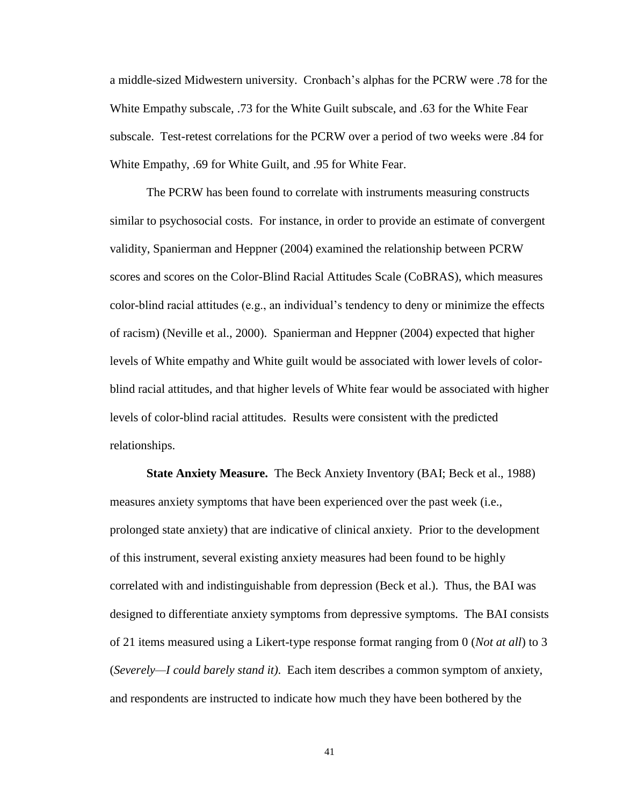a middle-sized Midwestern university. Cronbach's alphas for the PCRW were .78 for the White Empathy subscale, .73 for the White Guilt subscale, and .63 for the White Fear subscale. Test-retest correlations for the PCRW over a period of two weeks were .84 for White Empathy, .69 for White Guilt, and .95 for White Fear.

The PCRW has been found to correlate with instruments measuring constructs similar to psychosocial costs. For instance, in order to provide an estimate of convergent validity, Spanierman and Heppner (2004) examined the relationship between PCRW scores and scores on the Color-Blind Racial Attitudes Scale (CoBRAS), which measures color-blind racial attitudes (e.g., an individual's tendency to deny or minimize the effects of racism) (Neville et al., 2000). Spanierman and Heppner (2004) expected that higher levels of White empathy and White guilt would be associated with lower levels of colorblind racial attitudes, and that higher levels of White fear would be associated with higher levels of color-blind racial attitudes. Results were consistent with the predicted relationships.

**State Anxiety Measure.** The Beck Anxiety Inventory (BAI; Beck et al., 1988) measures anxiety symptoms that have been experienced over the past week (i.e., prolonged state anxiety) that are indicative of clinical anxiety. Prior to the development of this instrument, several existing anxiety measures had been found to be highly correlated with and indistinguishable from depression (Beck et al.). Thus, the BAI was designed to differentiate anxiety symptoms from depressive symptoms. The BAI consists of 21 items measured using a Likert-type response format ranging from 0 (*Not at all*) to 3 (*Severely—I could barely stand it)*. Each item describes a common symptom of anxiety, and respondents are instructed to indicate how much they have been bothered by the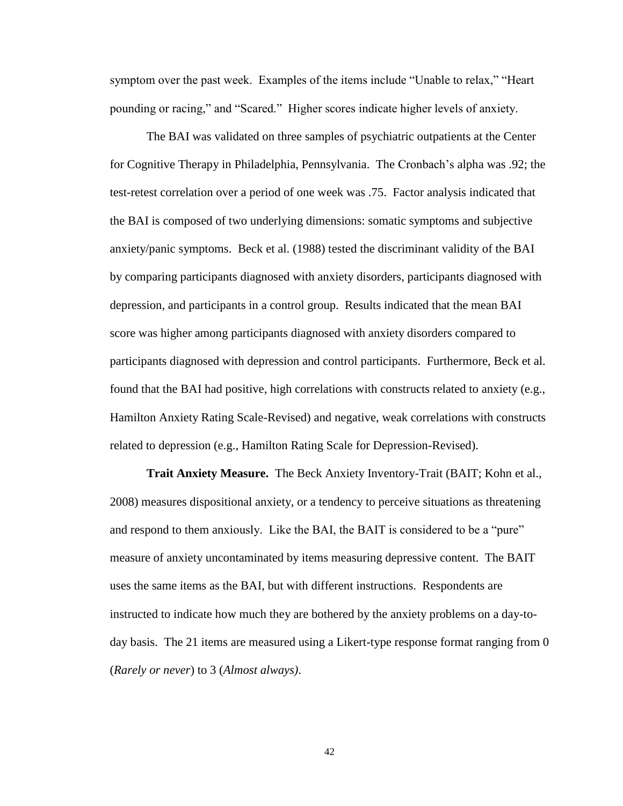symptom over the past week. Examples of the items include "Unable to relax," "Heart pounding or racing," and "Scared." Higher scores indicate higher levels of anxiety.

The BAI was validated on three samples of psychiatric outpatients at the Center for Cognitive Therapy in Philadelphia, Pennsylvania. The Cronbach's alpha was .92; the test-retest correlation over a period of one week was .75. Factor analysis indicated that the BAI is composed of two underlying dimensions: somatic symptoms and subjective anxiety/panic symptoms. Beck et al. (1988) tested the discriminant validity of the BAI by comparing participants diagnosed with anxiety disorders, participants diagnosed with depression, and participants in a control group. Results indicated that the mean BAI score was higher among participants diagnosed with anxiety disorders compared to participants diagnosed with depression and control participants. Furthermore, Beck et al. found that the BAI had positive, high correlations with constructs related to anxiety (e.g., Hamilton Anxiety Rating Scale-Revised) and negative, weak correlations with constructs related to depression (e.g., Hamilton Rating Scale for Depression-Revised).

**Trait Anxiety Measure.** The Beck Anxiety Inventory-Trait (BAIT; Kohn et al., 2008) measures dispositional anxiety, or a tendency to perceive situations as threatening and respond to them anxiously. Like the BAI, the BAIT is considered to be a "pure" measure of anxiety uncontaminated by items measuring depressive content. The BAIT uses the same items as the BAI, but with different instructions. Respondents are instructed to indicate how much they are bothered by the anxiety problems on a day-today basis. The 21 items are measured using a Likert-type response format ranging from 0 (*Rarely or never*) to 3 (*Almost always)*.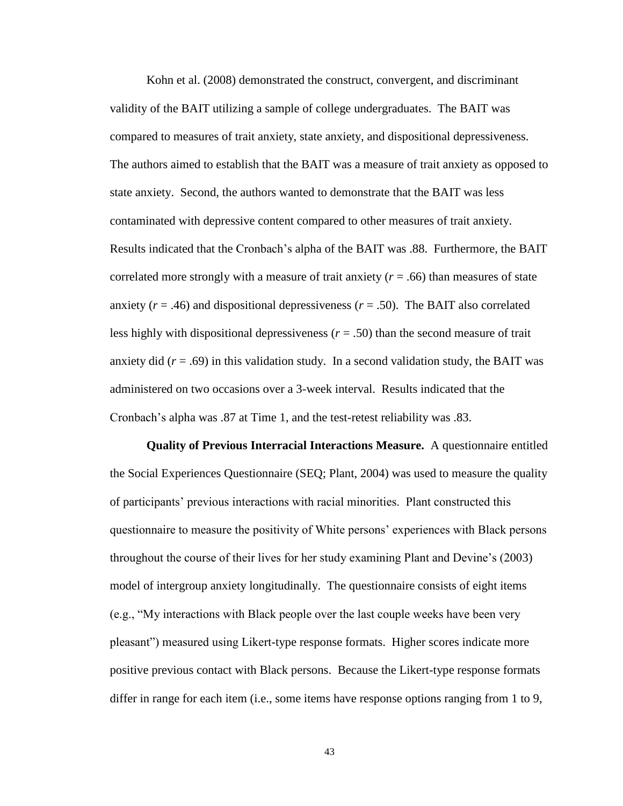Kohn et al. (2008) demonstrated the construct, convergent, and discriminant validity of the BAIT utilizing a sample of college undergraduates. The BAIT was compared to measures of trait anxiety, state anxiety, and dispositional depressiveness. The authors aimed to establish that the BAIT was a measure of trait anxiety as opposed to state anxiety. Second, the authors wanted to demonstrate that the BAIT was less contaminated with depressive content compared to other measures of trait anxiety. Results indicated that the Cronbach's alpha of the BAIT was .88. Furthermore, the BAIT correlated more strongly with a measure of trait anxiety  $(r = .66)$  than measures of state anxiety  $(r = .46)$  and dispositional depressiveness  $(r = .50)$ . The BAIT also correlated less highly with dispositional depressiveness  $(r = .50)$  than the second measure of trait anxiety did  $(r = .69)$  in this validation study. In a second validation study, the BAIT was administered on two occasions over a 3-week interval. Results indicated that the Cronbach's alpha was .87 at Time 1, and the test-retest reliability was .83.

**Quality of Previous Interracial Interactions Measure.** A questionnaire entitled the Social Experiences Questionnaire (SEQ; Plant, 2004) was used to measure the quality of participants' previous interactions with racial minorities. Plant constructed this questionnaire to measure the positivity of White persons' experiences with Black persons throughout the course of their lives for her study examining Plant and Devine's (2003) model of intergroup anxiety longitudinally. The questionnaire consists of eight items (e.g., "My interactions with Black people over the last couple weeks have been very pleasant") measured using Likert-type response formats. Higher scores indicate more positive previous contact with Black persons. Because the Likert-type response formats differ in range for each item (i.e., some items have response options ranging from 1 to 9,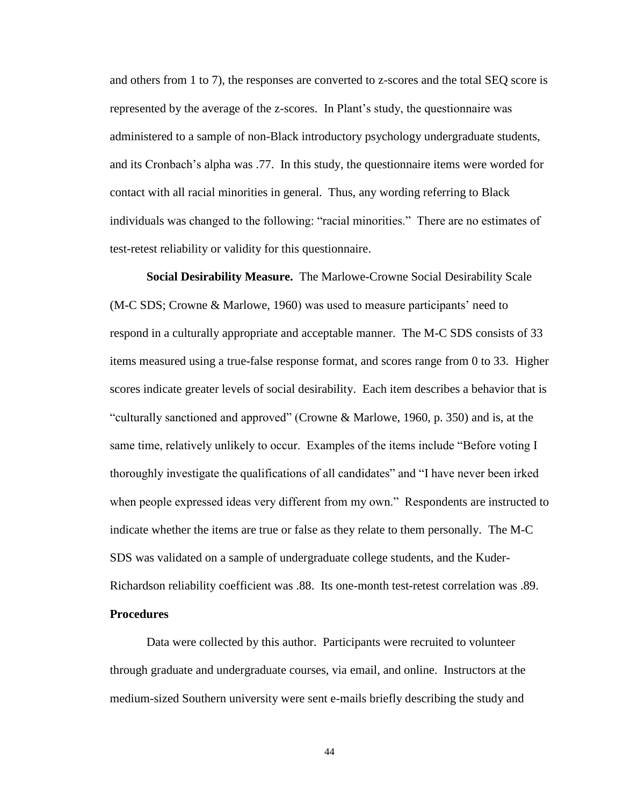and others from 1 to 7), the responses are converted to z-scores and the total SEQ score is represented by the average of the z-scores. In Plant's study, the questionnaire was administered to a sample of non-Black introductory psychology undergraduate students, and its Cronbach's alpha was .77. In this study, the questionnaire items were worded for contact with all racial minorities in general. Thus, any wording referring to Black individuals was changed to the following: "racial minorities." There are no estimates of test-retest reliability or validity for this questionnaire.

**Social Desirability Measure.** The Marlowe-Crowne Social Desirability Scale (M-C SDS; Crowne & Marlowe, 1960) was used to measure participants' need to respond in a culturally appropriate and acceptable manner. The M-C SDS consists of 33 items measured using a true-false response format, and scores range from 0 to 33. Higher scores indicate greater levels of social desirability. Each item describes a behavior that is "culturally sanctioned and approved" (Crowne & Marlowe, 1960, p. 350) and is, at the same time, relatively unlikely to occur. Examples of the items include "Before voting I thoroughly investigate the qualifications of all candidates" and "I have never been irked when people expressed ideas very different from my own." Respondents are instructed to indicate whether the items are true or false as they relate to them personally. The M-C SDS was validated on a sample of undergraduate college students, and the Kuder-Richardson reliability coefficient was .88. Its one-month test-retest correlation was .89. **Procedures**

Data were collected by this author. Participants were recruited to volunteer through graduate and undergraduate courses, via email, and online. Instructors at the medium-sized Southern university were sent e-mails briefly describing the study and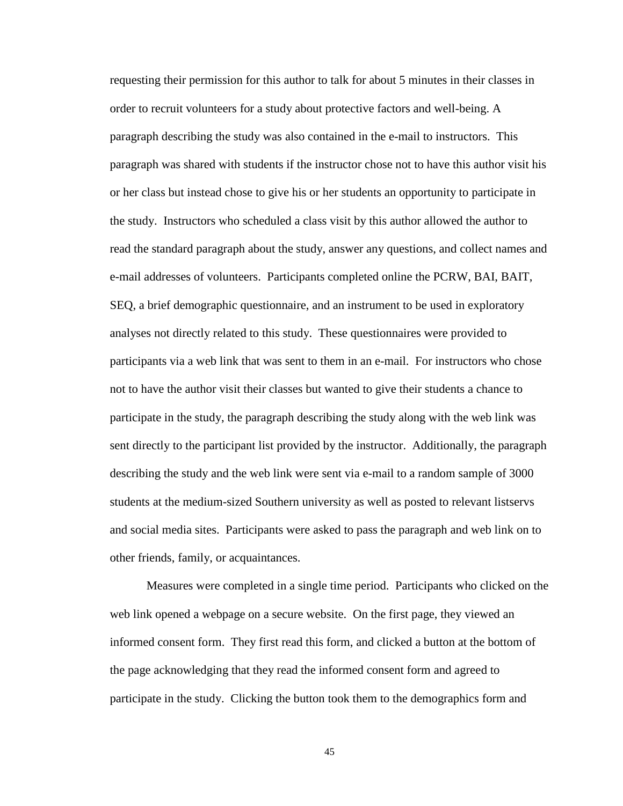requesting their permission for this author to talk for about 5 minutes in their classes in order to recruit volunteers for a study about protective factors and well-being. A paragraph describing the study was also contained in the e-mail to instructors. This paragraph was shared with students if the instructor chose not to have this author visit his or her class but instead chose to give his or her students an opportunity to participate in the study. Instructors who scheduled a class visit by this author allowed the author to read the standard paragraph about the study, answer any questions, and collect names and e-mail addresses of volunteers. Participants completed online the PCRW, BAI, BAIT, SEQ, a brief demographic questionnaire, and an instrument to be used in exploratory analyses not directly related to this study. These questionnaires were provided to participants via a web link that was sent to them in an e-mail. For instructors who chose not to have the author visit their classes but wanted to give their students a chance to participate in the study, the paragraph describing the study along with the web link was sent directly to the participant list provided by the instructor. Additionally, the paragraph describing the study and the web link were sent via e-mail to a random sample of 3000 students at the medium-sized Southern university as well as posted to relevant listservs and social media sites. Participants were asked to pass the paragraph and web link on to other friends, family, or acquaintances.

Measures were completed in a single time period. Participants who clicked on the web link opened a webpage on a secure website. On the first page, they viewed an informed consent form. They first read this form, and clicked a button at the bottom of the page acknowledging that they read the informed consent form and agreed to participate in the study. Clicking the button took them to the demographics form and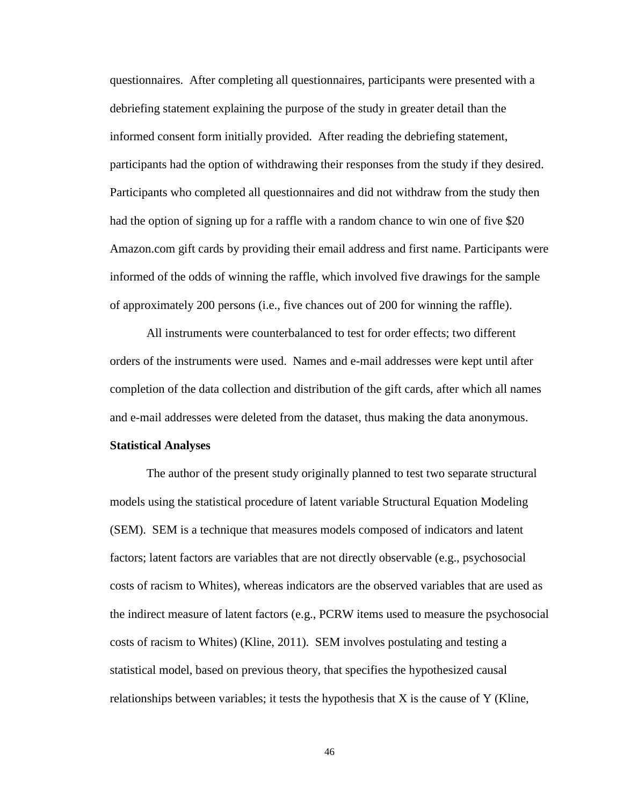questionnaires. After completing all questionnaires, participants were presented with a debriefing statement explaining the purpose of the study in greater detail than the informed consent form initially provided. After reading the debriefing statement, participants had the option of withdrawing their responses from the study if they desired. Participants who completed all questionnaires and did not withdraw from the study then had the option of signing up for a raffle with a random chance to win one of five \$20 Amazon.com gift cards by providing their email address and first name. Participants were informed of the odds of winning the raffle, which involved five drawings for the sample of approximately 200 persons (i.e., five chances out of 200 for winning the raffle).

All instruments were counterbalanced to test for order effects; two different orders of the instruments were used. Names and e-mail addresses were kept until after completion of the data collection and distribution of the gift cards, after which all names and e-mail addresses were deleted from the dataset, thus making the data anonymous.

### **Statistical Analyses**

The author of the present study originally planned to test two separate structural models using the statistical procedure of latent variable Structural Equation Modeling (SEM). SEM is a technique that measures models composed of indicators and latent factors; latent factors are variables that are not directly observable (e.g., psychosocial costs of racism to Whites), whereas indicators are the observed variables that are used as the indirect measure of latent factors (e.g., PCRW items used to measure the psychosocial costs of racism to Whites) (Kline, 2011). SEM involves postulating and testing a statistical model, based on previous theory, that specifies the hypothesized causal relationships between variables; it tests the hypothesis that X is the cause of Y (Kline,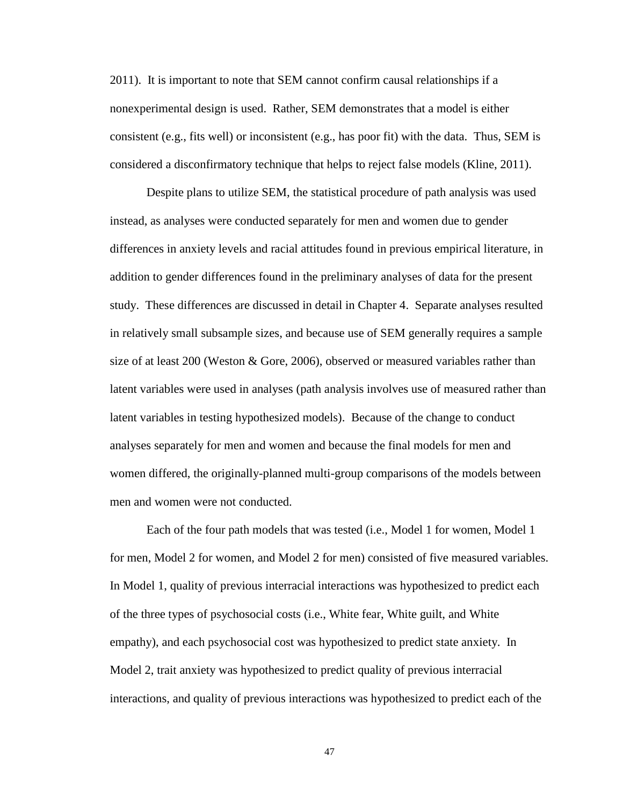2011). It is important to note that SEM cannot confirm causal relationships if a nonexperimental design is used. Rather, SEM demonstrates that a model is either consistent (e.g., fits well) or inconsistent (e.g., has poor fit) with the data. Thus, SEM is considered a disconfirmatory technique that helps to reject false models (Kline, 2011).

Despite plans to utilize SEM, the statistical procedure of path analysis was used instead, as analyses were conducted separately for men and women due to gender differences in anxiety levels and racial attitudes found in previous empirical literature, in addition to gender differences found in the preliminary analyses of data for the present study. These differences are discussed in detail in Chapter 4. Separate analyses resulted in relatively small subsample sizes, and because use of SEM generally requires a sample size of at least 200 (Weston & Gore, 2006), observed or measured variables rather than latent variables were used in analyses (path analysis involves use of measured rather than latent variables in testing hypothesized models). Because of the change to conduct analyses separately for men and women and because the final models for men and women differed, the originally-planned multi-group comparisons of the models between men and women were not conducted.

Each of the four path models that was tested (i.e., Model 1 for women, Model 1 for men, Model 2 for women, and Model 2 for men) consisted of five measured variables. In Model 1, quality of previous interracial interactions was hypothesized to predict each of the three types of psychosocial costs (i.e., White fear, White guilt, and White empathy), and each psychosocial cost was hypothesized to predict state anxiety. In Model 2, trait anxiety was hypothesized to predict quality of previous interracial interactions, and quality of previous interactions was hypothesized to predict each of the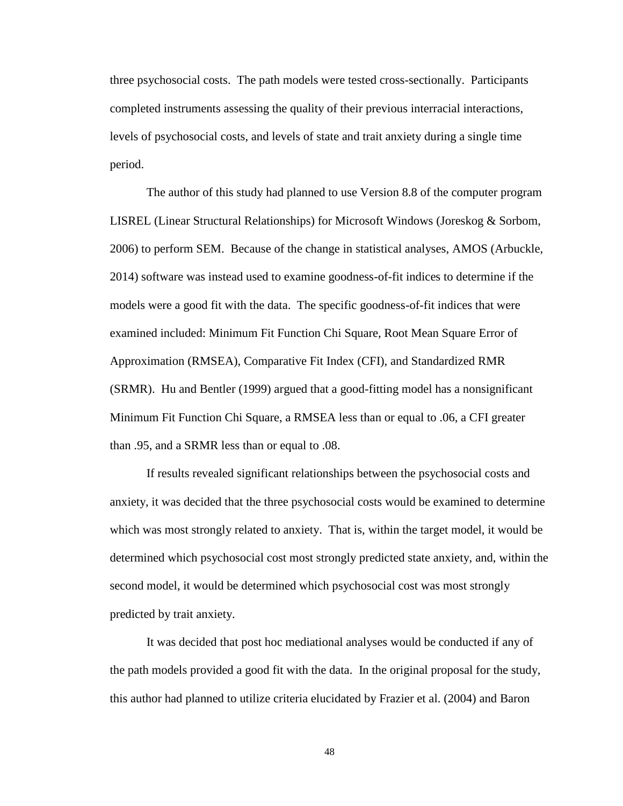three psychosocial costs. The path models were tested cross-sectionally. Participants completed instruments assessing the quality of their previous interracial interactions, levels of psychosocial costs, and levels of state and trait anxiety during a single time period.

The author of this study had planned to use Version 8.8 of the computer program LISREL (Linear Structural Relationships) for Microsoft Windows (Joreskog & Sorbom, 2006) to perform SEM. Because of the change in statistical analyses, AMOS (Arbuckle, 2014) software was instead used to examine goodness-of-fit indices to determine if the models were a good fit with the data. The specific goodness-of-fit indices that were examined included: Minimum Fit Function Chi Square, Root Mean Square Error of Approximation (RMSEA), Comparative Fit Index (CFI), and Standardized RMR (SRMR). Hu and Bentler (1999) argued that a good-fitting model has a nonsignificant Minimum Fit Function Chi Square, a RMSEA less than or equal to .06, a CFI greater than .95, and a SRMR less than or equal to .08.

If results revealed significant relationships between the psychosocial costs and anxiety, it was decided that the three psychosocial costs would be examined to determine which was most strongly related to anxiety. That is, within the target model, it would be determined which psychosocial cost most strongly predicted state anxiety, and, within the second model, it would be determined which psychosocial cost was most strongly predicted by trait anxiety.

It was decided that post hoc mediational analyses would be conducted if any of the path models provided a good fit with the data. In the original proposal for the study, this author had planned to utilize criteria elucidated by Frazier et al. (2004) and Baron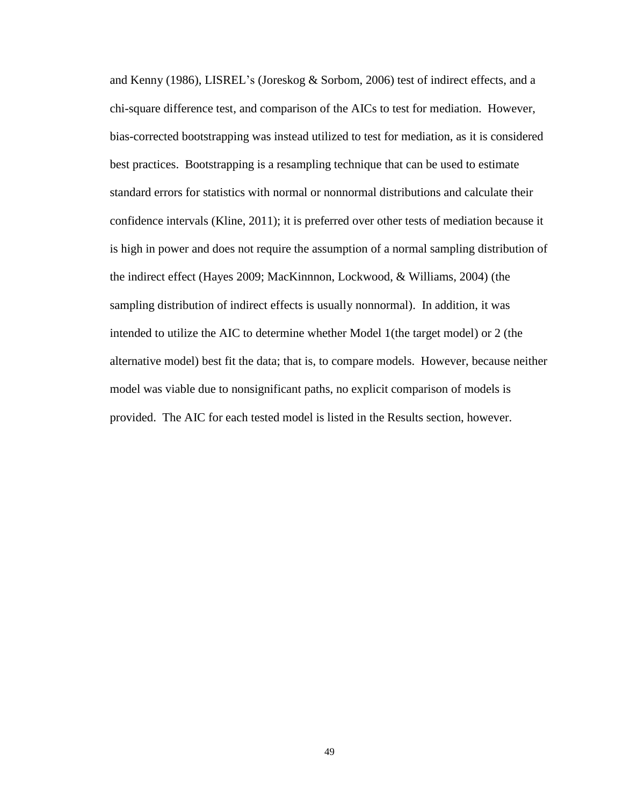and Kenny (1986), LISREL's (Joreskog & Sorbom, 2006) test of indirect effects, and a chi-square difference test, and comparison of the AICs to test for mediation. However, bias-corrected bootstrapping was instead utilized to test for mediation, as it is considered best practices. Bootstrapping is a resampling technique that can be used to estimate standard errors for statistics with normal or nonnormal distributions and calculate their confidence intervals (Kline, 2011); it is preferred over other tests of mediation because it is high in power and does not require the assumption of a normal sampling distribution of the indirect effect (Hayes 2009; MacKinnnon, Lockwood, & Williams, 2004) (the sampling distribution of indirect effects is usually nonnormal). In addition, it was intended to utilize the AIC to determine whether Model 1(the target model) or 2 (the alternative model) best fit the data; that is, to compare models. However, because neither model was viable due to nonsignificant paths, no explicit comparison of models is provided. The AIC for each tested model is listed in the Results section, however.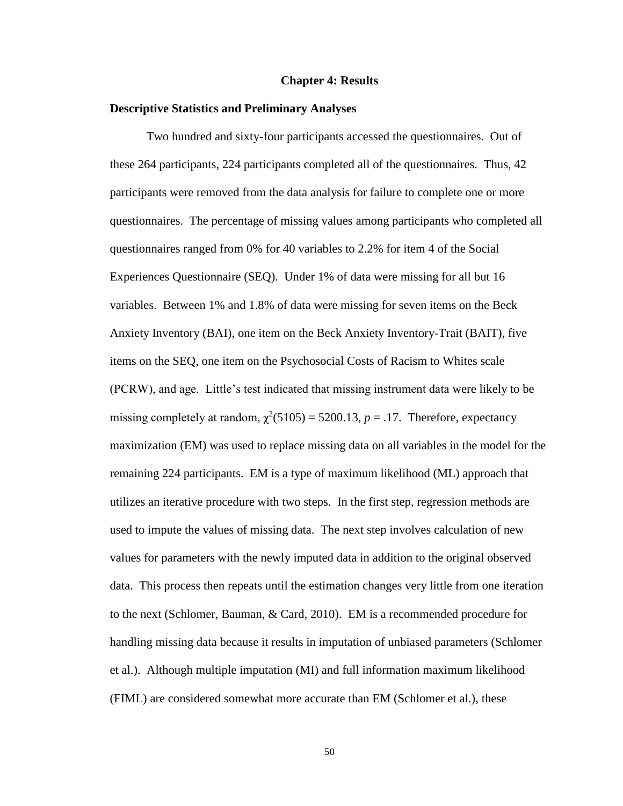### **Chapter 4: Results**

## **Descriptive Statistics and Preliminary Analyses**

Two hundred and sixty-four participants accessed the questionnaires. Out of these 264 participants, 224 participants completed all of the questionnaires. Thus, 42 participants were removed from the data analysis for failure to complete one or more questionnaires. The percentage of missing values among participants who completed all questionnaires ranged from 0% for 40 variables to 2.2% for item 4 of the Social Experiences Questionnaire (SEQ). Under 1% of data were missing for all but 16 variables. Between 1% and 1.8% of data were missing for seven items on the Beck Anxiety Inventory (BAI), one item on the Beck Anxiety Inventory-Trait (BAIT), five items on the SEQ, one item on the Psychosocial Costs of Racism to Whites scale (PCRW), and age. Little's test indicated that missing instrument data were likely to be missing completely at random,  $\chi^2(5105) = 5200.13$ ,  $p = .17$ . Therefore, expectancy maximization (EM) was used to replace missing data on all variables in the model for the remaining 224 participants. EM is a type of maximum likelihood (ML) approach that utilizes an iterative procedure with two steps. In the first step, regression methods are used to impute the values of missing data. The next step involves calculation of new values for parameters with the newly imputed data in addition to the original observed data. This process then repeats until the estimation changes very little from one iteration to the next (Schlomer, Bauman, & Card, 2010). EM is a recommended procedure for handling missing data because it results in imputation of unbiased parameters (Schlomer et al.). Although multiple imputation (MI) and full information maximum likelihood (FIML) are considered somewhat more accurate than EM (Schlomer et al.), these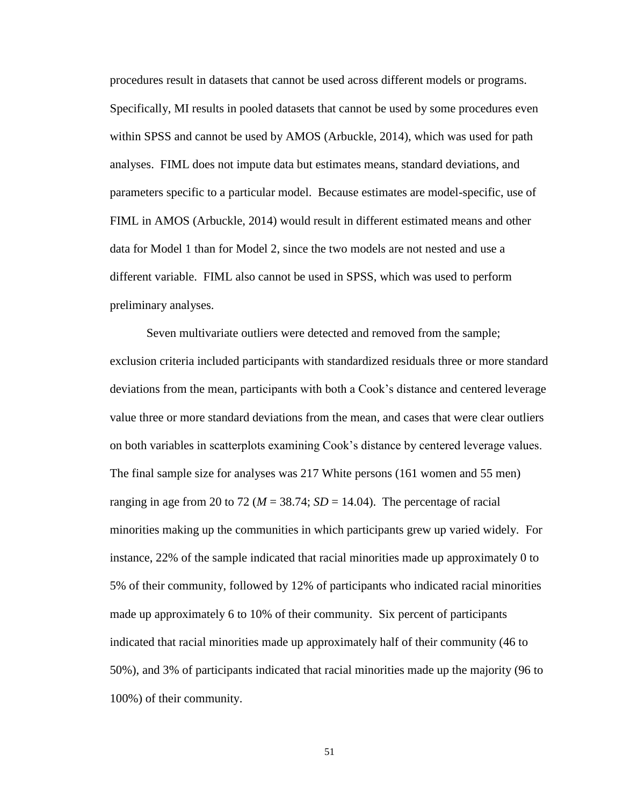procedures result in datasets that cannot be used across different models or programs. Specifically, MI results in pooled datasets that cannot be used by some procedures even within SPSS and cannot be used by AMOS (Arbuckle, 2014), which was used for path analyses. FIML does not impute data but estimates means, standard deviations*,* and parameters specific to a particular model. Because estimates are model-specific, use of FIML in AMOS (Arbuckle, 2014) would result in different estimated means and other data for Model 1 than for Model 2, since the two models are not nested and use a different variable. FIML also cannot be used in SPSS, which was used to perform preliminary analyses.

Seven multivariate outliers were detected and removed from the sample; exclusion criteria included participants with standardized residuals three or more standard deviations from the mean, participants with both a Cook's distance and centered leverage value three or more standard deviations from the mean, and cases that were clear outliers on both variables in scatterplots examining Cook's distance by centered leverage values. The final sample size for analyses was 217 White persons (161 women and 55 men) ranging in age from 20 to 72 ( $M = 38.74$ ;  $SD = 14.04$ ). The percentage of racial minorities making up the communities in which participants grew up varied widely. For instance, 22% of the sample indicated that racial minorities made up approximately 0 to 5% of their community, followed by 12% of participants who indicated racial minorities made up approximately 6 to 10% of their community. Six percent of participants indicated that racial minorities made up approximately half of their community (46 to 50%), and 3% of participants indicated that racial minorities made up the majority (96 to 100%) of their community.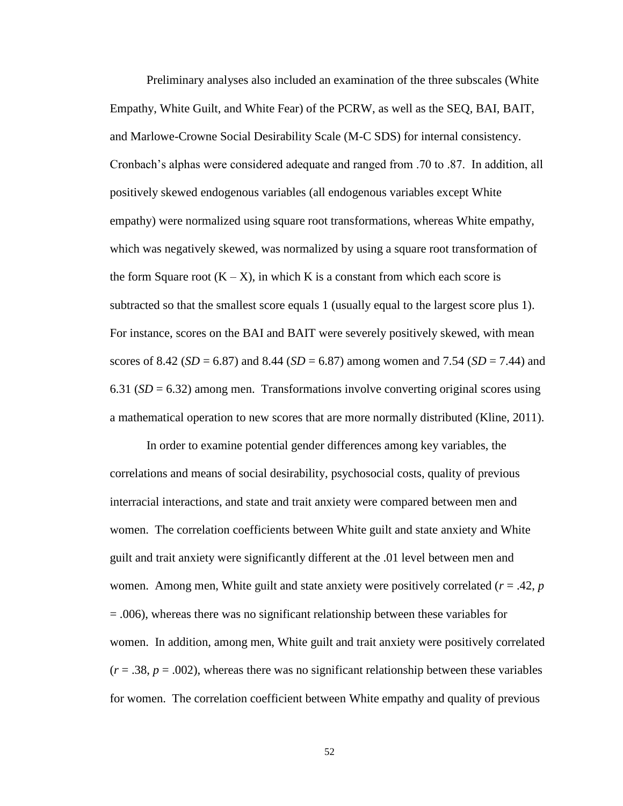Preliminary analyses also included an examination of the three subscales (White Empathy, White Guilt, and White Fear) of the PCRW, as well as the SEQ, BAI, BAIT, and Marlowe-Crowne Social Desirability Scale (M-C SDS) for internal consistency. Cronbach's alphas were considered adequate and ranged from .70 to .87. In addition, all positively skewed endogenous variables (all endogenous variables except White empathy) were normalized using square root transformations, whereas White empathy, which was negatively skewed, was normalized by using a square root transformation of the form Square root  $(K - X)$ , in which K is a constant from which each score is subtracted so that the smallest score equals 1 (usually equal to the largest score plus 1). For instance, scores on the BAI and BAIT were severely positively skewed, with mean scores of 8.42 (*SD* = 6.87) and 8.44 (*SD* = 6.87) among women and 7.54 (*SD* = 7.44) and 6.31 (*SD* = 6.32) among men. Transformations involve converting original scores using a mathematical operation to new scores that are more normally distributed (Kline, 2011).

In order to examine potential gender differences among key variables, the correlations and means of social desirability, psychosocial costs, quality of previous interracial interactions, and state and trait anxiety were compared between men and women. The correlation coefficients between White guilt and state anxiety and White guilt and trait anxiety were significantly different at the .01 level between men and women. Among men, White guilt and state anxiety were positively correlated (*r* = .42, *p*  = .006), whereas there was no significant relationship between these variables for women. In addition, among men, White guilt and trait anxiety were positively correlated  $(r = .38, p = .002)$ , whereas there was no significant relationship between these variables for women. The correlation coefficient between White empathy and quality of previous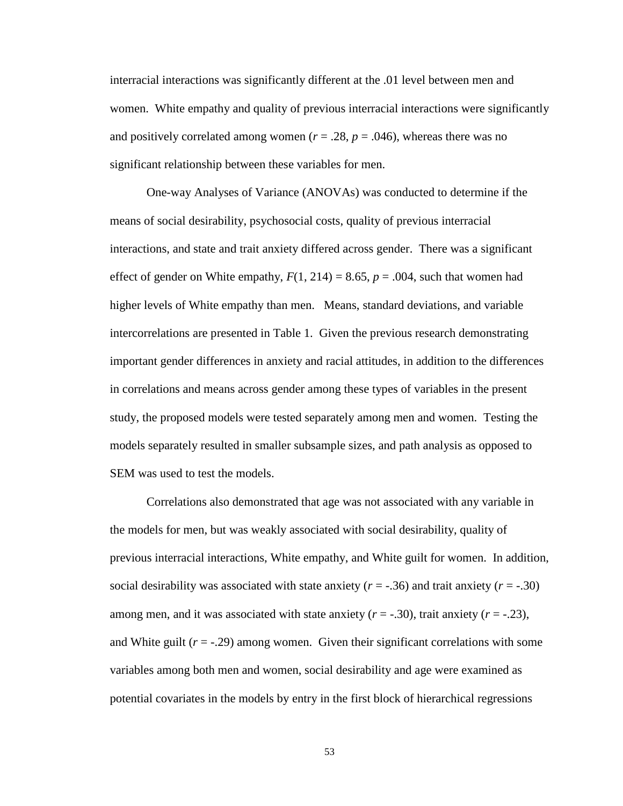interracial interactions was significantly different at the .01 level between men and women. White empathy and quality of previous interracial interactions were significantly and positively correlated among women  $(r = .28, p = .046)$ , whereas there was no significant relationship between these variables for men.

One-way Analyses of Variance (ANOVAs) was conducted to determine if the means of social desirability, psychosocial costs, quality of previous interracial interactions, and state and trait anxiety differed across gender. There was a significant effect of gender on White empathy,  $F(1, 214) = 8.65$ ,  $p = .004$ , such that women had higher levels of White empathy than men. Means, standard deviations, and variable intercorrelations are presented in Table 1. Given the previous research demonstrating important gender differences in anxiety and racial attitudes, in addition to the differences in correlations and means across gender among these types of variables in the present study, the proposed models were tested separately among men and women. Testing the models separately resulted in smaller subsample sizes, and path analysis as opposed to SEM was used to test the models.

Correlations also demonstrated that age was not associated with any variable in the models for men, but was weakly associated with social desirability, quality of previous interracial interactions, White empathy, and White guilt for women. In addition, social desirability was associated with state anxiety  $(r = -.36)$  and trait anxiety  $(r = -.30)$ among men, and it was associated with state anxiety  $(r = -.30)$ , trait anxiety  $(r = -.23)$ , and White guilt  $(r = -0.29)$  among women. Given their significant correlations with some variables among both men and women, social desirability and age were examined as potential covariates in the models by entry in the first block of hierarchical regressions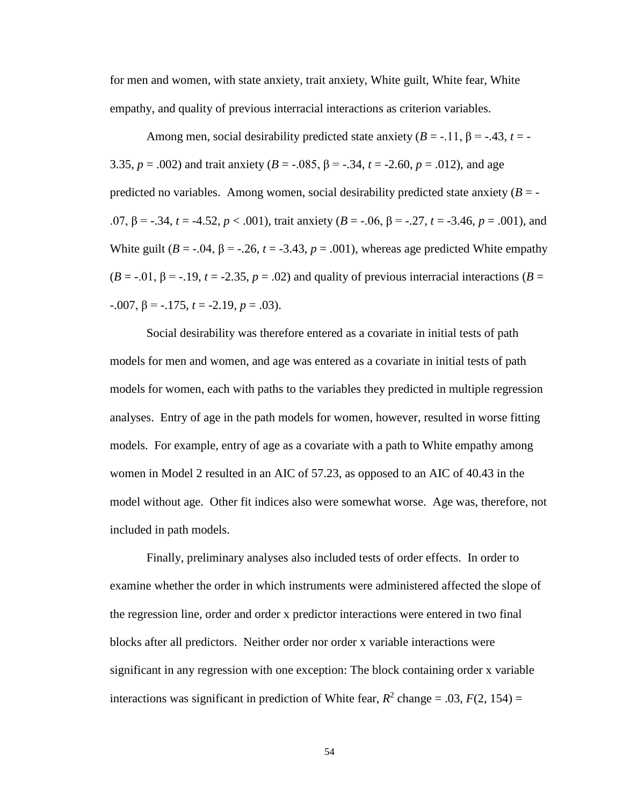for men and women, with state anxiety, trait anxiety, White guilt, White fear, White empathy, and quality of previous interracial interactions as criterion variables.

Among men, social desirability predicted state anxiety  $(B = -11, \beta = -0.43, t = -0.43)$ 3.35,  $p = .002$ ) and trait anxiety ( $B = -.085$ ,  $\beta = -.34$ ,  $t = -2.60$ ,  $p = .012$ ), and age predicted no variables. Among women, social desirability predicted state anxiety  $(B = -1)$ .07, β = -.34, *t* = -4.52, *p* < .001), trait anxiety (*B* = -.06, β = -.27, *t* = -3.46, *p* = .001), and White guilt  $(B = -0.04, \beta = -0.26, t = -3.43, p = 0.001)$ , whereas age predicted White empathy  $(B = -0.01, \beta = -0.19, t = -2.35, p = 0.02)$  and quality of previous interracial interactions ( $B =$  $-0.007, \beta = -0.175, t = -2.19, p = 0.03$ .

Social desirability was therefore entered as a covariate in initial tests of path models for men and women, and age was entered as a covariate in initial tests of path models for women, each with paths to the variables they predicted in multiple regression analyses. Entry of age in the path models for women, however, resulted in worse fitting models. For example, entry of age as a covariate with a path to White empathy among women in Model 2 resulted in an AIC of 57.23, as opposed to an AIC of 40.43 in the model without age. Other fit indices also were somewhat worse. Age was, therefore, not included in path models.

Finally, preliminary analyses also included tests of order effects. In order to examine whether the order in which instruments were administered affected the slope of the regression line, order and order x predictor interactions were entered in two final blocks after all predictors. Neither order nor order x variable interactions were significant in any regression with one exception: The block containing order x variable interactions was significant in prediction of White fear,  $R^2$  change = .03,  $F(2, 154)$  =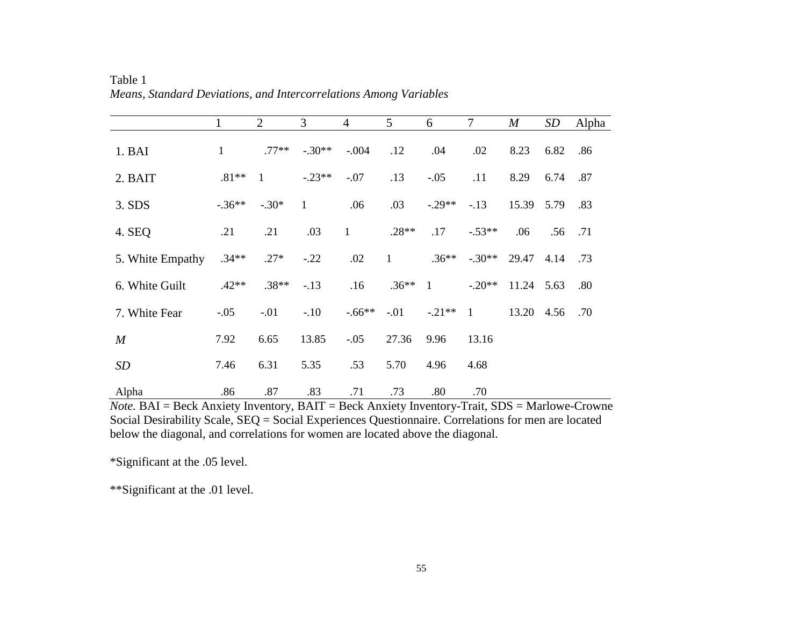|                  |              | $\overline{2}$ | 3              | $\overline{4}$ | 5 <sup>5</sup> | 6              | $\tau$         | M          | <b>SD</b> | Alpha |
|------------------|--------------|----------------|----------------|----------------|----------------|----------------|----------------|------------|-----------|-------|
| 1. <b>BAI</b>    | $\mathbf{1}$ | $.77**$        | $-.30**$       | $-.004$        | .12            | .04            | .02            | 8.23       | 6.82      | .86   |
| 2. BAIT          | $.81**$      | $\overline{1}$ | $-.23**$       | $-.07$         | .13            | $-.05$         | .11            | 8.29       | 6.74      | .87   |
| $3.$ SDS         | $-.36**$     | $-.30*$        | $\overline{1}$ | .06            | .03            | $-.29**$       | $-.13$         | 15.39      | 5.79      | .83   |
| 4. SEQ           | .21          | .21            | .03            | $\mathbf{1}$   | $.28**$        | .17            | $-.53**$       | .06        | .56       | .71   |
| 5. White Empathy | $.34**$      | $.27*$         | $-0.22$        | .02            | $\mathbf{1}$   | $.36**$        | $-.30**$       | 29.47 4.14 |           | .73   |
| 6. White Guilt   | $.42**$      | $.38**$        | $-13$          | .16            | $.36**$        | $\overline{1}$ | $-.20**$       | 11.24 5.63 |           | .80   |
| 7. White Fear    | $-.05$       | $-.01$         | $-10$          | $-.66**$       | $-.01$         | $-.21**$       | $\overline{1}$ | 13.20 4.56 |           | .70   |
| $\boldsymbol{M}$ | 7.92         | 6.65           | 13.85          | $-.05$         | 27.36          | 9.96           | 13.16          |            |           |       |
| SD               | 7.46         | 6.31           | 5.35           | .53            | 5.70           | 4.96           | 4.68           |            |           |       |
| Alpha            | .86          | .87            | .83            | .71            | .73            | .80            | .70            |            |           |       |

Table 1 *Means, Standard Deviations, and Intercorrelations Among Variables*

*Note.* BAI = Beck Anxiety Inventory, BAIT = Beck Anxiety Inventory-Trait, SDS = Marlowe-Crowne Social Desirability Scale, SEQ = Social Experiences Questionnaire. Correlations for men are located below the diagonal, and correlations for women are located above the diagonal.

\*Significant at the .05 level.

\*\*Significant at the .01 level.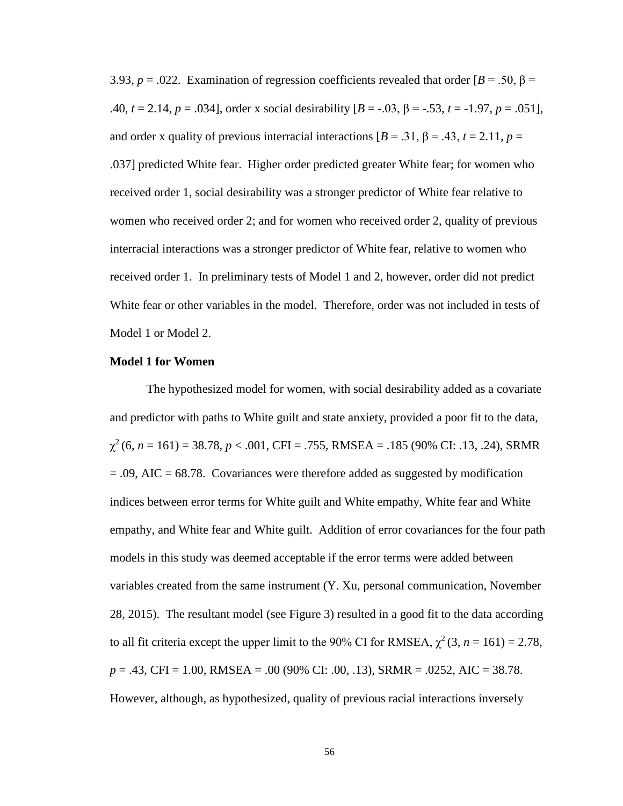3.93,  $p = .022$ . Examination of regression coefficients revealed that order  $[B = .50, \beta =$ .40,  $t = 2.14$ ,  $p = .034$ ], order x social desirability  $[B = -.03, \beta = -.53, t = -1.97, p = .051]$ , and order x quality of previous interracial interactions  $[B = .31, \beta = .43, t = 2.11, p =$ .037] predicted White fear. Higher order predicted greater White fear; for women who received order 1, social desirability was a stronger predictor of White fear relative to women who received order 2; and for women who received order 2, quality of previous interracial interactions was a stronger predictor of White fear, relative to women who received order 1. In preliminary tests of Model 1 and 2, however, order did not predict White fear or other variables in the model. Therefore, order was not included in tests of Model 1 or Model 2.

#### **Model 1 for Women**

The hypothesized model for women, with social desirability added as a covariate and predictor with paths to White guilt and state anxiety, provided a poor fit to the data,  $\chi^2$  (6, *n* = 161) = 38.78, *p* < .001, CFI = .755, RMSEA = .185 (90% CI: .13, .24), SRMR  $= .09$ , AIC = 68.78. Covariances were therefore added as suggested by modification indices between error terms for White guilt and White empathy, White fear and White empathy, and White fear and White guilt. Addition of error covariances for the four path models in this study was deemed acceptable if the error terms were added between variables created from the same instrument (Y. Xu, personal communication, November 28, 2015). The resultant model (see Figure 3) resulted in a good fit to the data according to all fit criteria except the upper limit to the 90% CI for RMSEA,  $\chi^2(3, n = 161) = 2.78$ , *p* = .43, CFI = 1.00, RMSEA = .00 (90% CI: .00, .13), SRMR = .0252, AIC = 38.78. However, although, as hypothesized, quality of previous racial interactions inversely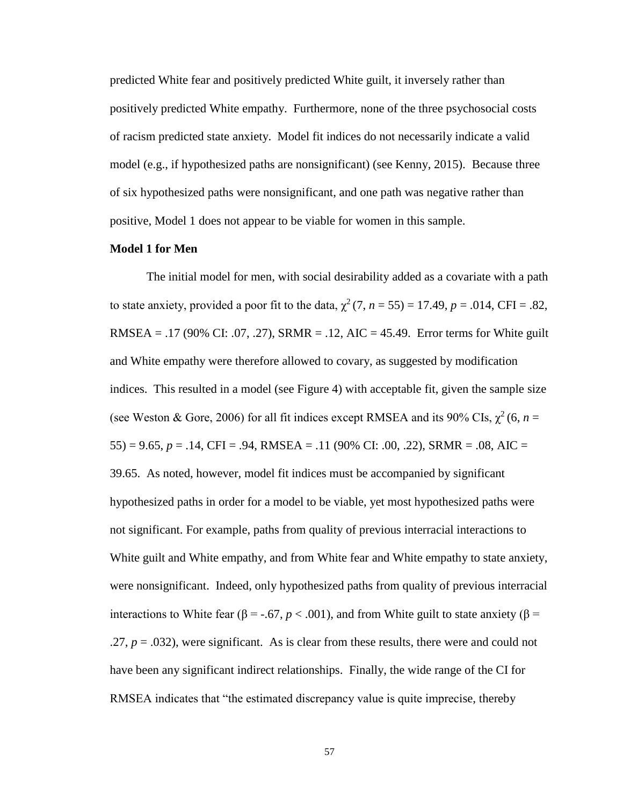predicted White fear and positively predicted White guilt, it inversely rather than positively predicted White empathy. Furthermore, none of the three psychosocial costs of racism predicted state anxiety. Model fit indices do not necessarily indicate a valid model (e.g., if hypothesized paths are nonsignificant) (see Kenny, 2015). Because three of six hypothesized paths were nonsignificant, and one path was negative rather than positive, Model 1 does not appear to be viable for women in this sample.

## **Model 1 for Men**

The initial model for men, with social desirability added as a covariate with a path to state anxiety, provided a poor fit to the data,  $\chi^2(7, n = 55) = 17.49$ ,  $p = .014$ , CFI = .82, RMSEA = .17 (90% CI: .07, .27), SRMR = .12, AIC = 45.49. Error terms for White guilt and White empathy were therefore allowed to covary, as suggested by modification indices. This resulted in a model (see Figure 4) with acceptable fit, given the sample size (see Weston & Gore, 2006) for all fit indices except RMSEA and its 90% CIs,  $\chi^2$  (6, *n* =  $55$ ) = 9.65,  $p = 0.14$ , CFI = .94, RMSEA = .11 (90% CI: .00, .22), SRMR = .08, AIC = 39.65. As noted, however, model fit indices must be accompanied by significant hypothesized paths in order for a model to be viable, yet most hypothesized paths were not significant. For example, paths from quality of previous interracial interactions to White guilt and White empathy, and from White fear and White empathy to state anxiety, were nonsignificant. Indeed, only hypothesized paths from quality of previous interracial interactions to White fear (β = -.67, *p* < .001), and from White guilt to state anxiety (β =  $.27, p = .032$ ), were significant. As is clear from these results, there were and could not have been any significant indirect relationships. Finally, the wide range of the CI for RMSEA indicates that "the estimated discrepancy value is quite imprecise, thereby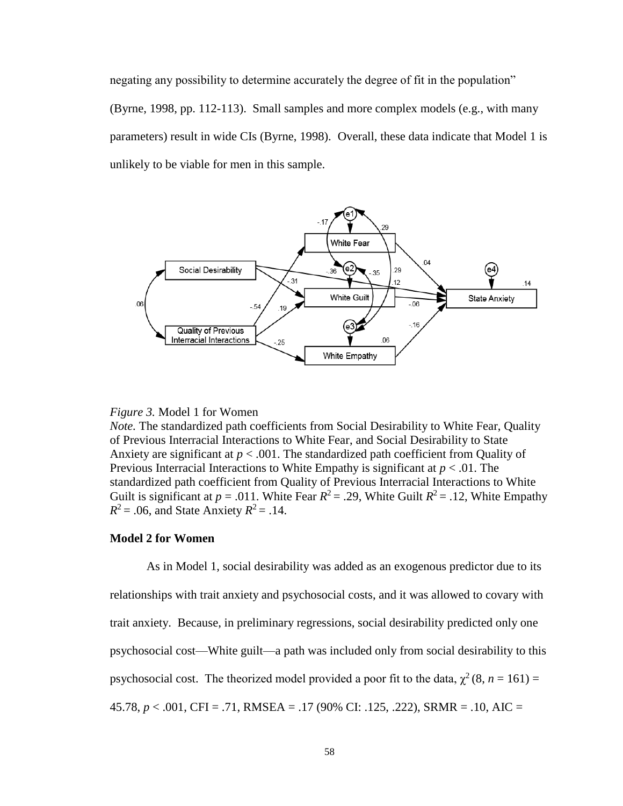negating any possibility to determine accurately the degree of fit in the population" (Byrne, 1998, pp. 112-113). Small samples and more complex models (e.g., with many parameters) result in wide CIs (Byrne, 1998). Overall, these data indicate that Model 1 is unlikely to be viable for men in this sample.





*Note.* The standardized path coefficients from Social Desirability to White Fear, Quality of Previous Interracial Interactions to White Fear, and Social Desirability to State Anxiety are significant at *p* < .001. The standardized path coefficient from Quality of Previous Interracial Interactions to White Empathy is significant at *p* < .01. The standardized path coefficient from Quality of Previous Interracial Interactions to White Guilt is significant at  $p = .011$ . White Fear  $R^2 = .29$ , White Guilt  $R^2 = .12$ , White Empathy  $R^2 = .06$ , and State Anxiety  $R^2 = .14$ .

# **Model 2 for Women**

As in Model 1, social desirability was added as an exogenous predictor due to its relationships with trait anxiety and psychosocial costs, and it was allowed to covary with trait anxiety. Because, in preliminary regressions, social desirability predicted only one psychosocial cost—White guilt—a path was included only from social desirability to this psychosocial cost. The theorized model provided a poor fit to the data,  $\chi^2(8, n = 161) =$ 45.78,  $p < .001$ , CFI = .71, RMSEA = .17 (90% CI: .125, .222), SRMR = .10, AIC =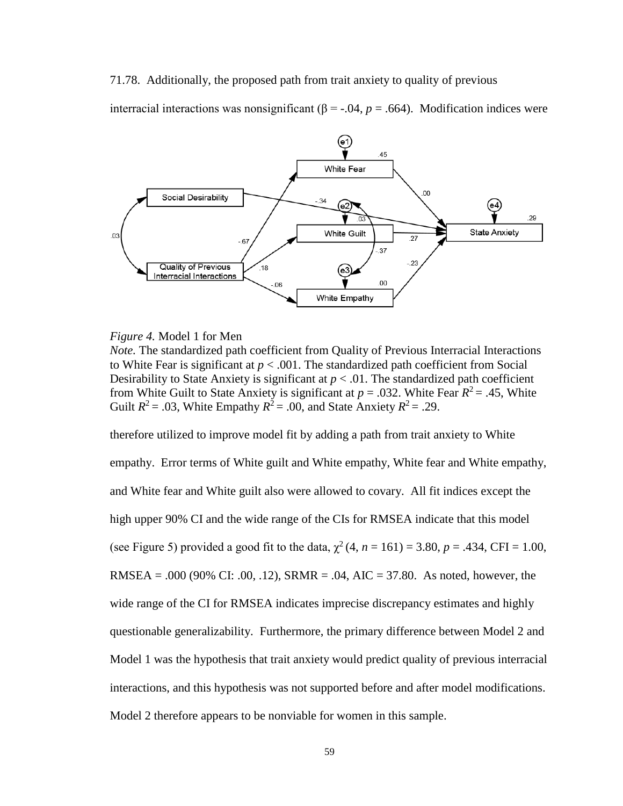## 71.78. Additionally, the proposed path from trait anxiety to quality of previous

interracial interactions was nonsignificant ( $β = -0.04$ ,  $p = 0.664$ ). Modification indices were



## *Figure 4.* Model 1 for Men

*Note.* The standardized path coefficient from Quality of Previous Interracial Interactions to White Fear is significant at  $p < .001$ . The standardized path coefficient from Social Desirability to State Anxiety is significant at  $p < .01$ . The standardized path coefficient from White Guilt to State Anxiety is significant at  $p = .032$ . White Fear  $R^2 = .45$ , White Guilt  $R^2 = .03$ , White Empathy  $R^2 = .00$ , and State Anxiety  $R^2 = .29$ .

therefore utilized to improve model fit by adding a path from trait anxiety to White empathy. Error terms of White guilt and White empathy, White fear and White empathy, and White fear and White guilt also were allowed to covary. All fit indices except the high upper 90% CI and the wide range of the CIs for RMSEA indicate that this model (see Figure 5) provided a good fit to the data,  $\chi^2(4, n = 161) = 3.80$ ,  $p = .434$ , CFI = 1.00, RMSEA = .000 (90% CI: .00, .12), SRMR = .04, AIC = 37.80. As noted, however, the wide range of the CI for RMSEA indicates imprecise discrepancy estimates and highly questionable generalizability. Furthermore, the primary difference between Model 2 and Model 1 was the hypothesis that trait anxiety would predict quality of previous interracial interactions, and this hypothesis was not supported before and after model modifications. Model 2 therefore appears to be nonviable for women in this sample.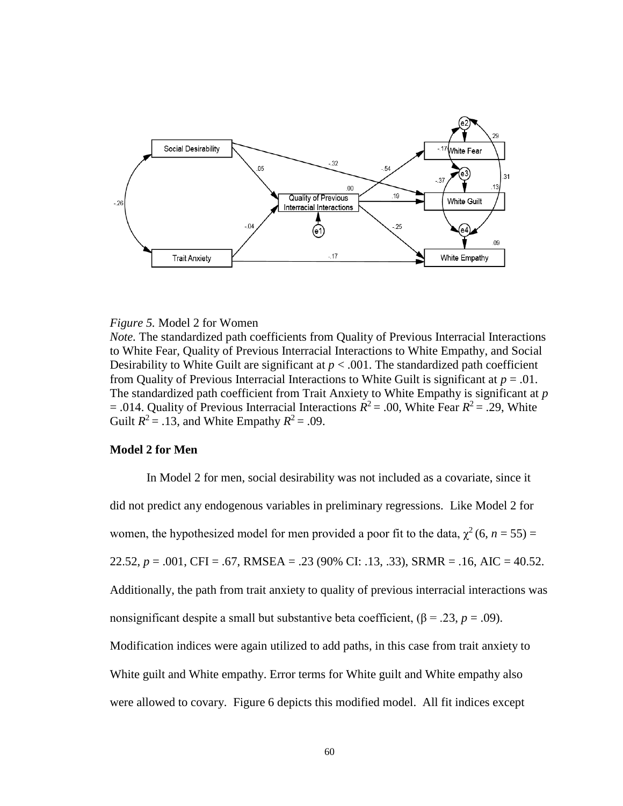

## *Figure 5.* Model 2 for Women

*Note*. The standardized path coefficients from Quality of Previous Interracial Interactions to White Fear, Quality of Previous Interracial Interactions to White Empathy, and Social Desirability to White Guilt are significant at  $p < .001$ . The standardized path coefficient from Quality of Previous Interracial Interactions to White Guilt is significant at *p* = .01. The standardized path coefficient from Trait Anxiety to White Empathy is significant at *p*   $= .014$ . Quality of Previous Interracial Interactions  $R^2 = .00$ , White Fear  $R^2 = .29$ , White Guilt  $R^2 = .13$ , and White Empathy  $R^2 = .09$ .

## **Model 2 for Men**

In Model 2 for men, social desirability was not included as a covariate, since it did not predict any endogenous variables in preliminary regressions. Like Model 2 for women, the hypothesized model for men provided a poor fit to the data,  $\chi^2(6, n = 55) =$ 22.52, *p* = .001, CFI = .67, RMSEA = .23 (90% CI: .13, .33), SRMR = .16, AIC = 40.52. Additionally, the path from trait anxiety to quality of previous interracial interactions was nonsignificant despite a small but substantive beta coefficient,  $(\beta = .23, p = .09)$ . Modification indices were again utilized to add paths, in this case from trait anxiety to White guilt and White empathy. Error terms for White guilt and White empathy also were allowed to covary. Figure 6 depicts this modified model. All fit indices except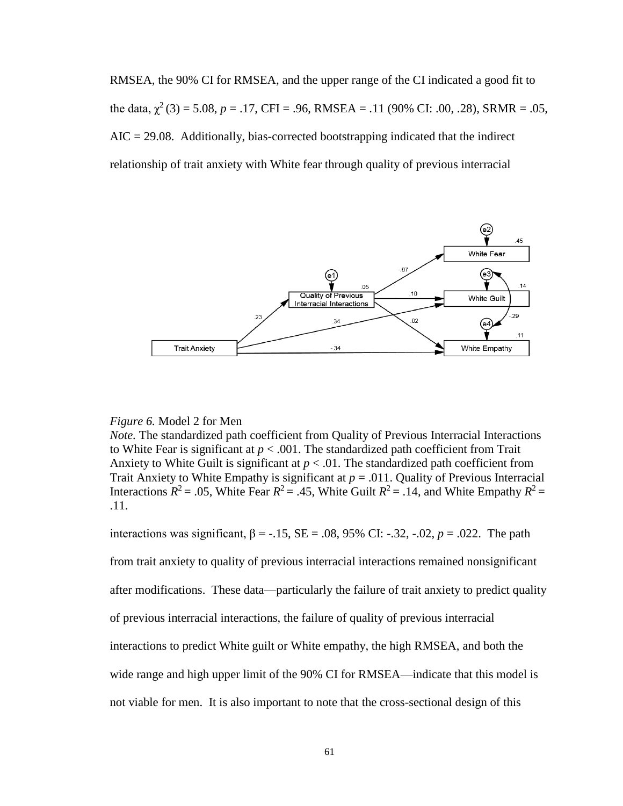RMSEA, the 90% CI for RMSEA, and the upper range of the CI indicated a good fit to the data,  $\chi^2(3) = 5.08$ ,  $p = .17$ , CFI = .96, RMSEA = .11 (90% CI: .00, .28), SRMR = .05,  $AIC = 29.08$ . Additionally, bias-corrected bootstrapping indicated that the indirect relationship of trait anxiety with White fear through quality of previous interracial



## *Figure 6.* Model 2 for Men

*Note.* The standardized path coefficient from Quality of Previous Interracial Interactions to White Fear is significant at  $p < .001$ . The standardized path coefficient from Trait Anxiety to White Guilt is significant at  $p < .01$ . The standardized path coefficient from Trait Anxiety to White Empathy is significant at  $p = .011$ . Quality of Previous Interracial Interactions  $R^2 = .05$ , White Fear  $R^2 = .45$ , White Guilt  $R^2 = .14$ , and White Empathy  $R^2 =$ .11.

interactions was significant,  $β = -.15$ ,  $SE = .08$ ,  $95%$  CI:  $-.32$ ,  $-.02$ ,  $p = .022$ . The path from trait anxiety to quality of previous interracial interactions remained nonsignificant after modifications. These data—particularly the failure of trait anxiety to predict quality of previous interracial interactions, the failure of quality of previous interracial interactions to predict White guilt or White empathy, the high RMSEA, and both the wide range and high upper limit of the 90% CI for RMSEA—indicate that this model is not viable for men. It is also important to note that the cross-sectional design of this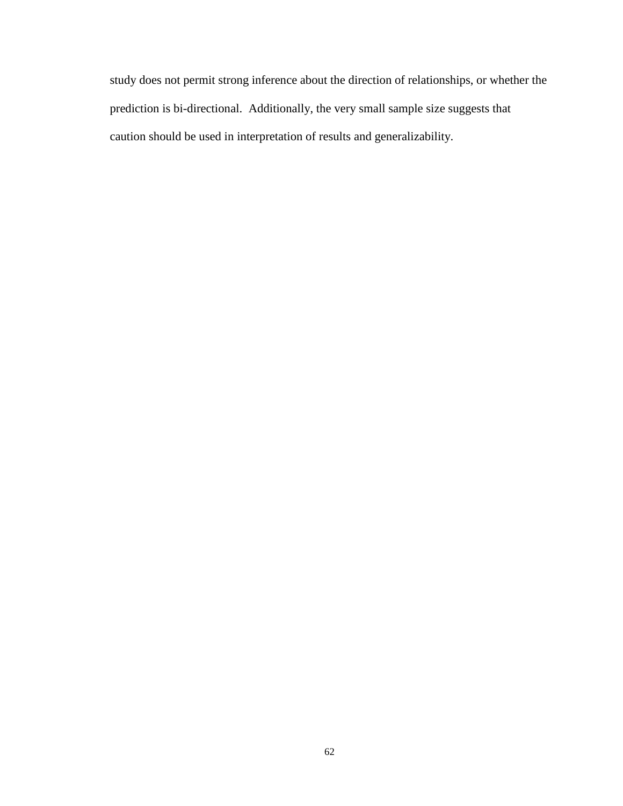study does not permit strong inference about the direction of relationships, or whether the prediction is bi-directional. Additionally, the very small sample size suggests that caution should be used in interpretation of results and generalizability.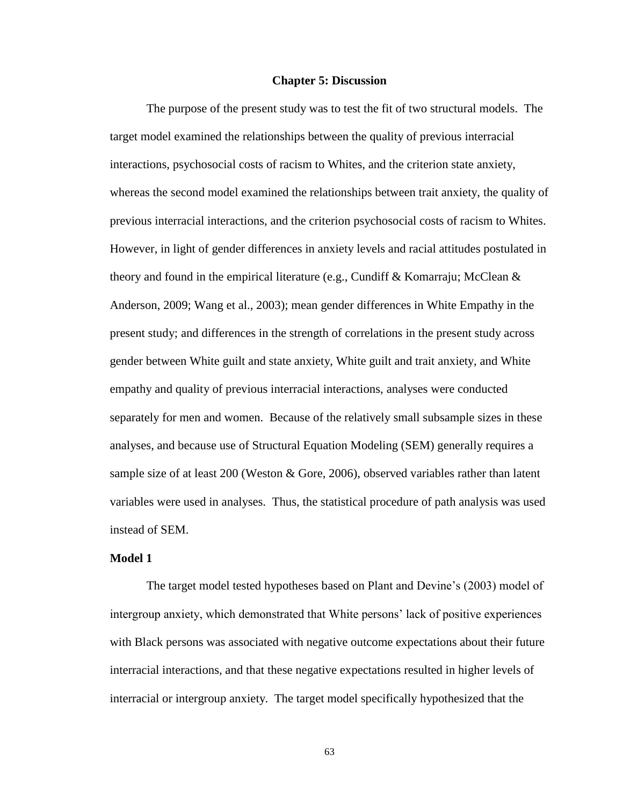### **Chapter 5: Discussion**

The purpose of the present study was to test the fit of two structural models. The target model examined the relationships between the quality of previous interracial interactions, psychosocial costs of racism to Whites, and the criterion state anxiety, whereas the second model examined the relationships between trait anxiety, the quality of previous interracial interactions, and the criterion psychosocial costs of racism to Whites. However, in light of gender differences in anxiety levels and racial attitudes postulated in theory and found in the empirical literature (e.g., Cundiff & Komarraju; McClean  $\&$ Anderson, 2009; Wang et al., 2003); mean gender differences in White Empathy in the present study; and differences in the strength of correlations in the present study across gender between White guilt and state anxiety, White guilt and trait anxiety, and White empathy and quality of previous interracial interactions, analyses were conducted separately for men and women. Because of the relatively small subsample sizes in these analyses, and because use of Structural Equation Modeling (SEM) generally requires a sample size of at least 200 (Weston & Gore, 2006), observed variables rather than latent variables were used in analyses. Thus, the statistical procedure of path analysis was used instead of SEM.

## **Model 1**

The target model tested hypotheses based on Plant and Devine's (2003) model of intergroup anxiety, which demonstrated that White persons' lack of positive experiences with Black persons was associated with negative outcome expectations about their future interracial interactions, and that these negative expectations resulted in higher levels of interracial or intergroup anxiety. The target model specifically hypothesized that the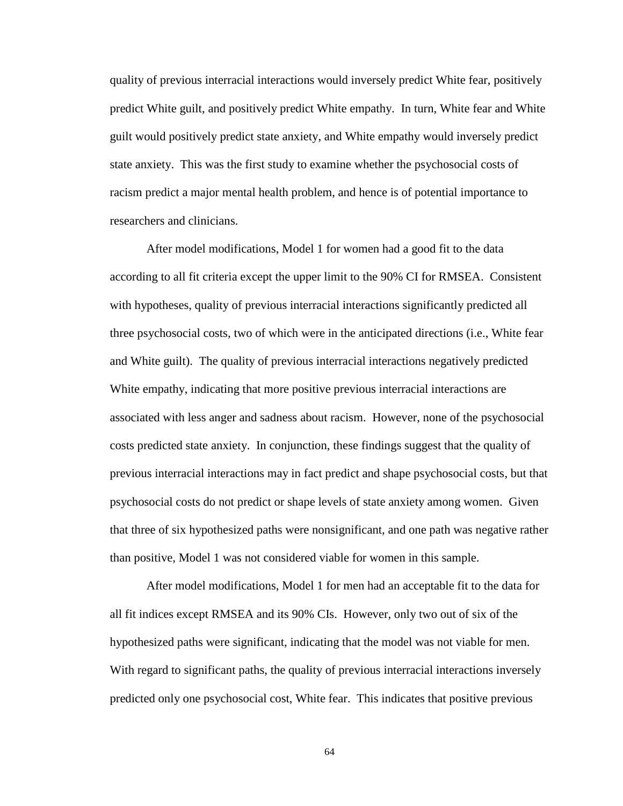quality of previous interracial interactions would inversely predict White fear, positively predict White guilt, and positively predict White empathy. In turn, White fear and White guilt would positively predict state anxiety, and White empathy would inversely predict state anxiety. This was the first study to examine whether the psychosocial costs of racism predict a major mental health problem, and hence is of potential importance to researchers and clinicians.

After model modifications, Model 1 for women had a good fit to the data according to all fit criteria except the upper limit to the 90% CI for RMSEA. Consistent with hypotheses, quality of previous interracial interactions significantly predicted all three psychosocial costs, two of which were in the anticipated directions (i.e., White fear and White guilt). The quality of previous interracial interactions negatively predicted White empathy, indicating that more positive previous interracial interactions are associated with less anger and sadness about racism. However, none of the psychosocial costs predicted state anxiety. In conjunction, these findings suggest that the quality of previous interracial interactions may in fact predict and shape psychosocial costs, but that psychosocial costs do not predict or shape levels of state anxiety among women. Given that three of six hypothesized paths were nonsignificant, and one path was negative rather than positive, Model 1 was not considered viable for women in this sample.

After model modifications, Model 1 for men had an acceptable fit to the data for all fit indices except RMSEA and its 90% CIs. However, only two out of six of the hypothesized paths were significant, indicating that the model was not viable for men. With regard to significant paths, the quality of previous interracial interactions inversely predicted only one psychosocial cost, White fear. This indicates that positive previous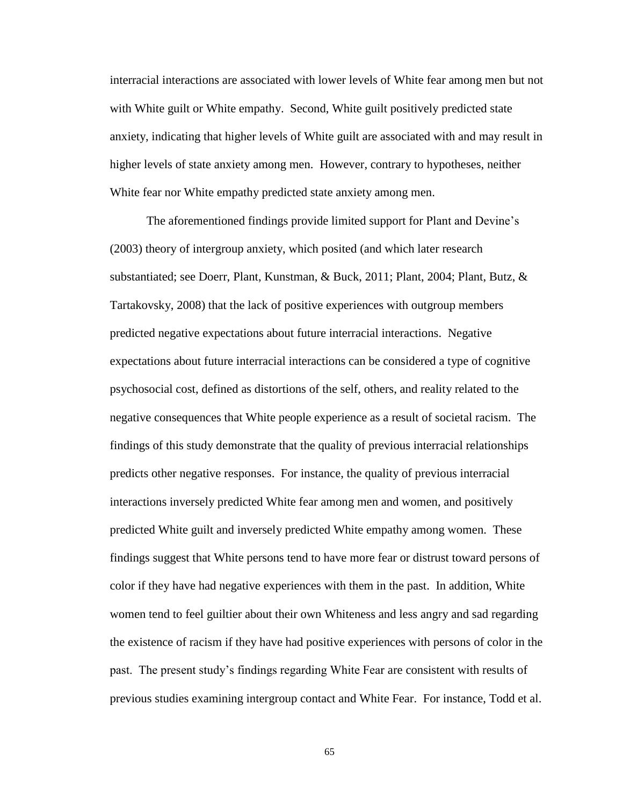interracial interactions are associated with lower levels of White fear among men but not with White guilt or White empathy. Second, White guilt positively predicted state anxiety, indicating that higher levels of White guilt are associated with and may result in higher levels of state anxiety among men. However, contrary to hypotheses, neither White fear nor White empathy predicted state anxiety among men.

The aforementioned findings provide limited support for Plant and Devine's (2003) theory of intergroup anxiety, which posited (and which later research substantiated; see Doerr, Plant, Kunstman, & Buck, 2011; Plant, 2004; Plant, Butz, & Tartakovsky, 2008) that the lack of positive experiences with outgroup members predicted negative expectations about future interracial interactions. Negative expectations about future interracial interactions can be considered a type of cognitive psychosocial cost, defined as distortions of the self, others, and reality related to the negative consequences that White people experience as a result of societal racism. The findings of this study demonstrate that the quality of previous interracial relationships predicts other negative responses. For instance, the quality of previous interracial interactions inversely predicted White fear among men and women, and positively predicted White guilt and inversely predicted White empathy among women. These findings suggest that White persons tend to have more fear or distrust toward persons of color if they have had negative experiences with them in the past. In addition, White women tend to feel guiltier about their own Whiteness and less angry and sad regarding the existence of racism if they have had positive experiences with persons of color in the past. The present study's findings regarding White Fear are consistent with results of previous studies examining intergroup contact and White Fear. For instance, Todd et al.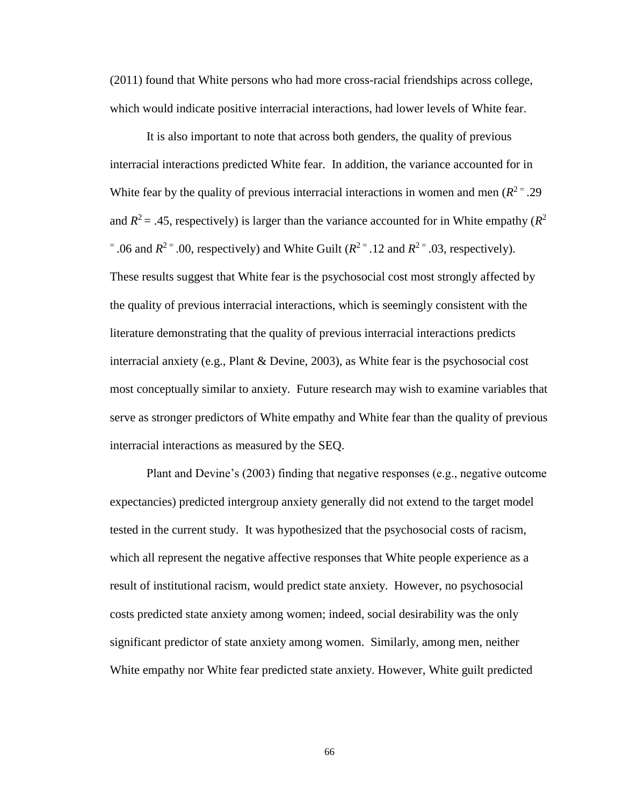(2011) found that White persons who had more cross-racial friendships across college, which would indicate positive interracial interactions, had lower levels of White fear.

It is also important to note that across both genders, the quality of previous interracial interactions predicted White fear. In addition, the variance accounted for in White fear by the quality of previous interracial interactions in women and men  $(R^{2} = .29)$ and  $R^2$  = .45, respectively) is larger than the variance accounted for in White empathy ( $R^2$ )  $=$  .06 and  $R^2$  = .00, respectively) and White Guilt ( $R^2$  = .12 and  $R^2$  = .03, respectively). These results suggest that White fear is the psychosocial cost most strongly affected by the quality of previous interracial interactions, which is seemingly consistent with the literature demonstrating that the quality of previous interracial interactions predicts interracial anxiety (e.g., Plant & Devine, 2003), as White fear is the psychosocial cost most conceptually similar to anxiety. Future research may wish to examine variables that serve as stronger predictors of White empathy and White fear than the quality of previous interracial interactions as measured by the SEQ.

Plant and Devine's (2003) finding that negative responses (e.g., negative outcome expectancies) predicted intergroup anxiety generally did not extend to the target model tested in the current study. It was hypothesized that the psychosocial costs of racism, which all represent the negative affective responses that White people experience as a result of institutional racism, would predict state anxiety. However, no psychosocial costs predicted state anxiety among women; indeed, social desirability was the only significant predictor of state anxiety among women. Similarly, among men, neither White empathy nor White fear predicted state anxiety. However, White guilt predicted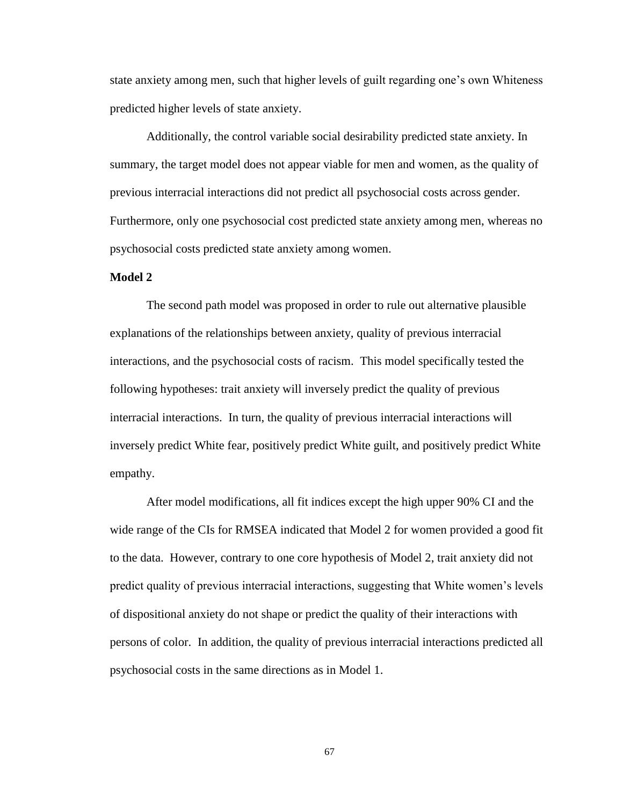state anxiety among men, such that higher levels of guilt regarding one's own Whiteness predicted higher levels of state anxiety.

Additionally, the control variable social desirability predicted state anxiety. In summary, the target model does not appear viable for men and women, as the quality of previous interracial interactions did not predict all psychosocial costs across gender. Furthermore, only one psychosocial cost predicted state anxiety among men, whereas no psychosocial costs predicted state anxiety among women.

### **Model 2**

The second path model was proposed in order to rule out alternative plausible explanations of the relationships between anxiety, quality of previous interracial interactions, and the psychosocial costs of racism. This model specifically tested the following hypotheses: trait anxiety will inversely predict the quality of previous interracial interactions. In turn, the quality of previous interracial interactions will inversely predict White fear, positively predict White guilt, and positively predict White empathy.

After model modifications, all fit indices except the high upper 90% CI and the wide range of the CIs for RMSEA indicated that Model 2 for women provided a good fit to the data. However, contrary to one core hypothesis of Model 2, trait anxiety did not predict quality of previous interracial interactions, suggesting that White women's levels of dispositional anxiety do not shape or predict the quality of their interactions with persons of color. In addition, the quality of previous interracial interactions predicted all psychosocial costs in the same directions as in Model 1.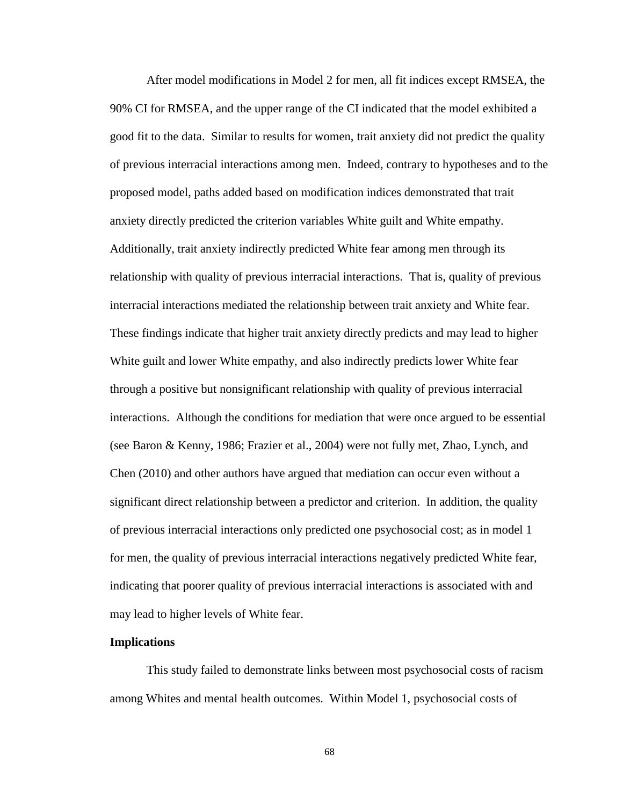After model modifications in Model 2 for men, all fit indices except RMSEA, the 90% CI for RMSEA, and the upper range of the CI indicated that the model exhibited a good fit to the data. Similar to results for women, trait anxiety did not predict the quality of previous interracial interactions among men. Indeed, contrary to hypotheses and to the proposed model, paths added based on modification indices demonstrated that trait anxiety directly predicted the criterion variables White guilt and White empathy. Additionally, trait anxiety indirectly predicted White fear among men through its relationship with quality of previous interracial interactions. That is, quality of previous interracial interactions mediated the relationship between trait anxiety and White fear. These findings indicate that higher trait anxiety directly predicts and may lead to higher White guilt and lower White empathy, and also indirectly predicts lower White fear through a positive but nonsignificant relationship with quality of previous interracial interactions. Although the conditions for mediation that were once argued to be essential (see Baron & Kenny, 1986; Frazier et al., 2004) were not fully met, Zhao, Lynch, and Chen (2010) and other authors have argued that mediation can occur even without a significant direct relationship between a predictor and criterion. In addition, the quality of previous interracial interactions only predicted one psychosocial cost; as in model 1 for men, the quality of previous interracial interactions negatively predicted White fear, indicating that poorer quality of previous interracial interactions is associated with and may lead to higher levels of White fear.

#### **Implications**

This study failed to demonstrate links between most psychosocial costs of racism among Whites and mental health outcomes. Within Model 1, psychosocial costs of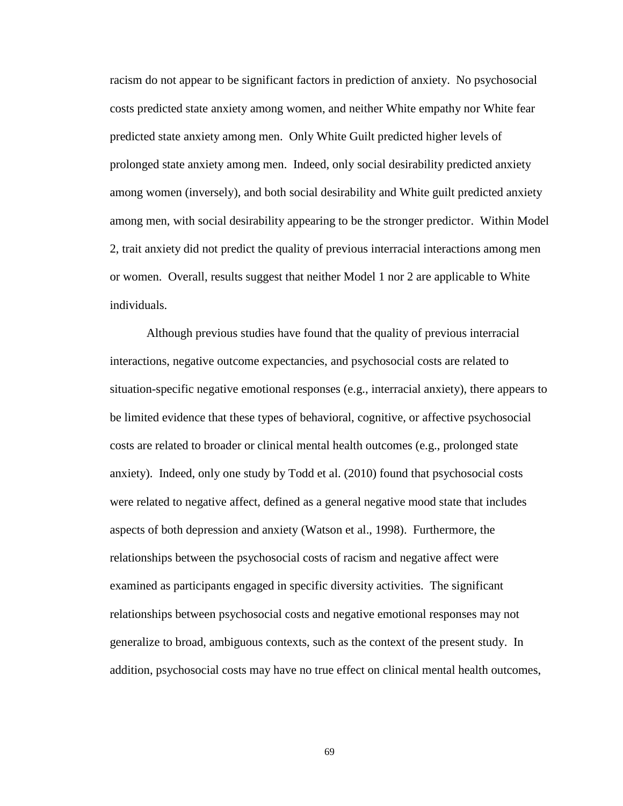racism do not appear to be significant factors in prediction of anxiety. No psychosocial costs predicted state anxiety among women, and neither White empathy nor White fear predicted state anxiety among men. Only White Guilt predicted higher levels of prolonged state anxiety among men. Indeed, only social desirability predicted anxiety among women (inversely), and both social desirability and White guilt predicted anxiety among men, with social desirability appearing to be the stronger predictor. Within Model 2, trait anxiety did not predict the quality of previous interracial interactions among men or women. Overall, results suggest that neither Model 1 nor 2 are applicable to White individuals.

Although previous studies have found that the quality of previous interracial interactions, negative outcome expectancies, and psychosocial costs are related to situation-specific negative emotional responses (e.g., interracial anxiety), there appears to be limited evidence that these types of behavioral, cognitive, or affective psychosocial costs are related to broader or clinical mental health outcomes (e.g., prolonged state anxiety). Indeed, only one study by Todd et al. (2010) found that psychosocial costs were related to negative affect, defined as a general negative mood state that includes aspects of both depression and anxiety (Watson et al., 1998). Furthermore, the relationships between the psychosocial costs of racism and negative affect were examined as participants engaged in specific diversity activities. The significant relationships between psychosocial costs and negative emotional responses may not generalize to broad, ambiguous contexts, such as the context of the present study. In addition, psychosocial costs may have no true effect on clinical mental health outcomes,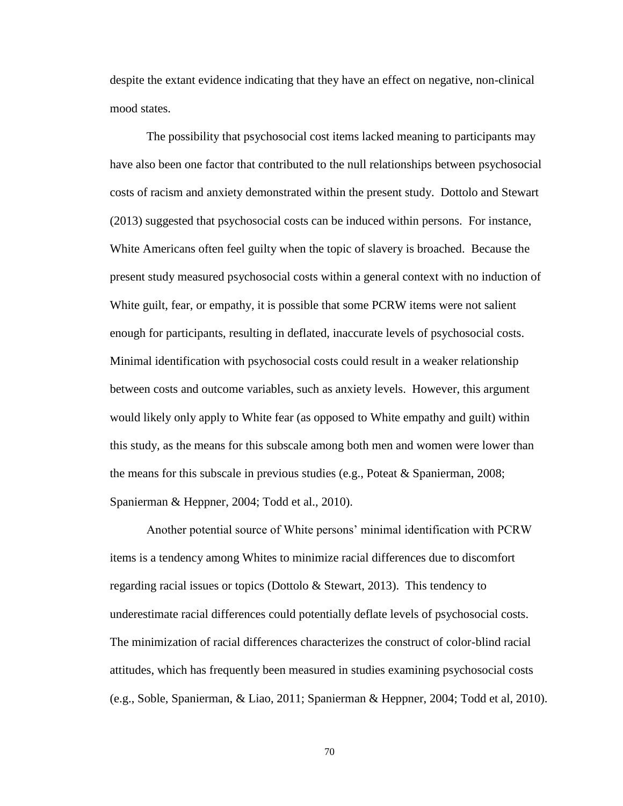despite the extant evidence indicating that they have an effect on negative, non-clinical mood states.

The possibility that psychosocial cost items lacked meaning to participants may have also been one factor that contributed to the null relationships between psychosocial costs of racism and anxiety demonstrated within the present study. Dottolo and Stewart (2013) suggested that psychosocial costs can be induced within persons. For instance, White Americans often feel guilty when the topic of slavery is broached. Because the present study measured psychosocial costs within a general context with no induction of White guilt, fear, or empathy, it is possible that some PCRW items were not salient enough for participants, resulting in deflated, inaccurate levels of psychosocial costs. Minimal identification with psychosocial costs could result in a weaker relationship between costs and outcome variables, such as anxiety levels. However, this argument would likely only apply to White fear (as opposed to White empathy and guilt) within this study, as the means for this subscale among both men and women were lower than the means for this subscale in previous studies (e.g., Poteat & Spanierman, 2008; Spanierman & Heppner, 2004; Todd et al., 2010).

Another potential source of White persons' minimal identification with PCRW items is a tendency among Whites to minimize racial differences due to discomfort regarding racial issues or topics (Dottolo & Stewart, 2013). This tendency to underestimate racial differences could potentially deflate levels of psychosocial costs. The minimization of racial differences characterizes the construct of color-blind racial attitudes, which has frequently been measured in studies examining psychosocial costs (e.g., Soble, Spanierman, & Liao, 2011; Spanierman & Heppner, 2004; Todd et al, 2010).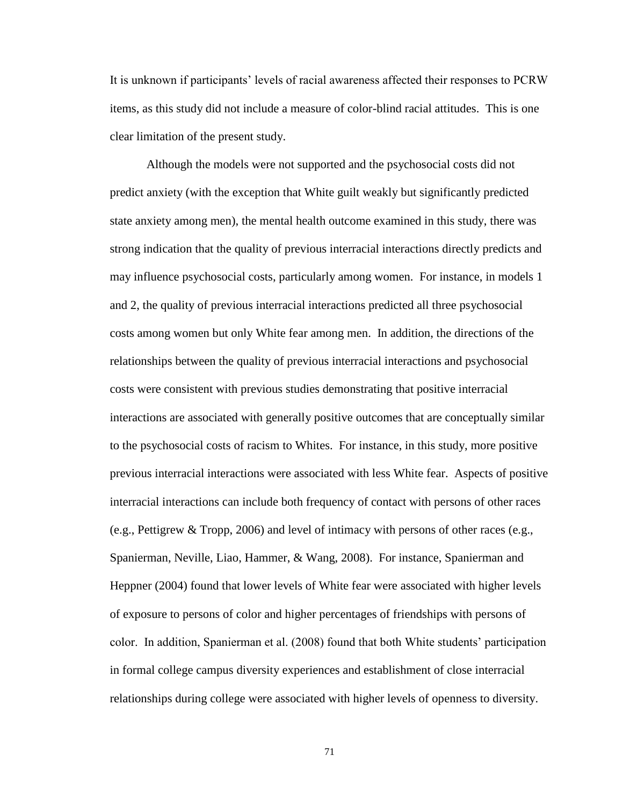It is unknown if participants' levels of racial awareness affected their responses to PCRW items, as this study did not include a measure of color-blind racial attitudes. This is one clear limitation of the present study.

Although the models were not supported and the psychosocial costs did not predict anxiety (with the exception that White guilt weakly but significantly predicted state anxiety among men), the mental health outcome examined in this study, there was strong indication that the quality of previous interracial interactions directly predicts and may influence psychosocial costs, particularly among women. For instance, in models 1 and 2, the quality of previous interracial interactions predicted all three psychosocial costs among women but only White fear among men. In addition, the directions of the relationships between the quality of previous interracial interactions and psychosocial costs were consistent with previous studies demonstrating that positive interracial interactions are associated with generally positive outcomes that are conceptually similar to the psychosocial costs of racism to Whites. For instance, in this study, more positive previous interracial interactions were associated with less White fear. Aspects of positive interracial interactions can include both frequency of contact with persons of other races (e.g., Pettigrew & Tropp, 2006) and level of intimacy with persons of other races (e.g., Spanierman, Neville, Liao, Hammer, & Wang, 2008). For instance, Spanierman and Heppner (2004) found that lower levels of White fear were associated with higher levels of exposure to persons of color and higher percentages of friendships with persons of color. In addition, Spanierman et al. (2008) found that both White students' participation in formal college campus diversity experiences and establishment of close interracial relationships during college were associated with higher levels of openness to diversity.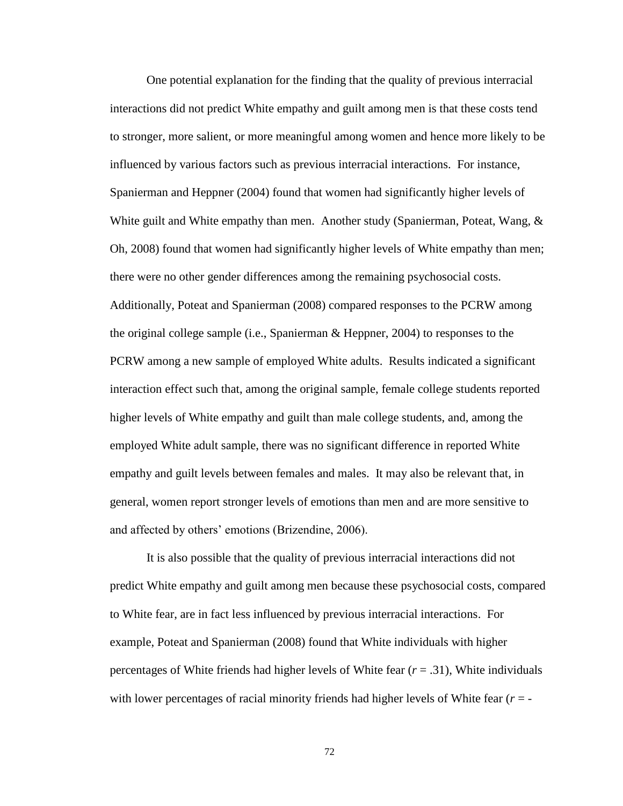One potential explanation for the finding that the quality of previous interracial interactions did not predict White empathy and guilt among men is that these costs tend to stronger, more salient, or more meaningful among women and hence more likely to be influenced by various factors such as previous interracial interactions. For instance, Spanierman and Heppner (2004) found that women had significantly higher levels of White guilt and White empathy than men. Another study (Spanierman, Poteat, Wang, & Oh, 2008) found that women had significantly higher levels of White empathy than men; there were no other gender differences among the remaining psychosocial costs. Additionally, Poteat and Spanierman (2008) compared responses to the PCRW among the original college sample (i.e., Spanierman  $\&$  Heppner, 2004) to responses to the PCRW among a new sample of employed White adults. Results indicated a significant interaction effect such that, among the original sample, female college students reported higher levels of White empathy and guilt than male college students, and, among the employed White adult sample, there was no significant difference in reported White empathy and guilt levels between females and males. It may also be relevant that, in general, women report stronger levels of emotions than men and are more sensitive to and affected by others' emotions (Brizendine, 2006).

It is also possible that the quality of previous interracial interactions did not predict White empathy and guilt among men because these psychosocial costs, compared to White fear, are in fact less influenced by previous interracial interactions. For example, Poteat and Spanierman (2008) found that White individuals with higher percentages of White friends had higher levels of White fear (*r* = .31), White individuals with lower percentages of racial minority friends had higher levels of White fear (*r* = -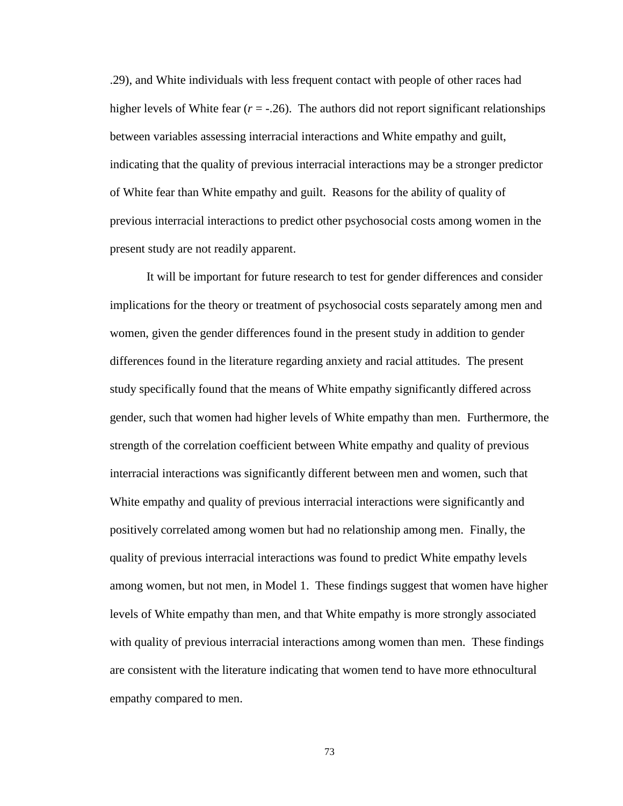.29), and White individuals with less frequent contact with people of other races had higher levels of White fear  $(r = -0.26)$ . The authors did not report significant relationships between variables assessing interracial interactions and White empathy and guilt, indicating that the quality of previous interracial interactions may be a stronger predictor of White fear than White empathy and guilt. Reasons for the ability of quality of previous interracial interactions to predict other psychosocial costs among women in the present study are not readily apparent.

It will be important for future research to test for gender differences and consider implications for the theory or treatment of psychosocial costs separately among men and women, given the gender differences found in the present study in addition to gender differences found in the literature regarding anxiety and racial attitudes. The present study specifically found that the means of White empathy significantly differed across gender, such that women had higher levels of White empathy than men. Furthermore, the strength of the correlation coefficient between White empathy and quality of previous interracial interactions was significantly different between men and women, such that White empathy and quality of previous interracial interactions were significantly and positively correlated among women but had no relationship among men. Finally, the quality of previous interracial interactions was found to predict White empathy levels among women, but not men, in Model 1. These findings suggest that women have higher levels of White empathy than men, and that White empathy is more strongly associated with quality of previous interracial interactions among women than men. These findings are consistent with the literature indicating that women tend to have more ethnocultural empathy compared to men.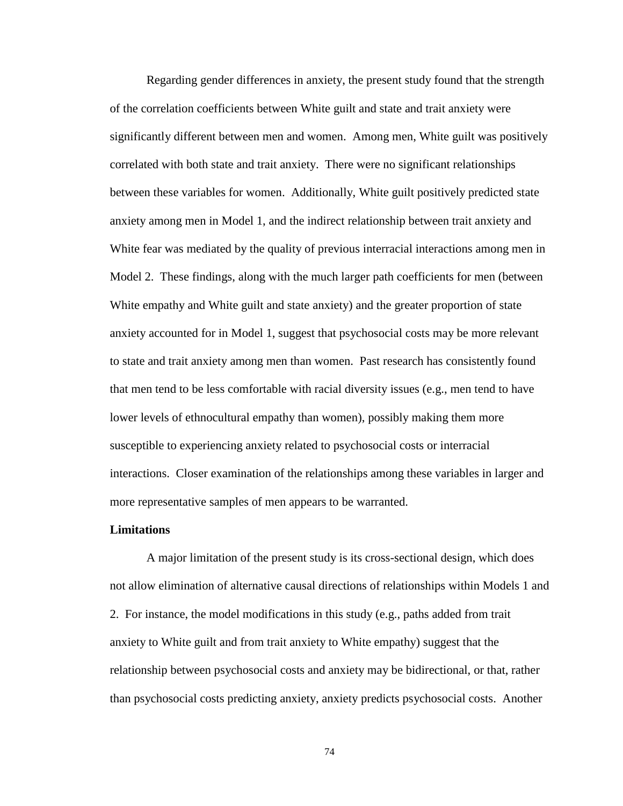Regarding gender differences in anxiety, the present study found that the strength of the correlation coefficients between White guilt and state and trait anxiety were significantly different between men and women. Among men, White guilt was positively correlated with both state and trait anxiety. There were no significant relationships between these variables for women. Additionally, White guilt positively predicted state anxiety among men in Model 1, and the indirect relationship between trait anxiety and White fear was mediated by the quality of previous interracial interactions among men in Model 2. These findings, along with the much larger path coefficients for men (between White empathy and White guilt and state anxiety) and the greater proportion of state anxiety accounted for in Model 1, suggest that psychosocial costs may be more relevant to state and trait anxiety among men than women. Past research has consistently found that men tend to be less comfortable with racial diversity issues (e.g., men tend to have lower levels of ethnocultural empathy than women), possibly making them more susceptible to experiencing anxiety related to psychosocial costs or interracial interactions. Closer examination of the relationships among these variables in larger and more representative samples of men appears to be warranted.

### **Limitations**

A major limitation of the present study is its cross-sectional design, which does not allow elimination of alternative causal directions of relationships within Models 1 and 2. For instance, the model modifications in this study (e.g., paths added from trait anxiety to White guilt and from trait anxiety to White empathy) suggest that the relationship between psychosocial costs and anxiety may be bidirectional, or that, rather than psychosocial costs predicting anxiety, anxiety predicts psychosocial costs. Another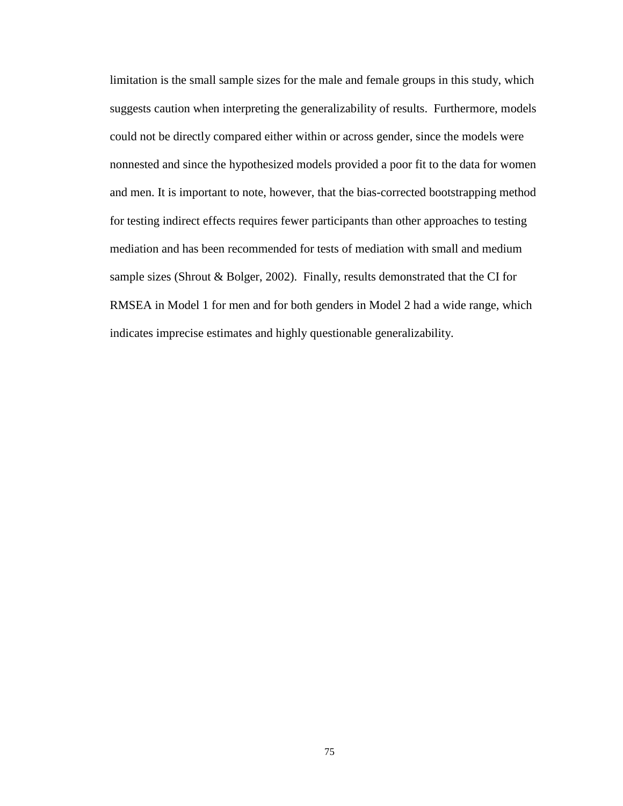limitation is the small sample sizes for the male and female groups in this study, which suggests caution when interpreting the generalizability of results. Furthermore, models could not be directly compared either within or across gender, since the models were nonnested and since the hypothesized models provided a poor fit to the data for women and men. It is important to note, however, that the bias-corrected bootstrapping method for testing indirect effects requires fewer participants than other approaches to testing mediation and has been recommended for tests of mediation with small and medium sample sizes (Shrout & Bolger, 2002). Finally, results demonstrated that the CI for RMSEA in Model 1 for men and for both genders in Model 2 had a wide range, which indicates imprecise estimates and highly questionable generalizability.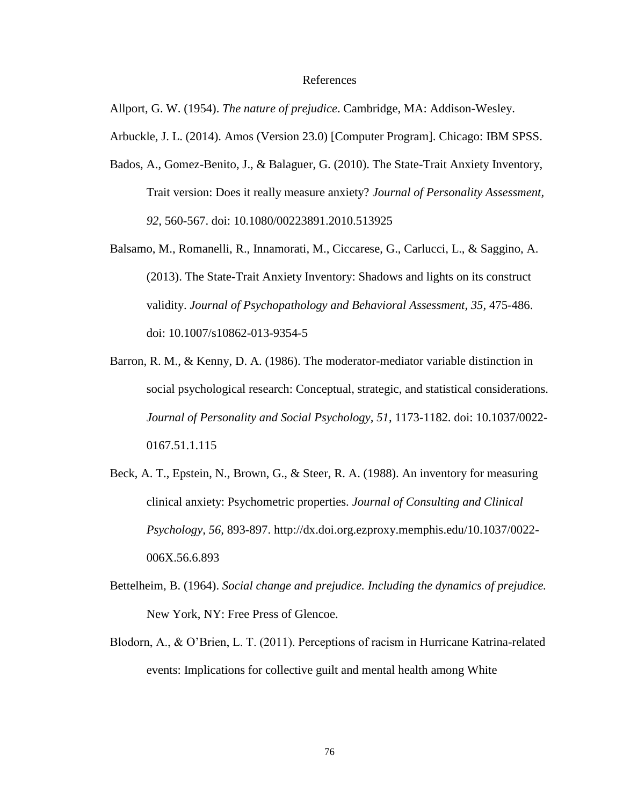#### References

Allport, G. W. (1954). *The nature of prejudice*. Cambridge, MA: Addison-Wesley.

Arbuckle, J. L. (2014). Amos (Version 23.0) [Computer Program]. Chicago: IBM SPSS.

- Bados, A., Gomez-Benito, J., & Balaguer, G. (2010). The State-Trait Anxiety Inventory, Trait version: Does it really measure anxiety? *Journal of Personality Assessment, 92,* 560-567. doi: 10.1080/00223891.2010.513925
- Balsamo, M., Romanelli, R., Innamorati, M., Ciccarese, G., Carlucci, L., & Saggino, A. (2013). The State-Trait Anxiety Inventory: Shadows and lights on its construct validity. *Journal of Psychopathology and Behavioral Assessment, 35,* 475-486. doi: 10.1007/s10862-013-9354-5
- Barron, R. M., & Kenny, D. A. (1986). The moderator-mediator variable distinction in social psychological research: Conceptual, strategic, and statistical considerations. *Journal of Personality and Social Psychology, 51*, 1173-1182. doi: 10.1037/0022- 0167.51.1.115
- Beck, A. T., Epstein, N., Brown, G., & Steer, R. A. (1988). An inventory for measuring clinical anxiety: Psychometric properties. *Journal of Consulting and Clinical Psychology, 56,* 893-897. http://dx.doi.org.ezproxy.memphis.edu/10.1037/0022- 006X.56.6.893
- Bettelheim, B. (1964). *Social change and prejudice. Including the dynamics of prejudice.*  New York, NY: Free Press of Glencoe.
- Blodorn, A., & O'Brien, L. T. (2011). Perceptions of racism in Hurricane Katrina-related events: Implications for collective guilt and mental health among White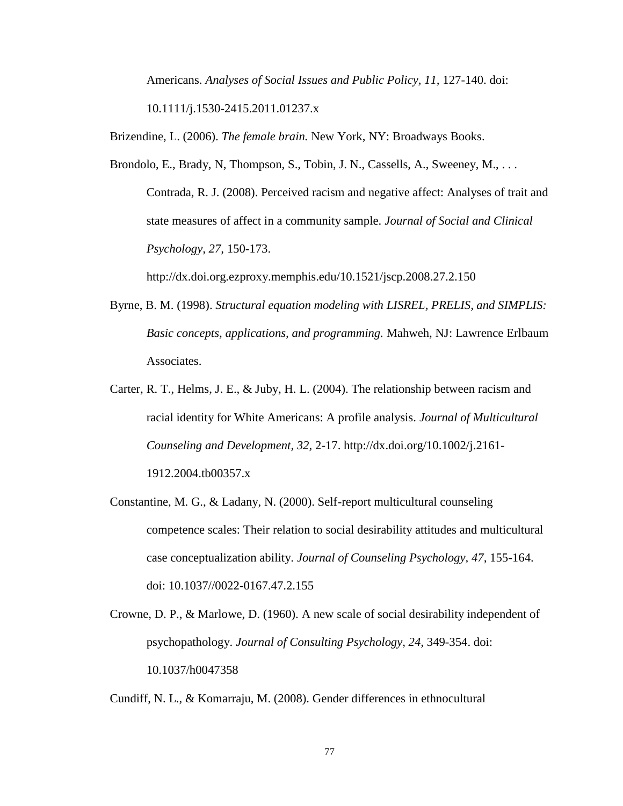Americans. *Analyses of Social Issues and Public Policy, 11,* 127-140. doi: 10.1111/j.1530-2415.2011.01237.x

Brizendine, L. (2006). *The female brain.* New York, NY: Broadways Books.

Brondolo, E., Brady, N, Thompson, S., Tobin, J. N., Cassells, A., Sweeney, M., ... Contrada, R. J. (2008). Perceived racism and negative affect: Analyses of trait and state measures of affect in a community sample. *Journal of Social and Clinical Psychology, 27,* 150-173.

http://dx.doi.org.ezproxy.memphis.edu/10.1521/jscp.2008.27.2.150

- Byrne, B. M. (1998). *Structural equation modeling with LISREL, PRELIS, and SIMPLIS: Basic concepts, applications, and programming.* Mahweh, NJ: Lawrence Erlbaum Associates.
- Carter, R. T., Helms, J. E., & Juby, H. L. (2004). The relationship between racism and racial identity for White Americans: A profile analysis. *Journal of Multicultural Counseling and Development, 32,* 2-17. http://dx.doi.org/10.1002/j.2161- 1912.2004.tb00357.x
- Constantine, M. G., & Ladany, N. (2000). Self-report multicultural counseling competence scales: Their relation to social desirability attitudes and multicultural case conceptualization ability. *Journal of Counseling Psychology, 47,* 155-164. doi: 10.1037//0022-0167.47.2.155
- Crowne, D. P., & Marlowe, D. (1960). A new scale of social desirability independent of psychopathology. *Journal of Consulting Psychology, 24,* 349-354. doi: 10.1037/h0047358

Cundiff, N. L., & Komarraju, M. (2008). Gender differences in ethnocultural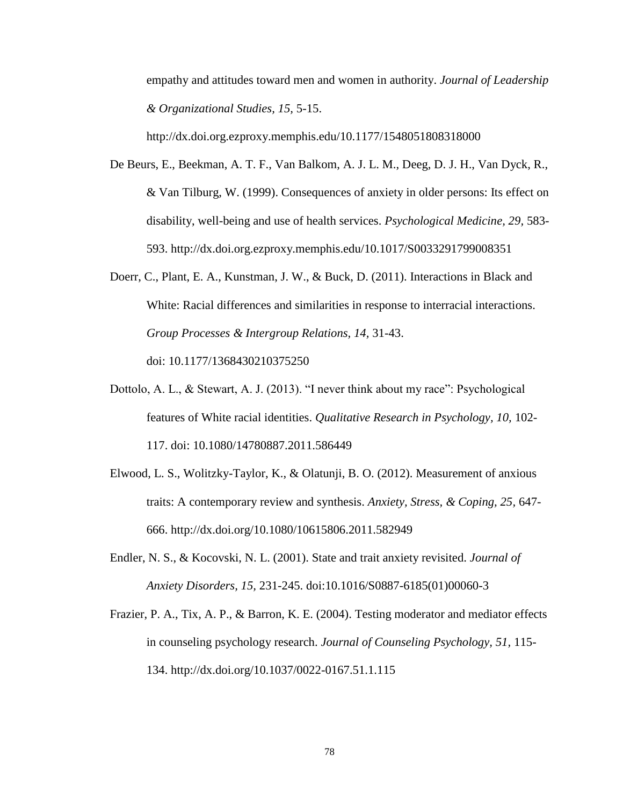empathy and attitudes toward men and women in authority. *Journal of Leadership & Organizational Studies, 15,* 5-15.

http://dx.doi.org.ezproxy.memphis.edu/10.1177/1548051808318000

- De Beurs, E., Beekman, A. T. F., Van Balkom, A. J. L. M., Deeg, D. J. H., Van Dyck, R., & Van Tilburg, W. (1999). Consequences of anxiety in older persons: Its effect on disability, well-being and use of health services. *Psychological Medicine, 29,* 583- 593. http://dx.doi.org.ezproxy.memphis.edu/10.1017/S0033291799008351
- Doerr, C., Plant, E. A., Kunstman, J. W., & Buck, D. (2011). Interactions in Black and White: Racial differences and similarities in response to interracial interactions. *Group Processes & Intergroup Relations, 14,* 31-43. doi: 10.1177/1368430210375250
- Dottolo, A. L., & Stewart, A. J. (2013). "I never think about my race": Psychological features of White racial identities. *Qualitative Research in Psychology, 10,* 102- 117. doi: 10.1080/14780887.2011.586449
- Elwood, L. S., Wolitzky-Taylor, K., & Olatunji, B. O. (2012). Measurement of anxious traits: A contemporary review and synthesis. *Anxiety, Stress, & Coping, 25,* 647- 666. http://dx.doi.org/10.1080/10615806.2011.582949
- Endler, N. S., & Kocovski, N. L. (2001). State and trait anxiety revisited. *Journal of Anxiety Disorders, 15,* 231-245. doi:10.1016/S0887-6185(01)00060-3
- Frazier, P. A., Tix, A. P., & Barron, K. E. (2004). Testing moderator and mediator effects in counseling psychology research. *Journal of Counseling Psychology, 51,* 115- 134. http://dx.doi.org/10.1037/0022-0167.51.1.115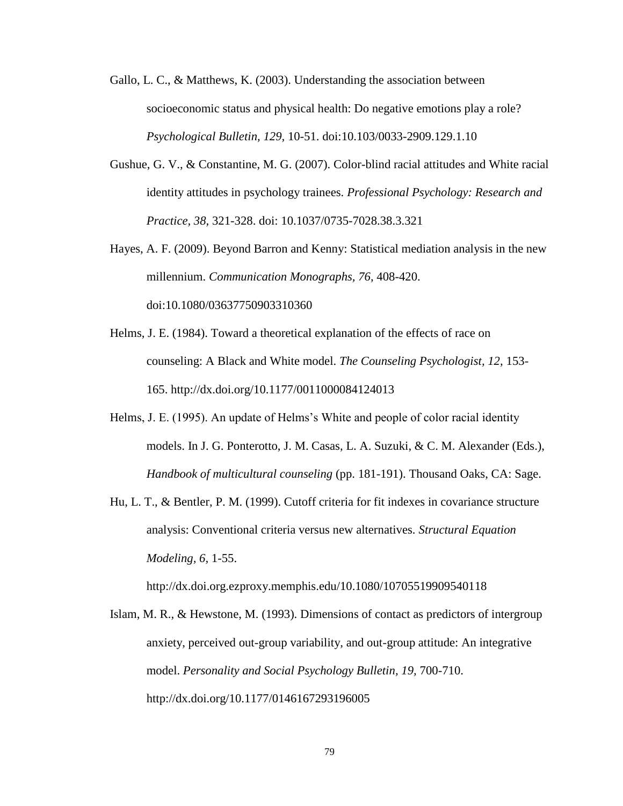- Gallo, L. C., & Matthews, K. (2003). Understanding the association between socioeconomic status and physical health: Do negative emotions play a role? *Psychological Bulletin, 129,* 10-51. doi:10.103/0033-2909.129.1.10
- Gushue, G. V., & Constantine, M. G. (2007). Color-blind racial attitudes and White racial identity attitudes in psychology trainees. *Professional Psychology: Research and Practice, 38,* 321-328. doi: 10.1037/0735-7028.38.3.321
- Hayes, A. F. (2009). Beyond Barron and Kenny: Statistical mediation analysis in the new millennium. *Communication Monographs, 76,* 408-420. doi:10.1080/03637750903310360
- Helms, J. E. (1984). Toward a theoretical explanation of the effects of race on counseling: A Black and White model. *The Counseling Psychologist, 12,* 153- 165.<http://dx.doi.org/10.1177/0011000084124013>
- Helms, J. E. (1995). An update of Helms's White and people of color racial identity models. In J. G. Ponterotto, J. M. Casas, L. A. Suzuki, & C. M. Alexander (Eds.), *Handbook of multicultural counseling* (pp. 181-191). Thousand Oaks, CA: Sage.
- Hu, L. T., & Bentler, P. M. (1999). Cutoff criteria for fit indexes in covariance structure analysis: Conventional criteria versus new alternatives. *Structural Equation Modeling, 6,* 1-55.

http://dx.doi.org.ezproxy.memphis.edu/10.1080/10705519909540118

Islam, M. R., & Hewstone, M. (1993). Dimensions of contact as predictors of intergroup anxiety, perceived out-group variability, and out-group attitude: An integrative model. *Personality and Social Psychology Bulletin, 19,* 700-710. <http://dx.doi.org/10.1177/0146167293196005>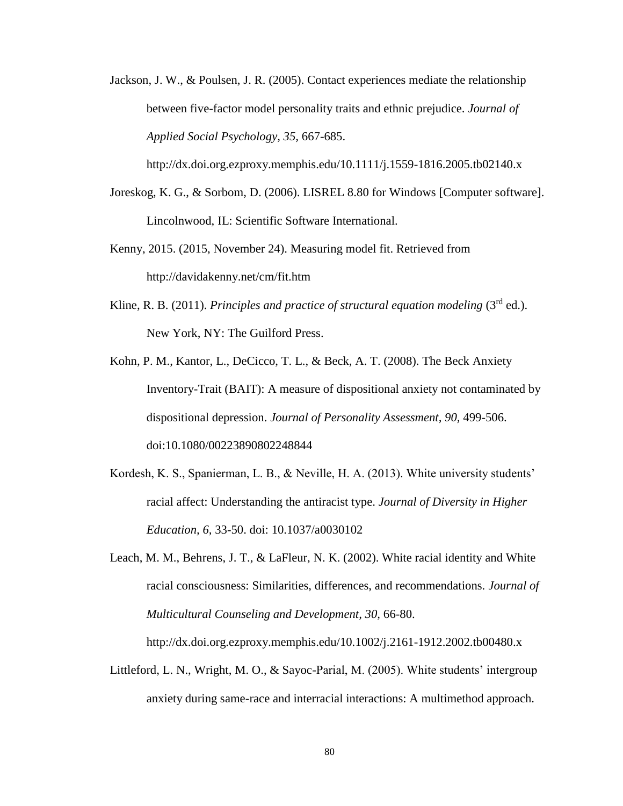Jackson, J. W., & Poulsen, J. R. (2005). Contact experiences mediate the relationship between five-factor model personality traits and ethnic prejudice. *Journal of Applied Social Psychology, 35,* 667-685.

<http://dx.doi.org.ezproxy.memphis.edu/10.1111/j.1559-1816.2005.tb02140.x>

- Joreskog, K. G., & Sorbom, D. (2006). LISREL 8.80 for Windows [Computer software]. Lincolnwood, IL: Scientific Software International.
- Kenny, 2015. (2015, November 24). Measuring model fit. Retrieved from http://davidakenny.net/cm/fit.htm
- Kline, R. B. (2011). *Principles and practice of structural equation modeling* (3<sup>rd</sup> ed.). New York, NY: The Guilford Press.
- Kohn, P. M., Kantor, L., DeCicco, T. L., & Beck, A. T. (2008). The Beck Anxiety Inventory-Trait (BAIT): A measure of dispositional anxiety not contaminated by dispositional depression. *Journal of Personality Assessment, 90,* 499-506. doi:10.1080/00223890802248844
- Kordesh, K. S., Spanierman, L. B., & Neville, H. A. (2013). White university students' racial affect: Understanding the antiracist type. *Journal of Diversity in Higher Education, 6,* 33-50. doi: 10.1037/a0030102
- Leach, M. M., Behrens, J. T., & LaFleur, N. K. (2002). White racial identity and White racial consciousness: Similarities, differences, and recommendations. *Journal of Multicultural Counseling and Development, 30,* 66-80.

http://dx.doi.org.ezproxy.memphis.edu/10.1002/j.2161-1912.2002.tb00480.x

Littleford, L. N., Wright, M. O., & Sayoc-Parial, M. (2005). White students' intergroup anxiety during same-race and interracial interactions: A multimethod approach.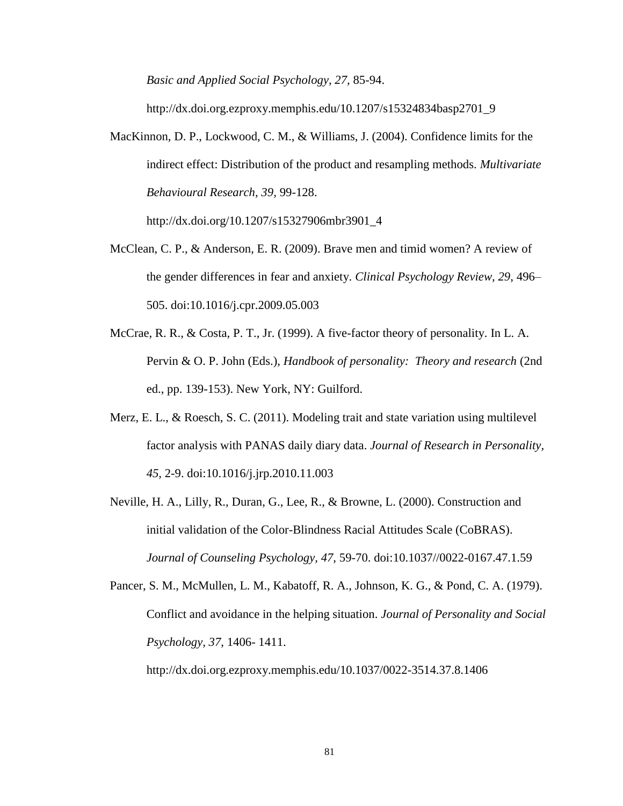*Basic and Applied Social Psychology, 27,* 85-94.

http://dx.doi.org.ezproxy.memphis.edu/10.1207/s15324834basp2701\_9

MacKinnon, D. P., Lockwood, C. M., & Williams, J. (2004). Confidence limits for the indirect effect: Distribution of the product and resampling methods. *Multivariate Behavioural Research, 39,* 99-128.

[http://dx.doi.org/10.1207/s15327906mbr3901\\_4](http://dx.doi.org/10.1207/s15327906mbr3901_4)

- McClean, C. P., & Anderson, E. R. (2009). Brave men and timid women? A review of the gender differences in fear and anxiety. *Clinical Psychology Review, 29*, 496– 505. doi:10.1016/j.cpr.2009.05.003
- McCrae, R. R., & Costa, P. T., Jr. (1999). A five-factor theory of personality. In L. A. Pervin & O. P. John (Eds.), *Handbook of personality: Theory and research* (2nd ed., pp. 139-153). New York, NY: Guilford.
- Merz, E. L., & Roesch, S. C. (2011). Modeling trait and state variation using multilevel factor analysis with PANAS daily diary data. *Journal of Research in Personality, 45,* 2-9. doi:10.1016/j.jrp.2010.11.003
- Neville, H. A., Lilly, R., Duran, G., Lee, R., & Browne, L. (2000). Construction and initial validation of the Color-Blindness Racial Attitudes Scale (CoBRAS). *Journal of Counseling Psychology, 47,* 59-70. doi:10.1037//0022-0167.47.1.59
- Pancer, S. M., McMullen, L. M., Kabatoff, R. A., Johnson, K. G., & Pond, C. A. (1979). Conflict and avoidance in the helping situation. *Journal of Personality and Social Psychology, 37*, 1406- 1411.

<http://dx.doi.org.ezproxy.memphis.edu/10.1037/0022-3514.37.8.1406>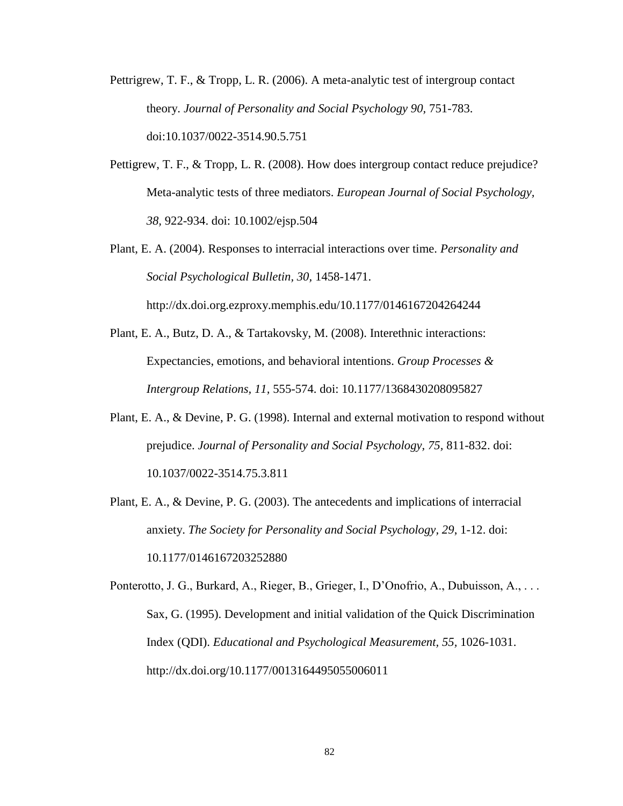- Pettrigrew, T. F., & Tropp, L. R. (2006). A meta-analytic test of intergroup contact theory. *Journal of Personality and Social Psychology 90,* 751-783. doi:10.1037/0022-3514.90.5.751
- Pettigrew, T. F., & Tropp, L. R. (2008). How does intergroup contact reduce prejudice? Meta-analytic tests of three mediators. *European Journal of Social Psychology, 38,* 922-934. doi: 10.1002/ejsp.504
- Plant, E. A. (2004). Responses to interracial interactions over time. *Personality and Social Psychological Bulletin, 30,* 1458-1471.

http://dx.doi.org.ezproxy.memphis.edu/10.1177/0146167204264244

- Plant, E. A., Butz, D. A., & Tartakovsky, M. (2008). Interethnic interactions: Expectancies, emotions, and behavioral intentions. *Group Processes & Intergroup Relations, 11,* 555-574. doi: 10.1177/1368430208095827
- Plant, E. A., & Devine, P. G. (1998). Internal and external motivation to respond without prejudice. *Journal of Personality and Social Psychology, 75,* 811-832. doi: [10.1037/0022-3514.75.3.811](javascript:__doLinkPostBack()
- Plant, E. A., & Devine, P. G. (2003). The antecedents and implications of interracial anxiety. *The Society for Personality and Social Psychology, 29*, 1-12. doi: 10.1177/0146167203252880

Ponterotto, J. G., Burkard, A., Rieger, B., Grieger, I., D'Onofrio, A., Dubuisson, A., ... Sax, G. (1995). Development and initial validation of the Quick Discrimination Index (QDI). *Educational and Psychological Measurement, 55,* 1026-1031. <http://dx.doi.org/10.1177/0013164495055006011>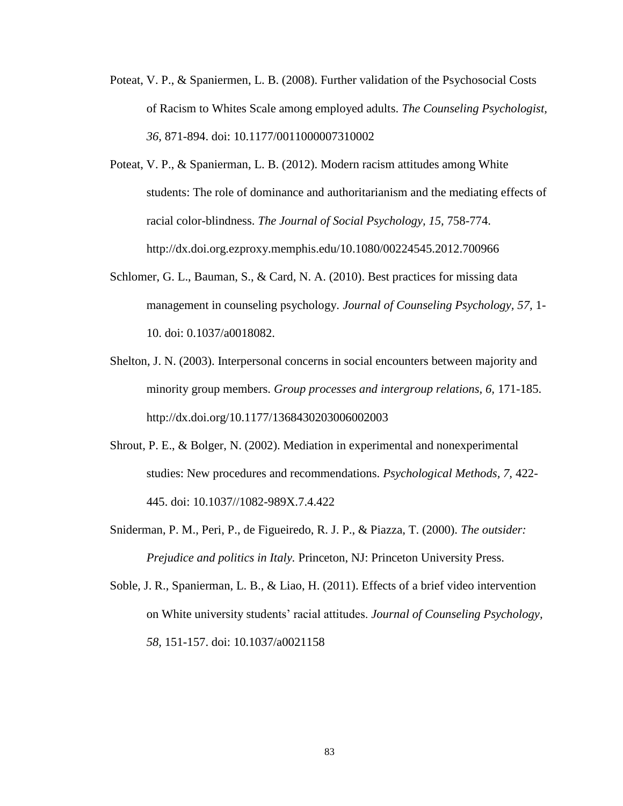- Poteat, V. P., & Spaniermen, L. B. (2008). Further validation of the Psychosocial Costs of Racism to Whites Scale among employed adults. *The Counseling Psychologist, 36,* 871-894. doi: 10.1177/0011000007310002
- Poteat, V. P., & Spanierman, L. B. (2012). Modern racism attitudes among White students: The role of dominance and authoritarianism and the mediating effects of racial color-blindness. *The Journal of Social Psychology, 15,* 758-774. http://dx.doi.org.ezproxy.memphis.edu/10.1080/00224545.2012.700966
- Schlomer, G. L., Bauman, S., & Card, N. A. (2010). Best practices for missing data management in counseling psychology. *Journal of Counseling Psychology, 57,* 1- 10. doi: 0.1037/a0018082.
- Shelton, J. N. (2003). Interpersonal concerns in social encounters between majority and minority group members. *Group processes and intergroup relations, 6,* 171-185. <http://dx.doi.org/10.1177/1368430203006002003>
- Shrout, P. E., & Bolger, N. (2002). Mediation in experimental and nonexperimental studies: New procedures and recommendations. *Psychological Methods, 7,* 422- 445. doi: 10.1037//1082-989X.7.4.422
- Sniderman, P. M., Peri, P., de Figueiredo, R. J. P., & Piazza, T. (2000). *The outsider: Prejudice and politics in Italy.* Princeton, NJ: Princeton University Press.
- Soble, J. R., Spanierman, L. B., & Liao, H. (2011). Effects of a brief video intervention on White university students' racial attitudes. *Journal of Counseling Psychology, 58,* 151-157. doi: 10.1037/a0021158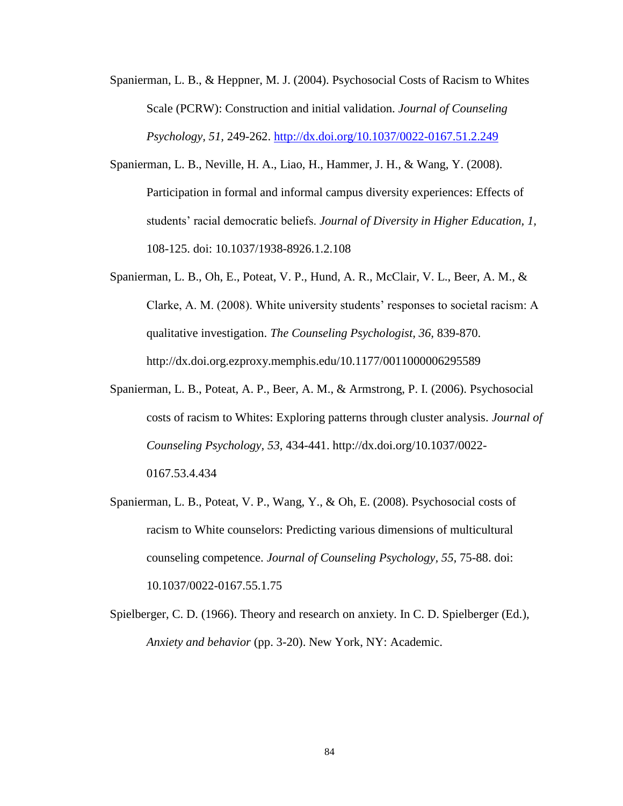- Spanierman, L. B., & Heppner, M. J. (2004). Psychosocial Costs of Racism to Whites Scale (PCRW): Construction and initial validation. *Journal of Counseling Psychology, 51,* 249-262.<http://dx.doi.org/10.1037/0022-0167.51.2.249>
- Spanierman, L. B., Neville, H. A., Liao, H., Hammer, J. H., & Wang, Y. (2008). Participation in formal and informal campus diversity experiences: Effects of students' racial democratic beliefs. *Journal of Diversity in Higher Education, 1,*  108-125. doi: 10.1037/1938-8926.1.2.108
- Spanierman, L. B., Oh, E., Poteat, V. P., Hund, A. R., McClair, V. L., Beer, A. M., & Clarke, A. M. (2008). White university students' responses to societal racism: A qualitative investigation. *The Counseling Psychologist, 36,* 839-870. http://dx.doi.org.ezproxy.memphis.edu/10.1177/0011000006295589
- Spanierman, L. B., Poteat, A. P., Beer, A. M., & Armstrong, P. I. (2006). Psychosocial costs of racism to Whites: Exploring patterns through cluster analysis. *Journal of Counseling Psychology, 53,* 434-441. http://dx.doi.org/10.1037/0022- 0167.53.4.434
- Spanierman, L. B., Poteat, V. P., Wang, Y., & Oh, E. (2008). Psychosocial costs of racism to White counselors: Predicting various dimensions of multicultural counseling competence. *Journal of Counseling Psychology, 55,* 75-88. doi: 10.1037/0022-0167.55.1.75
- Spielberger, C. D. (1966). Theory and research on anxiety. In C. D. Spielberger (Ed.), *Anxiety and behavior* (pp. 3-20). New York, NY: Academic.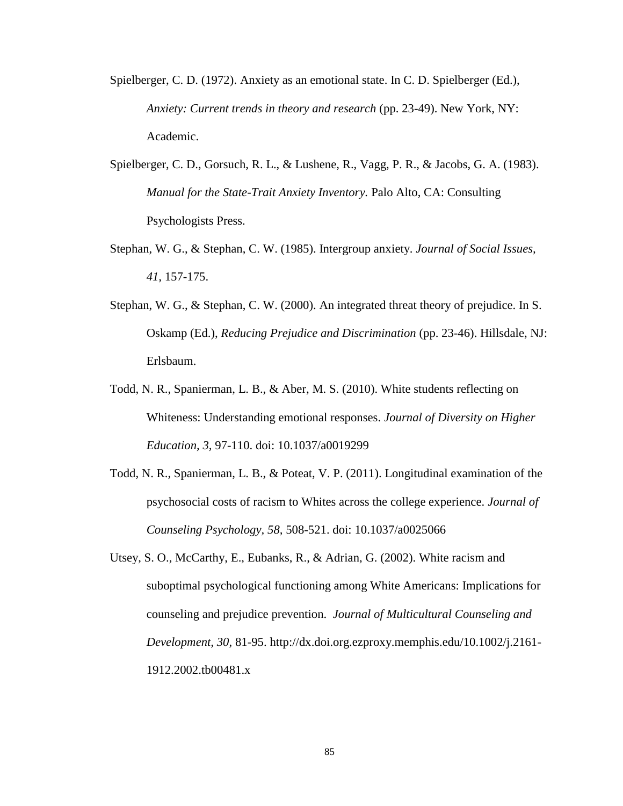- Spielberger, C. D. (1972). Anxiety as an emotional state. In C. D. Spielberger (Ed.), *Anxiety: Current trends in theory and research* (pp. 23-49). New York, NY: Academic.
- Spielberger, C. D., Gorsuch, R. L., & Lushene, R., Vagg, P. R., & Jacobs, G. A. (1983). *Manual for the State-Trait Anxiety Inventory.* Palo Alto, CA: Consulting Psychologists Press.
- Stephan, W. G., & Stephan, C. W. (1985). Intergroup anxiety. *Journal of Social Issues, 41,* 157-175.
- Stephan, W. G., & Stephan, C. W. (2000). An integrated threat theory of prejudice. In S. Oskamp (Ed.), *Reducing Prejudice and Discrimination* (pp. 23-46). Hillsdale, NJ: Erlsbaum.
- Todd, N. R., Spanierman, L. B., & Aber, M. S. (2010). White students reflecting on Whiteness: Understanding emotional responses. *Journal of Diversity on Higher Education, 3,* 97-110. doi: 10.1037/a0019299
- Todd, N. R., Spanierman, L. B., & Poteat, V. P. (2011). Longitudinal examination of the psychosocial costs of racism to Whites across the college experience. *Journal of Counseling Psychology, 58,* 508-521. doi: 10.1037/a0025066
- Utsey, S. O., McCarthy, E., Eubanks, R., & Adrian, G. (2002). White racism and suboptimal psychological functioning among White Americans: Implications for counseling and prejudice prevention. *Journal of Multicultural Counseling and Development, 30,* 81-95. http://dx.doi.org.ezproxy.memphis.edu/10.1002/j.2161- 1912.2002.tb00481.x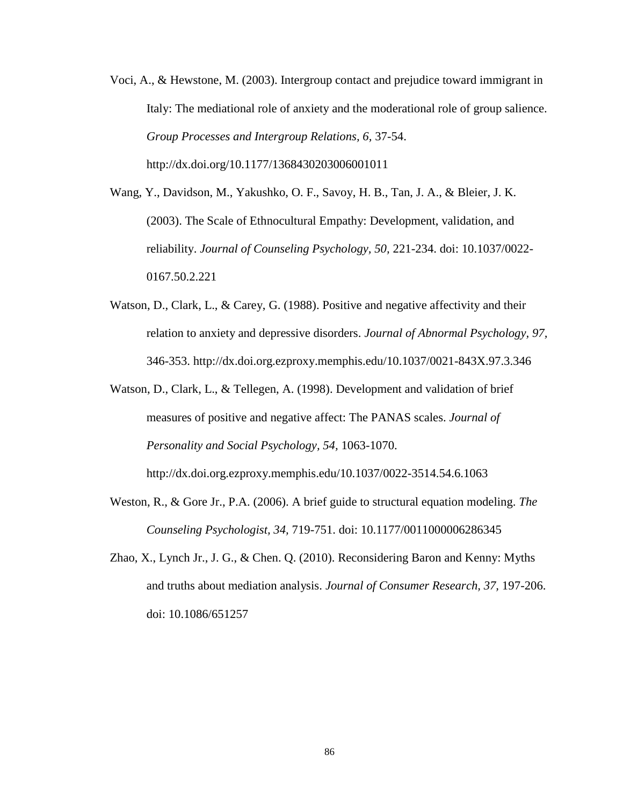- Voci, A., & Hewstone, M. (2003). Intergroup contact and prejudice toward immigrant in Italy: The mediational role of anxiety and the moderational role of group salience. *Group Processes and Intergroup Relations, 6,* 37-54. http://dx.doi.org/10.1177/1368430203006001011
- Wang, Y., Davidson, M., Yakushko, O. F., Savoy, H. B., Tan, J. A., & Bleier, J. K. (2003). The Scale of Ethnocultural Empathy: Development, validation, and reliability. *Journal of Counseling Psychology, 50,* 221-234. doi: 10.1037/0022- 0167.50.2.221
- Watson, D., Clark, L., & Carey, G. (1988). Positive and negative affectivity and their relation to anxiety and depressive disorders. *Journal of Abnormal Psychology, 97,*  346-353. http://dx.doi.org.ezproxy.memphis.edu/10.1037/0021-843X.97.3.346
- Watson, D., Clark, L., & Tellegen, A. (1998). Development and validation of brief measures of positive and negative affect: The PANAS scales. *Journal of Personality and Social Psychology, 54,* 1063-1070.

Weston, R., & Gore Jr., P.A. (2006). A brief guide to structural equation modeling. *The* 

http://dx.doi.org.ezproxy.memphis.edu/10.1037/0022-3514.54.6.1063

*Counseling Psychologist, 34,* 719-751. doi: 10.1177/0011000006286345

Zhao, X., Lynch Jr., J. G., & Chen. Q. (2010). Reconsidering Baron and Kenny: Myths and truths about mediation analysis. *Journal of Consumer Research, 37,* 197-206. doi: 10.1086/651257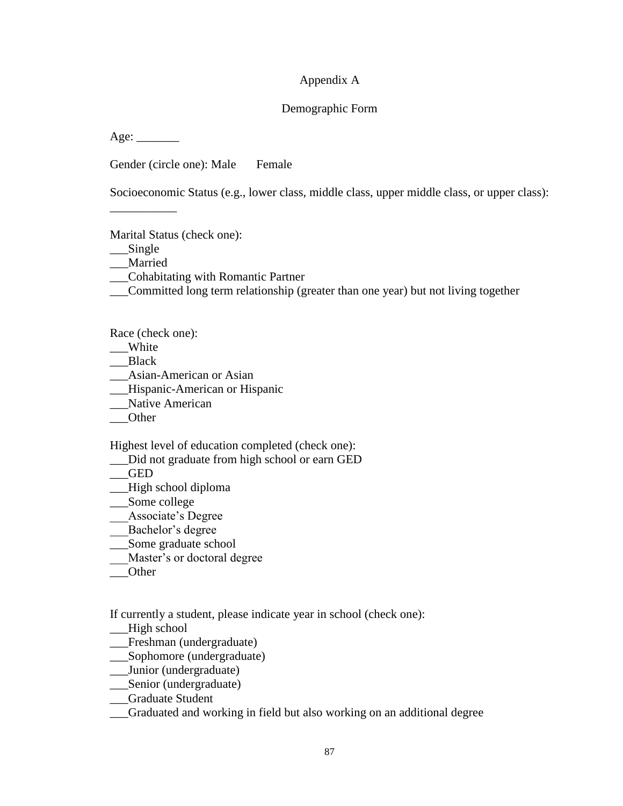## Appendix A

## Demographic Form

 $Age:$ 

Gender (circle one): Male Female

Socioeconomic Status (e.g., lower class, middle class, upper middle class, or upper class):

Marital Status (check one):

\_\_Single

\_\_\_Married

\_\_\_\_\_\_\_\_\_\_\_

\_\_\_Cohabitating with Romantic Partner

\_\_\_Committed long term relationship (greater than one year) but not living together

Race (check one):

\_\_\_White

\_\_\_Black

\_\_\_Asian-American or Asian

\_\_\_Hispanic-American or Hispanic

\_\_\_Native American

\_\_\_Other

Highest level of education completed (check one):

\_\_\_Did not graduate from high school or earn GED

\_\_\_GED

\_\_\_High school diploma

\_\_\_Some college

\_\_Associate's Degree

- \_\_\_Bachelor's degree
- \_\_\_Some graduate school
- Master's or doctoral degree
- \_\_\_Other

If currently a student, please indicate year in school (check one):

\_\_\_High school

\_\_\_Freshman (undergraduate)

\_\_\_Sophomore (undergraduate)

\_\_\_Junior (undergraduate)

\_\_Senior (undergraduate)

\_\_\_Graduate Student

\_\_\_Graduated and working in field but also working on an additional degree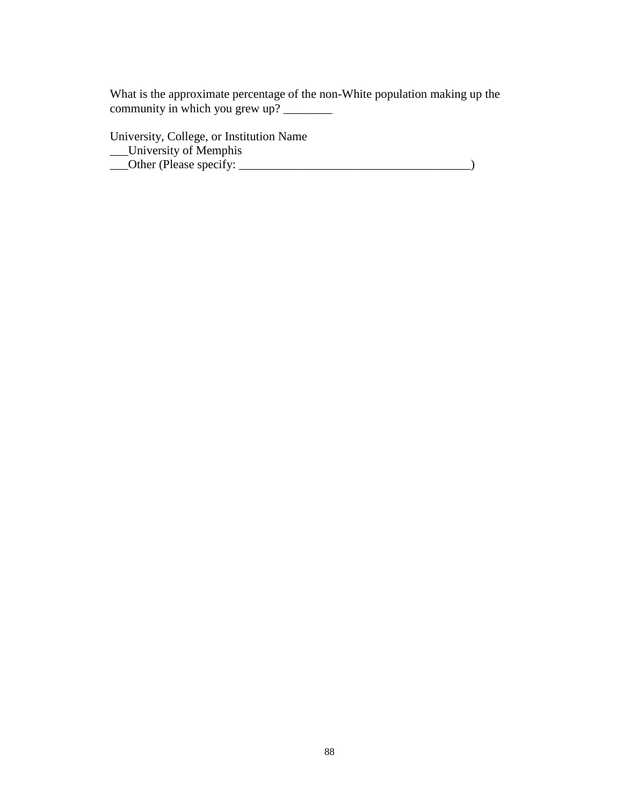What is the approximate percentage of the non-White population making up the community in which you grew up? \_\_\_\_\_\_\_\_

University, College, or Institution Name

\_\_\_University of Memphis

\_\_\_Other (Please specify: \_\_\_\_\_\_\_\_\_\_\_\_\_\_\_\_\_\_\_\_\_\_\_\_\_\_\_\_\_\_\_\_\_\_\_\_\_\_)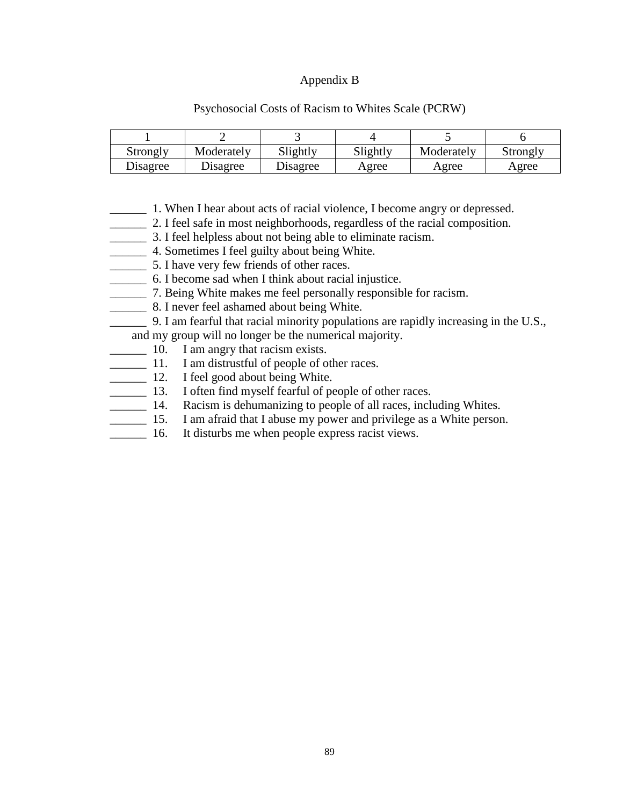### Appendix B

### Psychosocial Costs of Racism to Whites Scale (PCRW)

| Strongly | Moderately | Slightly | Slightly | Moderately | Strongly |
|----------|------------|----------|----------|------------|----------|
| Disagree | Disagree   | Disagree | Agree    | Agree      | Agree    |

- \_\_\_\_\_\_ 1. When I hear about acts of racial violence, I become angry or depressed.
- \_\_\_\_\_\_ 2. I feel safe in most neighborhoods, regardless of the racial composition.
- \_\_\_\_\_\_ 3. I feel helpless about not being able to eliminate racism.
- \_\_\_\_\_\_ 4. Sometimes I feel guilty about being White.
- \_\_\_\_\_\_ 5. I have very few friends of other races.
- \_\_\_\_\_\_ 6. I become sad when I think about racial injustice.
- \_\_\_\_\_\_ 7. Being White makes me feel personally responsible for racism.
- \_\_\_\_\_\_ 8. I never feel ashamed about being White.
- \_\_\_\_\_\_ 9. I am fearful that racial minority populations are rapidly increasing in the U.S.,
	- and my group will no longer be the numerical majority.
- **10.** I am angry that racism exists.
- **11.** I am distrustful of people of other races.
- 12. I feel good about being White.
- \_\_\_\_\_\_ 13. I often find myself fearful of people of other races.
- \_\_\_\_\_\_ 14. Racism is dehumanizing to people of all races, including Whites.
- \_\_\_\_\_\_ 15. I am afraid that I abuse my power and privilege as a White person.
- \_\_\_\_\_\_ 16. It disturbs me when people express racist views.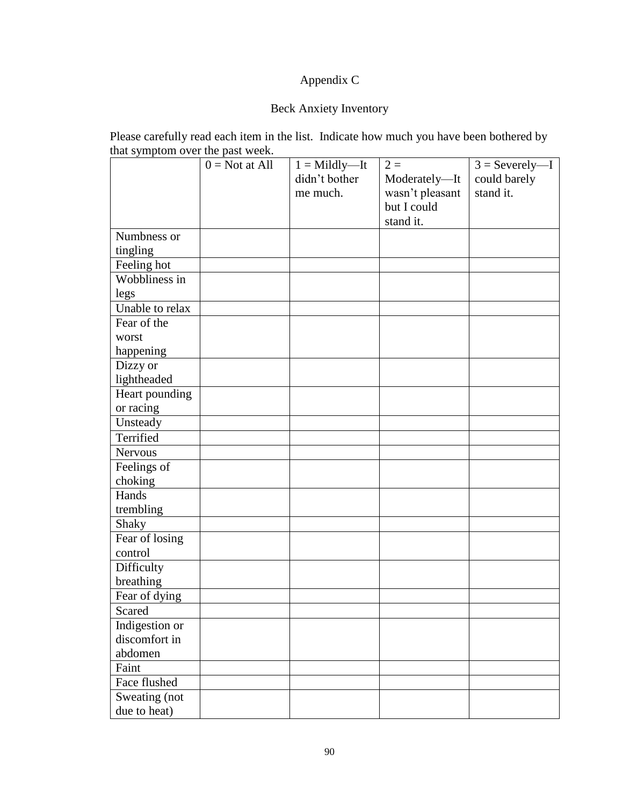# Appendix C

# Beck Anxiety Inventory

Please carefully read each item in the list. Indicate how much you have been bothered by that symptom over the past week.

|                 | $0 = Not$ at All | $1 =$ Mildly—It | $2=$            | $3 =$ Severely—I |
|-----------------|------------------|-----------------|-----------------|------------------|
|                 |                  | didn't bother   | Moderately-It   | could barely     |
|                 |                  | me much.        | wasn't pleasant | stand it.        |
|                 |                  |                 | but I could     |                  |
|                 |                  |                 | stand it.       |                  |
| Numbness or     |                  |                 |                 |                  |
| tingling        |                  |                 |                 |                  |
| Feeling hot     |                  |                 |                 |                  |
| Wobbliness in   |                  |                 |                 |                  |
| legs            |                  |                 |                 |                  |
| Unable to relax |                  |                 |                 |                  |
| Fear of the     |                  |                 |                 |                  |
| worst           |                  |                 |                 |                  |
| happening       |                  |                 |                 |                  |
| Dizzy or        |                  |                 |                 |                  |
| lightheaded     |                  |                 |                 |                  |
| Heart pounding  |                  |                 |                 |                  |
| or racing       |                  |                 |                 |                  |
| Unsteady        |                  |                 |                 |                  |
| Terrified       |                  |                 |                 |                  |
| <b>Nervous</b>  |                  |                 |                 |                  |
| Feelings of     |                  |                 |                 |                  |
| choking         |                  |                 |                 |                  |
| Hands           |                  |                 |                 |                  |
| trembling       |                  |                 |                 |                  |
| Shaky           |                  |                 |                 |                  |
| Fear of losing  |                  |                 |                 |                  |
| control         |                  |                 |                 |                  |
| Difficulty      |                  |                 |                 |                  |
| breathing       |                  |                 |                 |                  |
| Fear of dying   |                  |                 |                 |                  |
| Scared          |                  |                 |                 |                  |
| Indigestion or  |                  |                 |                 |                  |
| discomfort in   |                  |                 |                 |                  |
| abdomen         |                  |                 |                 |                  |
| Faint           |                  |                 |                 |                  |
| Face flushed    |                  |                 |                 |                  |
| Sweating (not   |                  |                 |                 |                  |
| due to heat)    |                  |                 |                 |                  |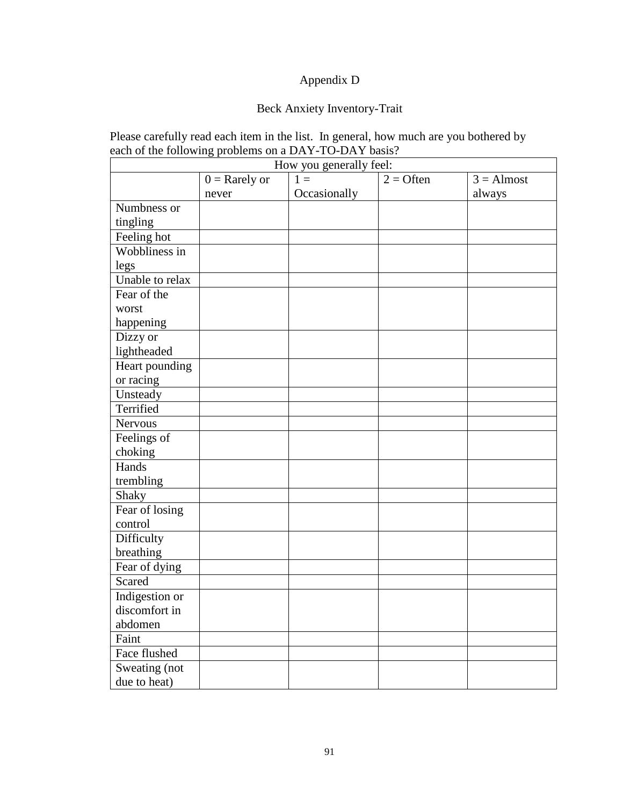# Appendix D

# Beck Anxiety Inventory-Trait

Please carefully read each item in the list. In general, how much are you bothered by each of the following problems on a DAY-TO-DAY basis?

| How you generally feel: |                 |              |             |              |  |  |  |  |
|-------------------------|-----------------|--------------|-------------|--------------|--|--|--|--|
|                         | $0 =$ Rarely or | $1 =$        | $2 =$ Often | $3 =$ Almost |  |  |  |  |
|                         | never           | Occasionally |             | always       |  |  |  |  |
| Numbness or             |                 |              |             |              |  |  |  |  |
| tingling                |                 |              |             |              |  |  |  |  |
| Feeling hot             |                 |              |             |              |  |  |  |  |
| Wobbliness in           |                 |              |             |              |  |  |  |  |
| legs                    |                 |              |             |              |  |  |  |  |
| Unable to relax         |                 |              |             |              |  |  |  |  |
| Fear of the             |                 |              |             |              |  |  |  |  |
| worst                   |                 |              |             |              |  |  |  |  |
| happening               |                 |              |             |              |  |  |  |  |
| Dizzy or                |                 |              |             |              |  |  |  |  |
| lightheaded             |                 |              |             |              |  |  |  |  |
| Heart pounding          |                 |              |             |              |  |  |  |  |
| or racing               |                 |              |             |              |  |  |  |  |
| Unsteady                |                 |              |             |              |  |  |  |  |
| Terrified               |                 |              |             |              |  |  |  |  |
| Nervous                 |                 |              |             |              |  |  |  |  |
| Feelings of             |                 |              |             |              |  |  |  |  |
| choking                 |                 |              |             |              |  |  |  |  |
| Hands                   |                 |              |             |              |  |  |  |  |
| trembling               |                 |              |             |              |  |  |  |  |
| Shaky                   |                 |              |             |              |  |  |  |  |
| Fear of losing          |                 |              |             |              |  |  |  |  |
| control                 |                 |              |             |              |  |  |  |  |
| Difficulty              |                 |              |             |              |  |  |  |  |
| breathing               |                 |              |             |              |  |  |  |  |
| Fear of dying           |                 |              |             |              |  |  |  |  |
| Scared                  |                 |              |             |              |  |  |  |  |
| Indigestion or          |                 |              |             |              |  |  |  |  |
| discomfort in           |                 |              |             |              |  |  |  |  |
| abdomen                 |                 |              |             |              |  |  |  |  |
| Faint                   |                 |              |             |              |  |  |  |  |
| Face flushed            |                 |              |             |              |  |  |  |  |
| Sweating (not           |                 |              |             |              |  |  |  |  |
| due to heat)            |                 |              |             |              |  |  |  |  |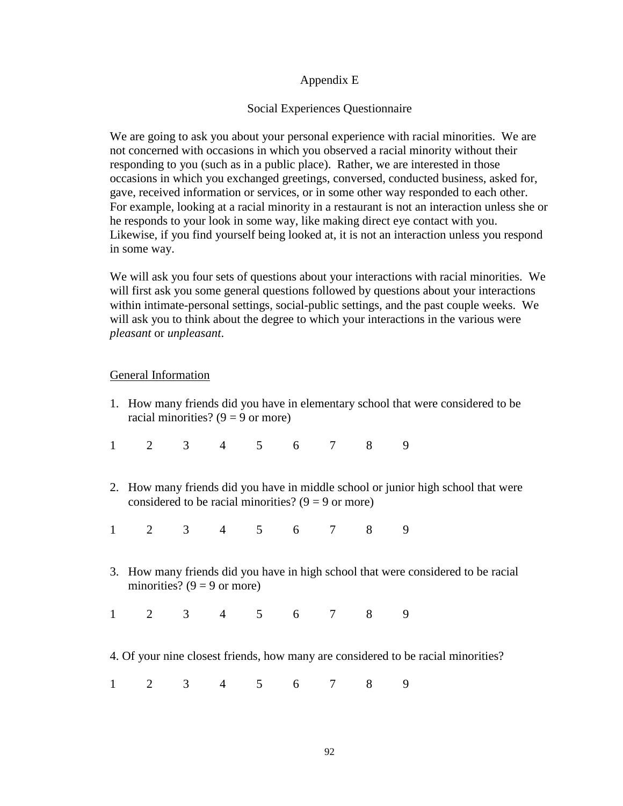## Appendix E

### Social Experiences Questionnaire

We are going to ask you about your personal experience with racial minorities. We are not concerned with occasions in which you observed a racial minority without their responding to you (such as in a public place). Rather, we are interested in those occasions in which you exchanged greetings, conversed, conducted business, asked for, gave, received information or services, or in some other way responded to each other. For example, looking at a racial minority in a restaurant is not an interaction unless she or he responds to your look in some way, like making direct eye contact with you. Likewise, if you find yourself being looked at, it is not an interaction unless you respond in some way.

We will ask you four sets of questions about your interactions with racial minorities. We will first ask you some general questions followed by questions about your interactions within intimate-personal settings, social-public settings, and the past couple weeks. We will ask you to think about the degree to which your interactions in the various were *pleasant* or *unpleasant*.

### General Information

- 1. How many friends did you have in elementary school that were considered to be racial minorities?  $(9 = 9 \text{ or more})$
- 1 2 3 4 5 6 7 8 9
- 2. How many friends did you have in middle school or junior high school that were considered to be racial minorities?  $(9 = 9 \text{ or more})$
- 1 2 3 4 5 6 7 8 9
- 3. How many friends did you have in high school that were considered to be racial minorities?  $(9 = 9 \text{ or more})$
- 1 2 3 4 5 6 7 8 9
- 4. Of your nine closest friends, how many are considered to be racial minorities?
- 1 2 3 4 5 6 7 8 9